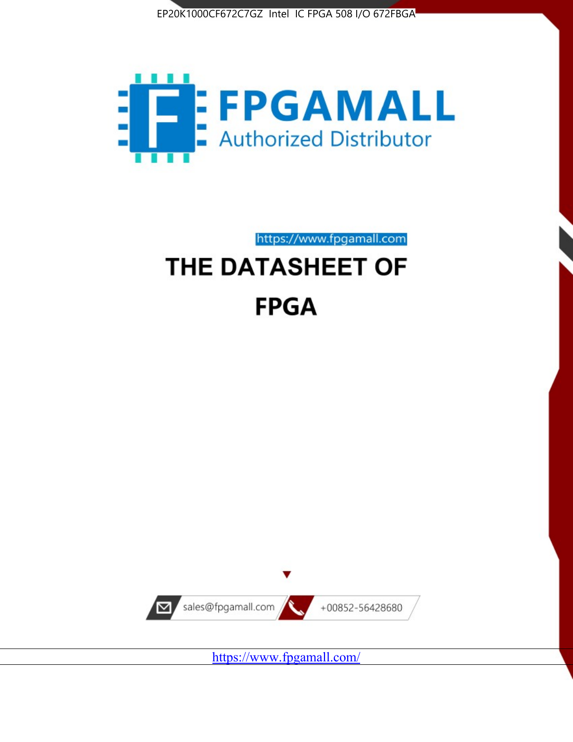



https://www.fpgamall.com THE DATASHEET OF

# **FPGA**



<https://www.fpgamall.com/>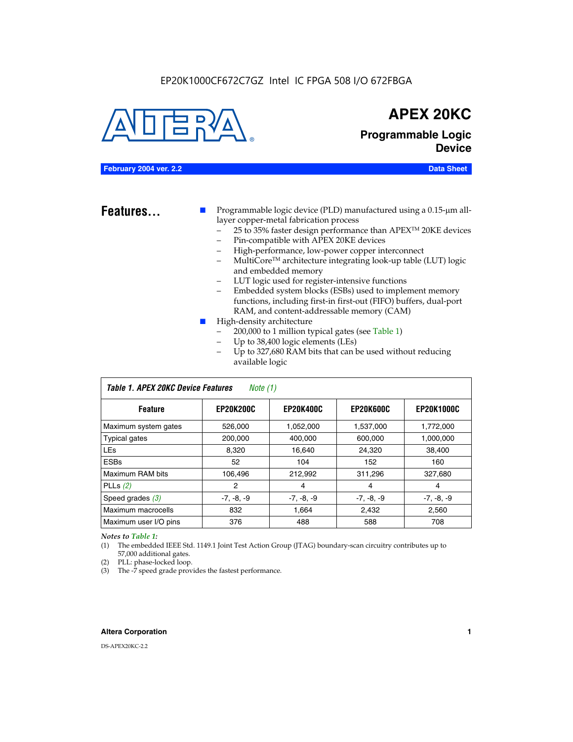#### EP20K1000CF672C7GZ Intel IC FPGA 508 I/O 672FBGA



## **APEX 20KC**

**Programmable Logic Device**

#### **February 2004 ver. 2.2 Data Sheet**

**Features...** ■ Programmable logic device (PLD) manufactured using a 0.15-µm alllayer copper-metal fabrication process

- 25 to 35% faster design performance than APEX<sup>™</sup> 20KE devices
- Pin-compatible with APEX 20KE devices
- High-performance, low-power copper interconnect
- MultiCoreTM architecture integrating look-up table (LUT) logic and embedded memory
- LUT logic used for register-intensive functions
- Embedded system blocks (ESBs) used to implement memory functions, including first-in first-out (FIFO) buffers, dual-port RAM, and content-addressable memory (CAM)
- High-density architecture
	- 200,000 to 1 million typical gates (see Table 1)
	- Up to 38,400 logic elements (LEs)
	- Up to 327,680 RAM bits that can be used without reducing available logic

| Table 1. APEX 20KC Device Features<br>Note (1) |                  |                  |                  |                   |  |  |  |  |
|------------------------------------------------|------------------|------------------|------------------|-------------------|--|--|--|--|
| <b>Feature</b>                                 | <b>EP20K200C</b> | <b>EP20K400C</b> | <b>EP20K600C</b> | <b>EP20K1000C</b> |  |  |  |  |
| Maximum system gates                           | 526,000          | 1,052,000        | 1,537,000        | 1,772,000         |  |  |  |  |
| <b>Typical gates</b>                           | 200,000          | 400.000          | 600,000          | 1,000,000         |  |  |  |  |
| <b>LEs</b>                                     | 8.320            | 16,640           | 24,320           | 38,400            |  |  |  |  |
| <b>ESBs</b>                                    | 52               | 104              | 152              | 160               |  |  |  |  |
| Maximum RAM bits                               | 106,496          | 212,992          | 311,296          | 327,680           |  |  |  |  |
| PLLs $(2)$                                     | 2                | 4                | 4                | 4                 |  |  |  |  |
| Speed grades $(3)$                             | $-7, -8, -9$     | $-7, -8, -9$     | $-7, -8, -9$     | $-7, -8, -9$      |  |  |  |  |
| Maximum macrocells                             | 832              | 1.664            | 2,432            | 2,560             |  |  |  |  |
| Maximum user I/O pins                          | 376              | 488              | 588              | 708               |  |  |  |  |

#### *Notes to Table 1:*

(1) The embedded IEEE Std. 1149.1 Joint Test Action Group (JTAG) boundary-scan circuitry contributes up to 57,000 additional gates.

- (2) PLL: phase-locked loop.
- (3) The -7 speed grade provides the fastest performance.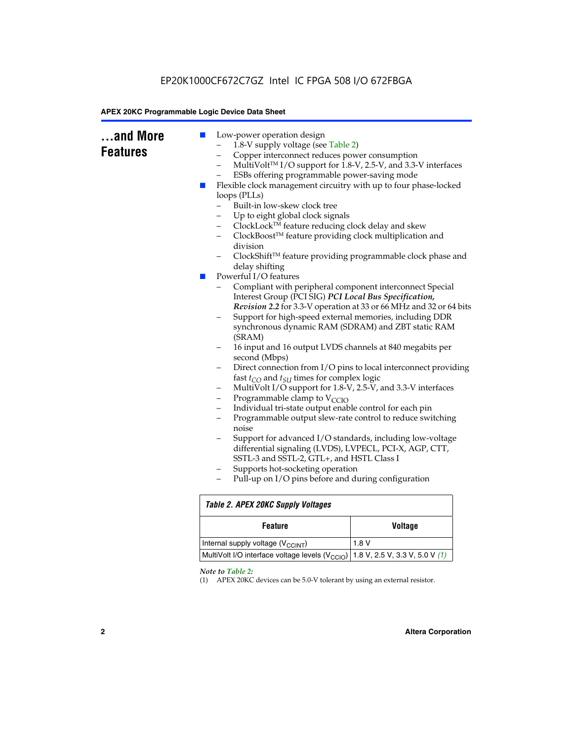|  | Copper interconnect reduces power consumption<br>-<br>ESBs offering programmable power-saving mode<br>Flexible clock management circuitry with up to four phase-locked<br>a a s<br>loops (PLLs)<br>Built-in low-skew clock tree<br>Up to eight global clock signals<br>ClockLock™ feature reducing clock delay and skew<br>-<br>ClockBoost™ feature providing clock multiplication and<br>division<br>delay shifting<br>Powerful I/O features<br>$\mathbb{R}^n$<br>Interest Group (PCI SIG) PCI Local Bus Specification,<br>(SRAM)<br>second (Mbps)<br>fast $t_{CO}$ and $t_{SU}$ times for complex logic<br>-<br>Programmable clamp to $V_{\text{CCIO}}$<br>-<br>Individual tri-state output enable control for each pin<br>$\overline{\phantom{0}}$<br>-<br>noise<br>differential signaling (LVDS), LVPECL, PCI-X, AGP, CTT,<br>SSTL-3 and SSTL-2, GTL+, and HSTL Class I<br>Supports hot-socketing operation<br>-<br>Pull-up on I/O pins before and during configuration | MultiVolt™ I/O support for 1.8-V, 2.5-V, and 3.3-V interfaces<br>ClockShift™ feature providing programmable clock phase and<br>Compliant with peripheral component interconnect Special<br>Revision 2.2 for 3.3-V operation at 33 or 66 MHz and 32 or 64 bits<br>Support for high-speed external memories, including DDR<br>synchronous dynamic RAM (SDRAM) and ZBT static RAM<br>16 input and 16 output LVDS channels at 840 megabits per<br>Direct connection from I/O pins to local interconnect providing<br>MultiVolt I/O support for 1.8-V, 2.5-V, and 3.3-V interfaces<br>Programmable output slew-rate control to reduce switching<br>Support for advanced I/O standards, including low-voltage |  |  |  |  |
|--|-----------------------------------------------------------------------------------------------------------------------------------------------------------------------------------------------------------------------------------------------------------------------------------------------------------------------------------------------------------------------------------------------------------------------------------------------------------------------------------------------------------------------------------------------------------------------------------------------------------------------------------------------------------------------------------------------------------------------------------------------------------------------------------------------------------------------------------------------------------------------------------------------------------------------------------------------------------------------------|---------------------------------------------------------------------------------------------------------------------------------------------------------------------------------------------------------------------------------------------------------------------------------------------------------------------------------------------------------------------------------------------------------------------------------------------------------------------------------------------------------------------------------------------------------------------------------------------------------------------------------------------------------------------------------------------------------|--|--|--|--|
|  | <b>Table 2. APEX 20KC Supply Voltages</b>                                                                                                                                                                                                                                                                                                                                                                                                                                                                                                                                                                                                                                                                                                                                                                                                                                                                                                                                   |                                                                                                                                                                                                                                                                                                                                                                                                                                                                                                                                                                                                                                                                                                         |  |  |  |  |
|  | <b>Feature</b>                                                                                                                                                                                                                                                                                                                                                                                                                                                                                                                                                                                                                                                                                                                                                                                                                                                                                                                                                              | <b>Voltage</b>                                                                                                                                                                                                                                                                                                                                                                                                                                                                                                                                                                                                                                                                                          |  |  |  |  |
|  | Internal supply voltage (V <sub>CCINT</sub> )                                                                                                                                                                                                                                                                                                                                                                                                                                                                                                                                                                                                                                                                                                                                                                                                                                                                                                                               | 1.8V                                                                                                                                                                                                                                                                                                                                                                                                                                                                                                                                                                                                                                                                                                    |  |  |  |  |
|  | MultiVolt I/O interface voltage levels (V <sub>CCIO</sub> )<br>1.8 V, 2.5 V, 3.3 V, 5.0 V (1)                                                                                                                                                                                                                                                                                                                                                                                                                                                                                                                                                                                                                                                                                                                                                                                                                                                                               |                                                                                                                                                                                                                                                                                                                                                                                                                                                                                                                                                                                                                                                                                                         |  |  |  |  |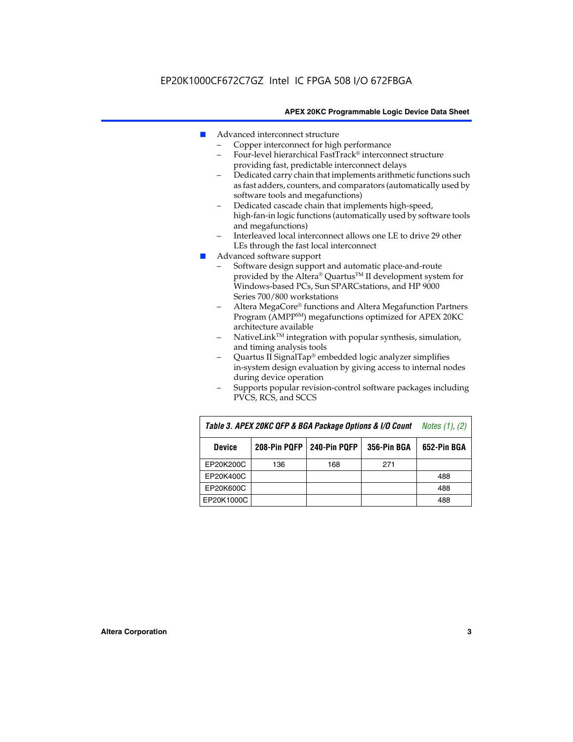- Advanced interconnect structure
	- Copper interconnect for high performance
	- Four-level hierarchical FastTrack® interconnect structure providing fast, predictable interconnect delays
	- Dedicated carry chain that implements arithmetic functions such as fast adders, counters, and comparators (automatically used by software tools and megafunctions)
	- Dedicated cascade chain that implements high-speed, high-fan-in logic functions (automatically used by software tools and megafunctions)
	- Interleaved local interconnect allows one LE to drive 29 other LEs through the fast local interconnect
- Advanced software support
	- Software design support and automatic place-and-route provided by the Altera® Quartus™ II development system for Windows-based PCs, Sun SPARCstations, and HP 9000 Series 700/800 workstations
	- Altera MegaCore® functions and Altera Megafunction Partners Program (AMPPSM) megafunctions optimized for APEX 20KC architecture available
	- $N$ ativeLink<sup>TM</sup> integration with popular synthesis, simulation, and timing analysis tools
	- Quartus II SignalTap® embedded logic analyzer simplifies in-system design evaluation by giving access to internal nodes during device operation
	- Supports popular revision-control software packages including PVCS, RCS, and SCCS

| Table 3. APEX 20KC QFP & BGA Package Options & I/O Count | <i>Notes <math>(1)</math>, <math>(2)</math></i> |     |     |     |
|----------------------------------------------------------|-------------------------------------------------|-----|-----|-----|
| <b>Device</b>                                            | 240-Pin PQFP<br>208-Pin PQFP<br>356-Pin BGA     |     |     |     |
| EP20K200C                                                | 136                                             | 168 | 271 |     |
| EP20K400C                                                |                                                 |     |     | 488 |
| EP20K600C                                                |                                                 |     |     | 488 |
| EP20K1000C                                               |                                                 |     |     | 488 |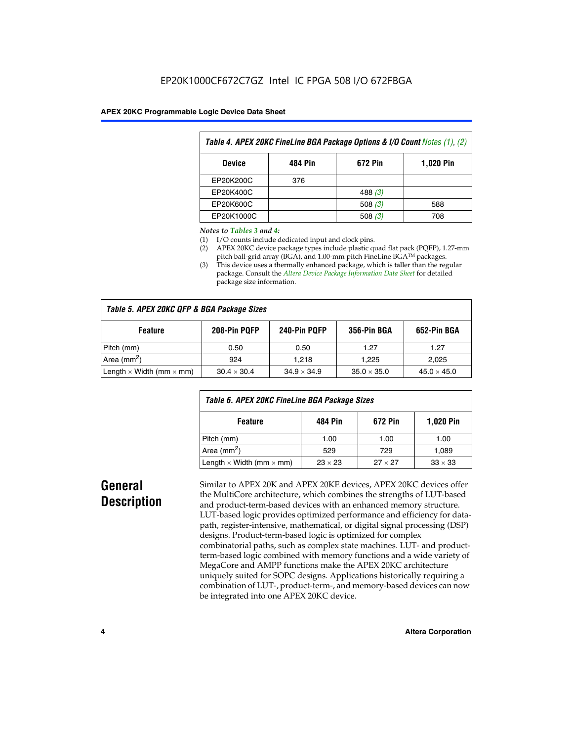| Table 4. APEX 20KC FineLine BGA Package Options & I/O Count Notes (1), (2) |     |           |     |  |  |  |  |
|----------------------------------------------------------------------------|-----|-----------|-----|--|--|--|--|
| <b>484 Pin</b><br>672 Pin<br><b>1,020 Pin</b><br><b>Device</b>             |     |           |     |  |  |  |  |
| EP20K200C                                                                  | 376 |           |     |  |  |  |  |
| EP20K400C                                                                  |     | 488 $(3)$ |     |  |  |  |  |
| EP20K600C                                                                  |     | 508 $(3)$ | 588 |  |  |  |  |
| EP20K1000C                                                                 |     | 508(3)    | 708 |  |  |  |  |

#### *Notes to Tables 3 and 4:*

- (1) I/O counts include dedicated input and clock pins.
- (2) APEX 20KC device package types include plastic quad flat pack (PQFP), 1.27-mm pitch ball-grid array (BGA), and 1.00-mm pitch FineLine BGA™ packages.
- (3) This device uses a thermally enhanced package, which is taller than the regular package. Consult the *Altera Device Package Information Data Sheet* for detailed package size information.

| Table 5. APEX 20KC QFP & BGA Package Sizes |                    |                    |                    |                    |  |  |  |
|--------------------------------------------|--------------------|--------------------|--------------------|--------------------|--|--|--|
| <b>Feature</b>                             | 208-Pin PQFP       | 240-Pin PQFP       | 356-Pin BGA        | 652-Pin BGA        |  |  |  |
| Pitch (mm)                                 | 0.50               | 0.50               | 1.27               | 1.27               |  |  |  |
| Area ( $mm2$ )                             | 924                | 1.218              | 1.225              | 2,025              |  |  |  |
| Length $\times$ Width (mm $\times$ mm)     | $30.4 \times 30.4$ | $34.9 \times 34.9$ | $35.0 \times 35.0$ | $45.0 \times 45.0$ |  |  |  |

| Table 6. APEX 20KC FineLine BGA Package Sizes            |                |                |                |  |  |  |
|----------------------------------------------------------|----------------|----------------|----------------|--|--|--|
| <b>1,020 Pin</b><br>484 Pin<br>672 Pin<br><b>Feature</b> |                |                |                |  |  |  |
| Pitch (mm)                                               | 1.00           | 1.00           | 1.00           |  |  |  |
| Area ( $mm2$ )                                           | 529            | 729            | 1.089          |  |  |  |
| Length $\times$ Width (mm $\times$ mm)                   | $23 \times 23$ | $27 \times 27$ | $33 \times 33$ |  |  |  |

## **General Description**

Similar to APEX 20K and APEX 20KE devices, APEX 20KC devices offer the MultiCore architecture, which combines the strengths of LUT-based and product-term-based devices with an enhanced memory structure. LUT-based logic provides optimized performance and efficiency for datapath, register-intensive, mathematical, or digital signal processing (DSP) designs. Product-term-based logic is optimized for complex combinatorial paths, such as complex state machines. LUT- and productterm-based logic combined with memory functions and a wide variety of MegaCore and AMPP functions make the APEX 20KC architecture uniquely suited for SOPC designs. Applications historically requiring a combination of LUT-, product-term-, and memory-based devices can now be integrated into one APEX 20KC device.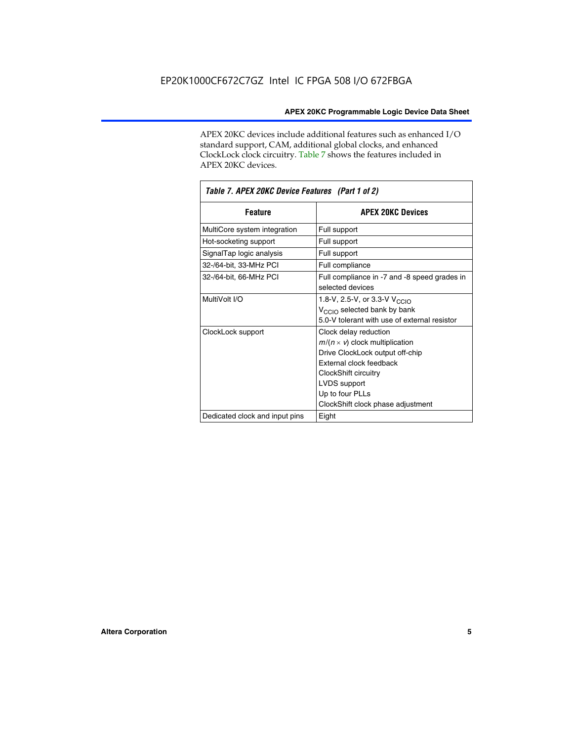APEX 20KC devices include additional features such as enhanced I/O standard support, CAM, additional global clocks, and enhanced ClockLock clock circuitry. Table 7 shows the features included in APEX 20KC devices.

| Table 7. APEX 20KC Device Features (Part 1 of 2) |                                                                                                                                                                                                                              |  |  |  |  |
|--------------------------------------------------|------------------------------------------------------------------------------------------------------------------------------------------------------------------------------------------------------------------------------|--|--|--|--|
| <b>Feature</b>                                   | <b>APEX 20KC Devices</b>                                                                                                                                                                                                     |  |  |  |  |
| MultiCore system integration                     | Full support                                                                                                                                                                                                                 |  |  |  |  |
| Hot-socketing support                            | Full support                                                                                                                                                                                                                 |  |  |  |  |
| SignalTap logic analysis                         | Full support                                                                                                                                                                                                                 |  |  |  |  |
| 32-/64-bit, 33-MHz PCI                           | Full compliance                                                                                                                                                                                                              |  |  |  |  |
| 32-/64-bit, 66-MHz PCI                           | Full compliance in -7 and -8 speed grades in<br>selected devices                                                                                                                                                             |  |  |  |  |
| MultiVolt I/O                                    | 1.8-V, 2.5-V, or 3.3-V V <sub>CCIO</sub><br>V <sub>CCIO</sub> selected bank by bank<br>5.0-V tolerant with use of external resistor                                                                                          |  |  |  |  |
| ClockLock support                                | Clock delay reduction<br>$m/(n \times v)$ clock multiplication<br>Drive ClockLock output off-chip<br>External clock feedback<br>ClockShift circuitry<br>LVDS support<br>Up to four PLLs<br>ClockShift clock phase adjustment |  |  |  |  |
| Dedicated clock and input pins                   | Eight                                                                                                                                                                                                                        |  |  |  |  |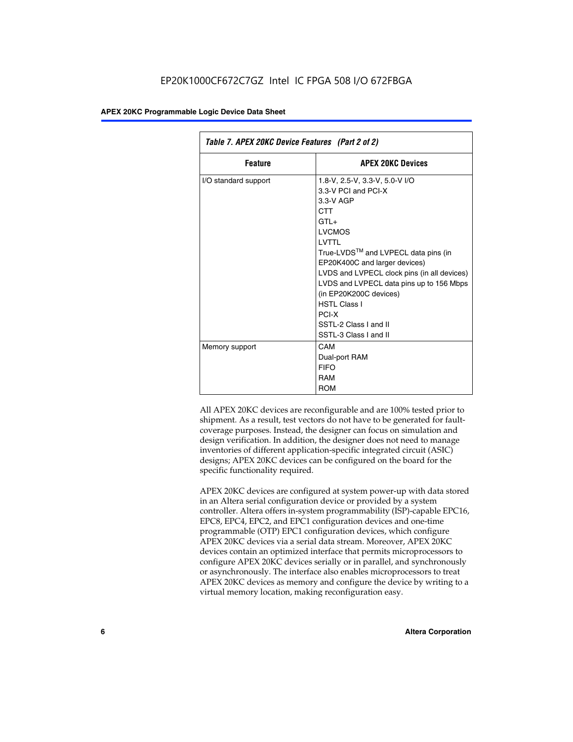| Table 7. APEX 20KC Device Features (Part 2 of 2) |                                                                                                                                                                                                                                                                                                                                                                                                  |  |  |  |  |
|--------------------------------------------------|--------------------------------------------------------------------------------------------------------------------------------------------------------------------------------------------------------------------------------------------------------------------------------------------------------------------------------------------------------------------------------------------------|--|--|--|--|
| <b>Feature</b>                                   | <b>APEX 20KC Devices</b>                                                                                                                                                                                                                                                                                                                                                                         |  |  |  |  |
| I/O standard support                             | 1.8-V, 2.5-V, 3.3-V, 5.0-V I/O<br>3.3-V PCI and PCI-X<br>$3.3-V$ AGP<br>CTT<br>$GTI +$<br><b>LVCMOS</b><br>I VTTI<br>True-LVDS™ and LVPECL data pins (in<br>EP20K400C and larger devices)<br>LVDS and LVPECL clock pins (in all devices)<br>LVDS and LVPECL data pins up to 156 Mbps<br>(in EP20K200C devices)<br><b>HSTI Class I</b><br>PCI-X<br>SSTL-2 Class I and II<br>SSTL-3 Class I and II |  |  |  |  |
| Memory support                                   | CAM<br>Dual-port RAM<br><b>FIFO</b><br>RAM<br><b>ROM</b>                                                                                                                                                                                                                                                                                                                                         |  |  |  |  |

All APEX 20KC devices are reconfigurable and are 100% tested prior to shipment. As a result, test vectors do not have to be generated for faultcoverage purposes. Instead, the designer can focus on simulation and design verification. In addition, the designer does not need to manage inventories of different application-specific integrated circuit (ASIC) designs; APEX 20KC devices can be configured on the board for the specific functionality required.

APEX 20KC devices are configured at system power-up with data stored in an Altera serial configuration device or provided by a system controller. Altera offers in-system programmability (ISP)-capable EPC16, EPC8, EPC4, EPC2, and EPC1 configuration devices and one-time programmable (OTP) EPC1 configuration devices, which configure APEX 20KC devices via a serial data stream. Moreover, APEX 20KC devices contain an optimized interface that permits microprocessors to configure APEX 20KC devices serially or in parallel, and synchronously or asynchronously. The interface also enables microprocessors to treat APEX 20KC devices as memory and configure the device by writing to a virtual memory location, making reconfiguration easy.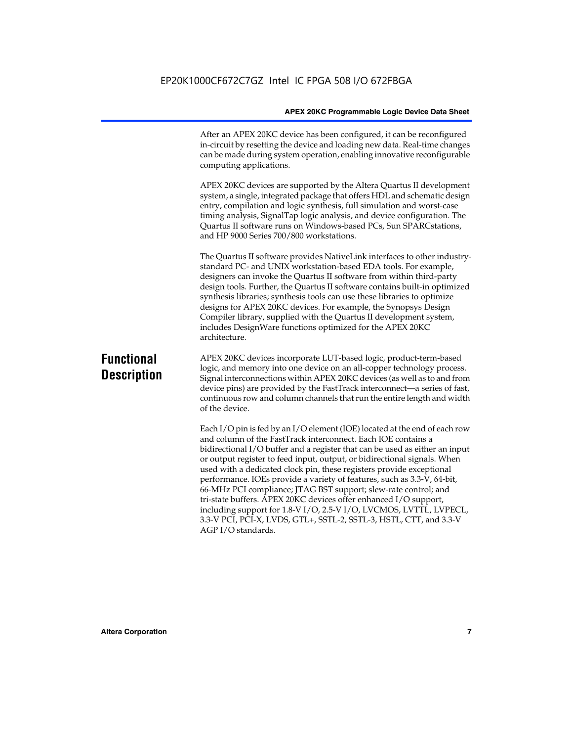After an APEX 20KC device has been configured, it can be reconfigured in-circuit by resetting the device and loading new data. Real-time changes can be made during system operation, enabling innovative reconfigurable computing applications.

APEX 20KC devices are supported by the Altera Quartus II development system, a single, integrated package that offers HDL and schematic design entry, compilation and logic synthesis, full simulation and worst-case timing analysis, SignalTap logic analysis, and device configuration. The Quartus II software runs on Windows-based PCs, Sun SPARCstations, and HP 9000 Series 700/800 workstations.

The Quartus II software provides NativeLink interfaces to other industrystandard PC- and UNIX workstation-based EDA tools. For example, designers can invoke the Quartus II software from within third-party design tools. Further, the Quartus II software contains built-in optimized synthesis libraries; synthesis tools can use these libraries to optimize designs for APEX 20KC devices. For example, the Synopsys Design Compiler library, supplied with the Quartus II development system, includes DesignWare functions optimized for the APEX 20KC architecture.

## **Functional Description**

APEX 20KC devices incorporate LUT-based logic, product-term-based logic, and memory into one device on an all-copper technology process. Signal interconnections within APEX 20KC devices (as well as to and from device pins) are provided by the FastTrack interconnect—a series of fast, continuous row and column channels that run the entire length and width of the device.

Each I/O pin is fed by an I/O element (IOE) located at the end of each row and column of the FastTrack interconnect. Each IOE contains a bidirectional I/O buffer and a register that can be used as either an input or output register to feed input, output, or bidirectional signals. When used with a dedicated clock pin, these registers provide exceptional performance. IOEs provide a variety of features, such as 3.3-V, 64-bit, 66-MHz PCI compliance; JTAG BST support; slew-rate control; and tri-state buffers. APEX 20KC devices offer enhanced I/O support, including support for 1.8-V I/O, 2.5-V I/O, LVCMOS, LVTTL, LVPECL, 3.3-V PCI, PCI-X, LVDS, GTL+, SSTL-2, SSTL-3, HSTL, CTT, and 3.3-V AGP I/O standards.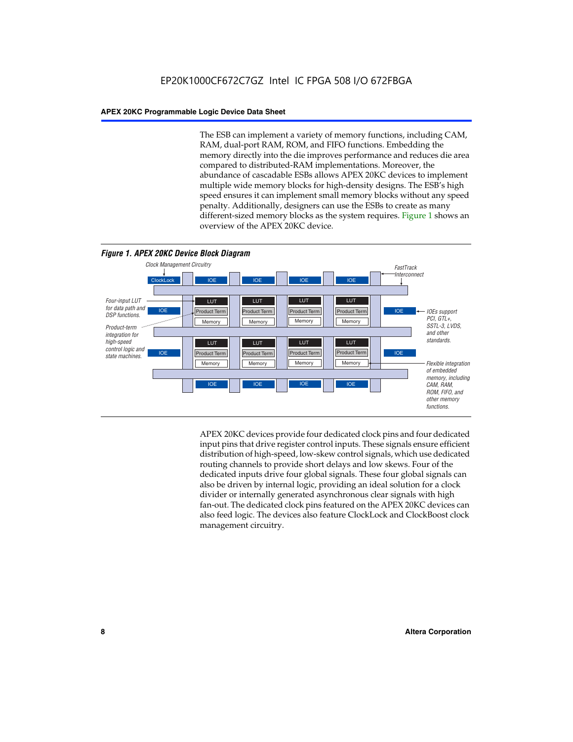The ESB can implement a variety of memory functions, including CAM, RAM, dual-port RAM, ROM, and FIFO functions. Embedding the memory directly into the die improves performance and reduces die area compared to distributed-RAM implementations. Moreover, the abundance of cascadable ESBs allows APEX 20KC devices to implement multiple wide memory blocks for high-density designs. The ESB's high speed ensures it can implement small memory blocks without any speed penalty. Additionally, designers can use the ESBs to create as many different-sized memory blocks as the system requires. Figure 1 shows an overview of the APEX 20KC device.



APEX 20KC devices provide four dedicated clock pins and four dedicated input pins that drive register control inputs. These signals ensure efficient distribution of high-speed, low-skew control signals, which use dedicated routing channels to provide short delays and low skews. Four of the dedicated inputs drive four global signals. These four global signals can also be driven by internal logic, providing an ideal solution for a clock divider or internally generated asynchronous clear signals with high fan-out. The dedicated clock pins featured on the APEX 20KC devices can also feed logic. The devices also feature ClockLock and ClockBoost clock management circuitry.

#### **8 Altera Corporation**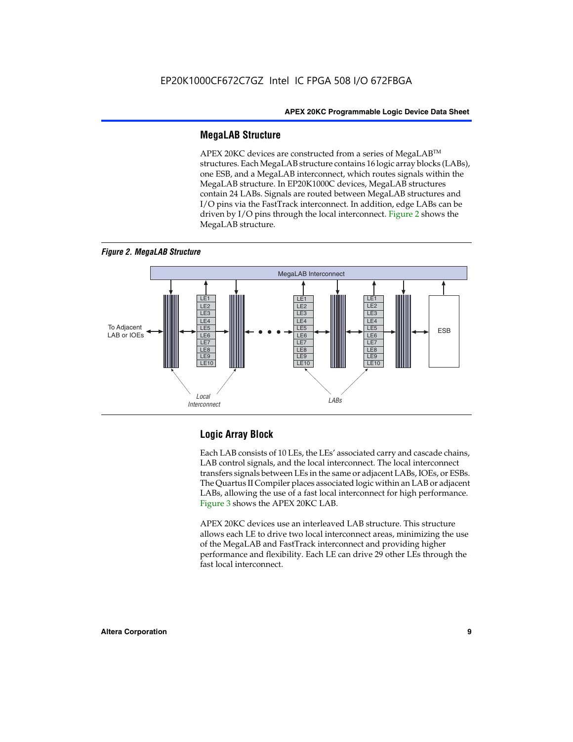#### **MegaLAB Structure**

APEX 20KC devices are constructed from a series of MegaLAB™ structures. Each MegaLAB structure contains 16 logic array blocks (LABs), one ESB, and a MegaLAB interconnect, which routes signals within the MegaLAB structure. In EP20K1000C devices, MegaLAB structures contain 24 LABs. Signals are routed between MegaLAB structures and I/O pins via the FastTrack interconnect. In addition, edge LABs can be driven by I/O pins through the local interconnect. Figure 2 shows the MegaLAB structure.

*Figure 2. MegaLAB Structure*



### **Logic Array Block**

Each LAB consists of 10 LEs, the LEs' associated carry and cascade chains, LAB control signals, and the local interconnect. The local interconnect transfers signals between LEs in the same or adjacent LABs, IOEs, or ESBs. The Quartus II Compiler places associated logic within an LAB or adjacent LABs, allowing the use of a fast local interconnect for high performance. Figure 3 shows the APEX 20KC LAB.

APEX 20KC devices use an interleaved LAB structure. This structure allows each LE to drive two local interconnect areas, minimizing the use of the MegaLAB and FastTrack interconnect and providing higher performance and flexibility. Each LE can drive 29 other LEs through the fast local interconnect.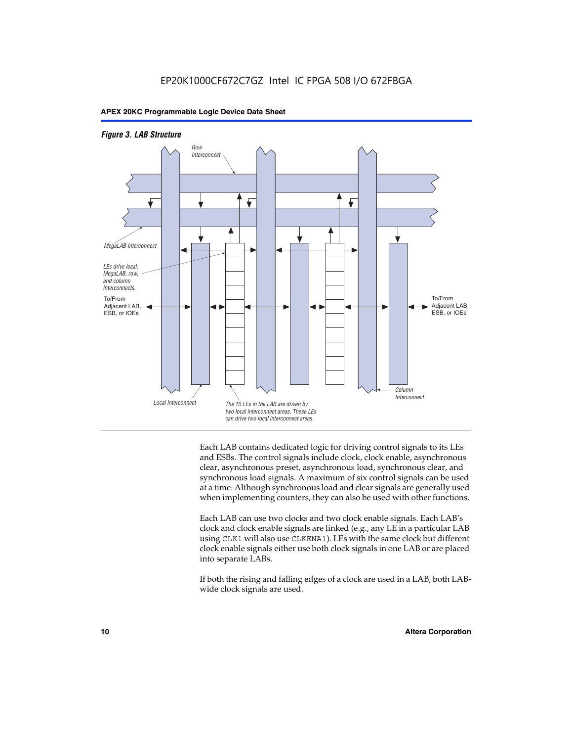



Each LAB contains dedicated logic for driving control signals to its LEs and ESBs. The control signals include clock, clock enable, asynchronous clear, asynchronous preset, asynchronous load, synchronous clear, and synchronous load signals. A maximum of six control signals can be used at a time. Although synchronous load and clear signals are generally used when implementing counters, they can also be used with other functions.

Each LAB can use two clocks and two clock enable signals. Each LAB's clock and clock enable signals are linked (e.g., any LE in a particular LAB using CLK1 will also use CLKENA1). LEs with the same clock but different clock enable signals either use both clock signals in one LAB or are placed into separate LABs.

If both the rising and falling edges of a clock are used in a LAB, both LABwide clock signals are used.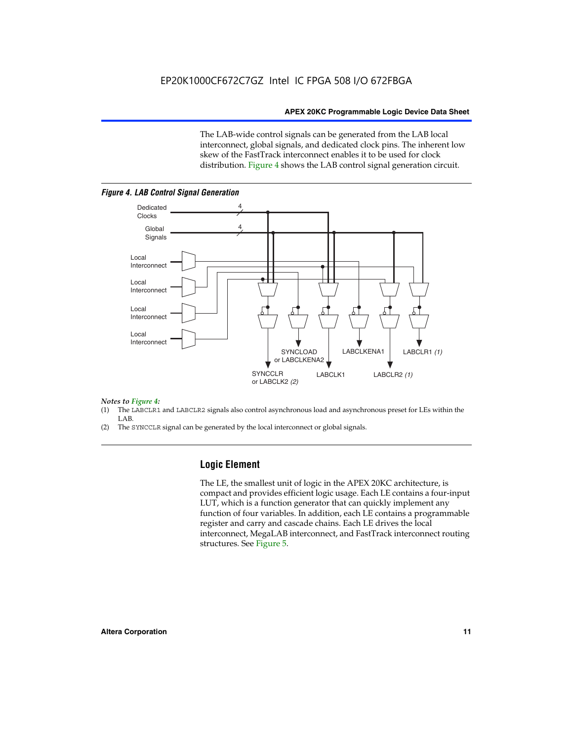The LAB-wide control signals can be generated from the LAB local interconnect, global signals, and dedicated clock pins. The inherent low skew of the FastTrack interconnect enables it to be used for clock distribution. Figure 4 shows the LAB control signal generation circuit.



#### *Figure 4. LAB Control Signal Generation*

#### *Notes to Figure 4:*

- (1) The LABCLR1 and LABCLR2 signals also control asynchronous load and asynchronous preset for LEs within the LAB.
- (2) The SYNCCLR signal can be generated by the local interconnect or global signals.

#### **Logic Element**

The LE, the smallest unit of logic in the APEX 20KC architecture, is compact and provides efficient logic usage. Each LE contains a four-input LUT, which is a function generator that can quickly implement any function of four variables. In addition, each LE contains a programmable register and carry and cascade chains. Each LE drives the local interconnect, MegaLAB interconnect, and FastTrack interconnect routing structures. See Figure 5.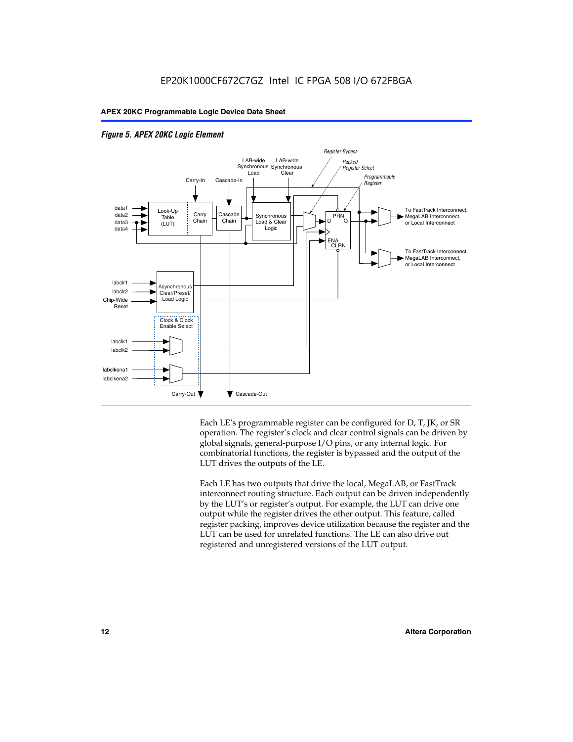



Each LE's programmable register can be configured for D, T, JK, or SR operation. The register's clock and clear control signals can be driven by global signals, general-purpose I/O pins, or any internal logic. For combinatorial functions, the register is bypassed and the output of the LUT drives the outputs of the LE.

Each LE has two outputs that drive the local, MegaLAB, or FastTrack interconnect routing structure. Each output can be driven independently by the LUT's or register's output. For example, the LUT can drive one output while the register drives the other output. This feature, called register packing, improves device utilization because the register and the LUT can be used for unrelated functions. The LE can also drive out registered and unregistered versions of the LUT output.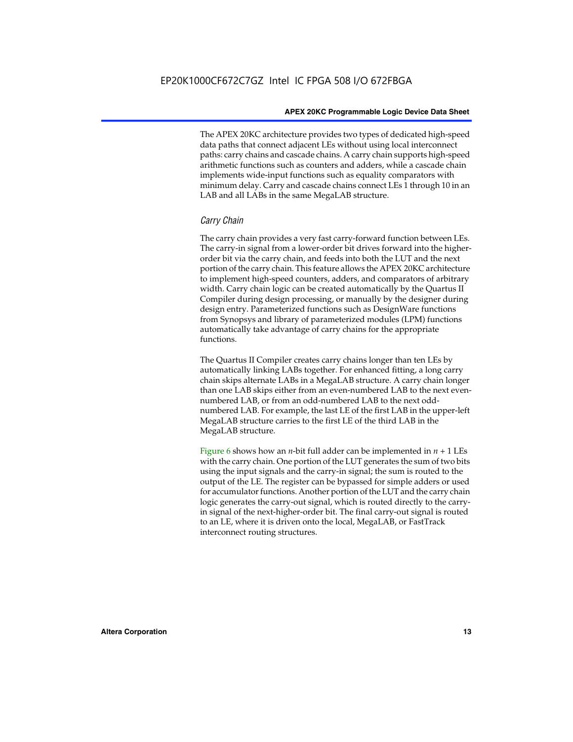The APEX 20KC architecture provides two types of dedicated high-speed data paths that connect adjacent LEs without using local interconnect paths: carry chains and cascade chains. A carry chain supports high-speed arithmetic functions such as counters and adders, while a cascade chain implements wide-input functions such as equality comparators with minimum delay. Carry and cascade chains connect LEs 1 through 10 in an LAB and all LABs in the same MegaLAB structure.

#### *Carry Chain*

The carry chain provides a very fast carry-forward function between LEs. The carry-in signal from a lower-order bit drives forward into the higherorder bit via the carry chain, and feeds into both the LUT and the next portion of the carry chain. This feature allows the APEX 20KC architecture to implement high-speed counters, adders, and comparators of arbitrary width. Carry chain logic can be created automatically by the Quartus II Compiler during design processing, or manually by the designer during design entry. Parameterized functions such as DesignWare functions from Synopsys and library of parameterized modules (LPM) functions automatically take advantage of carry chains for the appropriate functions.

The Quartus II Compiler creates carry chains longer than ten LEs by automatically linking LABs together. For enhanced fitting, a long carry chain skips alternate LABs in a MegaLAB structure. A carry chain longer than one LAB skips either from an even-numbered LAB to the next evennumbered LAB, or from an odd-numbered LAB to the next oddnumbered LAB. For example, the last LE of the first LAB in the upper-left MegaLAB structure carries to the first LE of the third LAB in the MegaLAB structure.

Figure 6 shows how an *n*-bit full adder can be implemented in  $n + 1$  LEs with the carry chain. One portion of the LUT generates the sum of two bits using the input signals and the carry-in signal; the sum is routed to the output of the LE. The register can be bypassed for simple adders or used for accumulator functions. Another portion of the LUT and the carry chain logic generates the carry-out signal, which is routed directly to the carryin signal of the next-higher-order bit. The final carry-out signal is routed to an LE, where it is driven onto the local, MegaLAB, or FastTrack interconnect routing structures.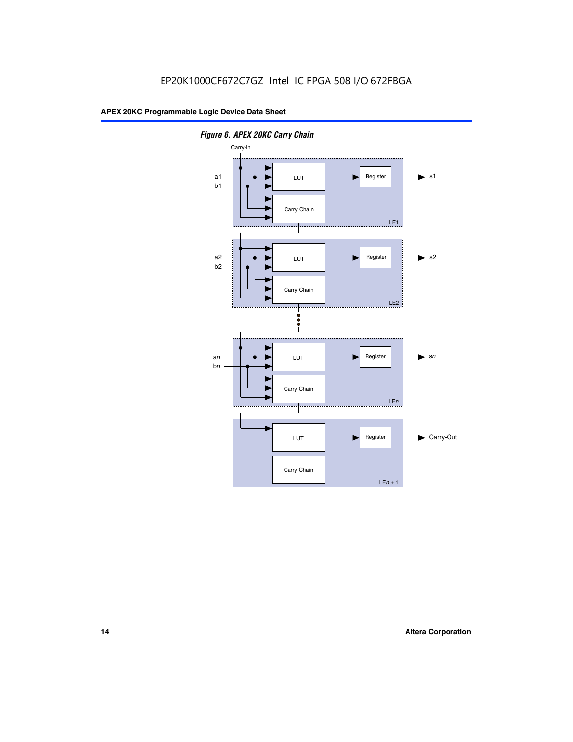

*Figure 6. APEX 20KC Carry Chain*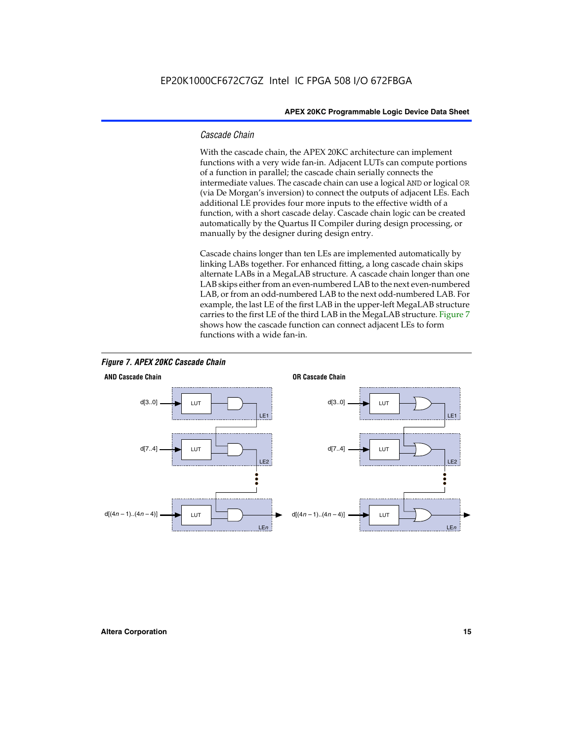#### *Cascade Chain*

With the cascade chain, the APEX 20KC architecture can implement functions with a very wide fan-in. Adjacent LUTs can compute portions of a function in parallel; the cascade chain serially connects the intermediate values. The cascade chain can use a logical AND or logical OR (via De Morgan's inversion) to connect the outputs of adjacent LEs. Each additional LE provides four more inputs to the effective width of a function, with a short cascade delay. Cascade chain logic can be created automatically by the Quartus II Compiler during design processing, or manually by the designer during design entry.

Cascade chains longer than ten LEs are implemented automatically by linking LABs together. For enhanced fitting, a long cascade chain skips alternate LABs in a MegaLAB structure. A cascade chain longer than one LAB skips either from an even-numbered LAB to the next even-numbered LAB, or from an odd-numbered LAB to the next odd-numbered LAB. For example, the last LE of the first LAB in the upper-left MegaLAB structure carries to the first LE of the third LAB in the MegaLAB structure. Figure 7 shows how the cascade function can connect adjacent LEs to form functions with a wide fan-in.



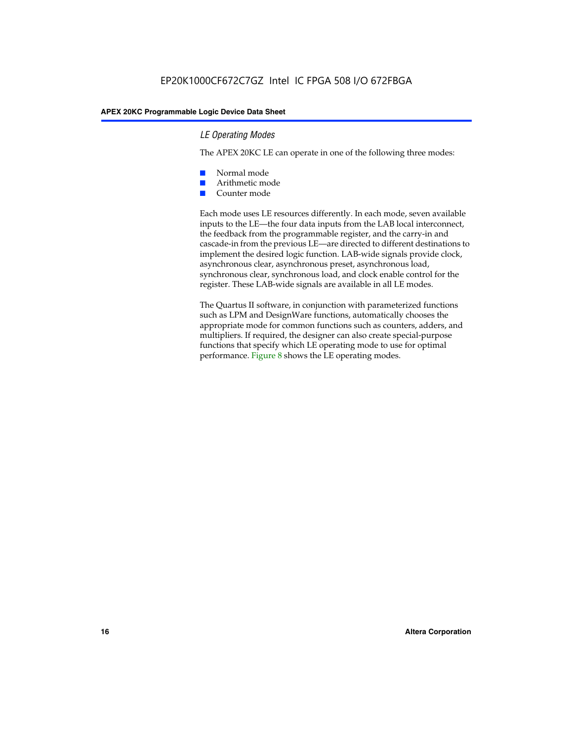#### *LE Operating Modes*

The APEX 20KC LE can operate in one of the following three modes:

- Normal mode
- Arithmetic mode
- Counter mode

Each mode uses LE resources differently. In each mode, seven available inputs to the LE—the four data inputs from the LAB local interconnect, the feedback from the programmable register, and the carry-in and cascade-in from the previous LE—are directed to different destinations to implement the desired logic function. LAB-wide signals provide clock, asynchronous clear, asynchronous preset, asynchronous load, synchronous clear, synchronous load, and clock enable control for the register. These LAB-wide signals are available in all LE modes.

The Quartus II software, in conjunction with parameterized functions such as LPM and DesignWare functions, automatically chooses the appropriate mode for common functions such as counters, adders, and multipliers. If required, the designer can also create special-purpose functions that specify which LE operating mode to use for optimal performance. Figure 8 shows the LE operating modes.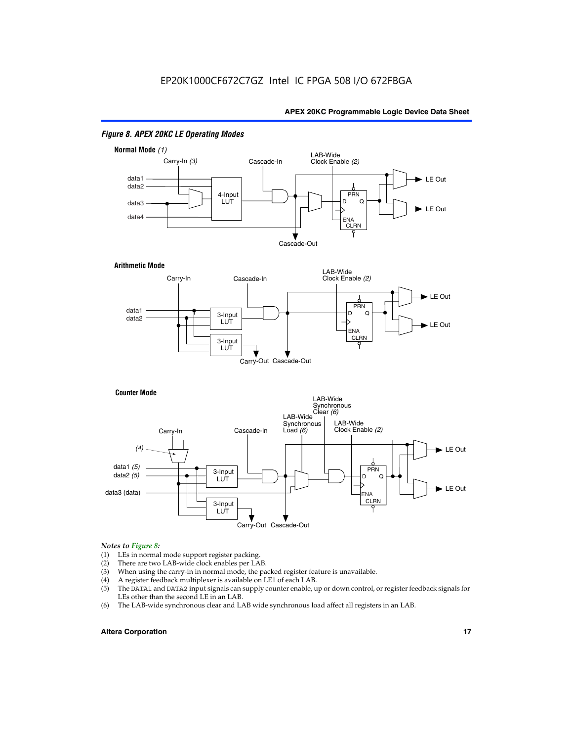

#### *Figure 8. APEX 20KC LE Operating Modes*

## *Notes to Figure 8:*

- (1) LEs in normal mode support register packing.<br>(2) There are two LAB-wide clock enables per LA
- (2) There are two LAB-wide clock enables per LAB.<br>(3) When using the carry-in in normal mode, the pa
- When using the carry-in in normal mode, the packed register feature is unavailable.
- (4) A register feedback multiplexer is available on LE1 of each LAB.
- (5) The DATA1 and DATA2 input signals can supply counter enable, up or down control, or register feedback signals for LEs other than the second LE in an LAB.
- (6) The LAB-wide synchronous clear and LAB wide synchronous load affect all registers in an LAB.

#### **Altera Corporation 17 17**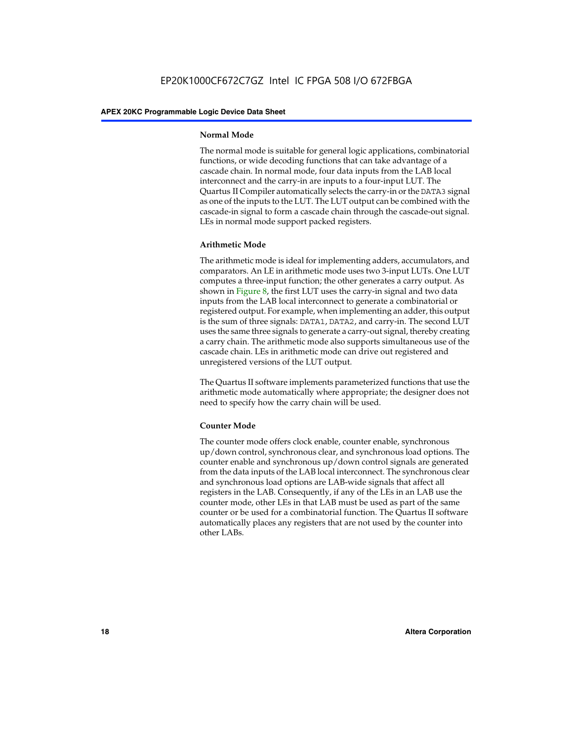#### **Normal Mode**

The normal mode is suitable for general logic applications, combinatorial functions, or wide decoding functions that can take advantage of a cascade chain. In normal mode, four data inputs from the LAB local interconnect and the carry-in are inputs to a four-input LUT. The Quartus II Compiler automatically selects the carry-in or the DATA3 signal as one of the inputs to the LUT. The LUT output can be combined with the cascade-in signal to form a cascade chain through the cascade-out signal. LEs in normal mode support packed registers.

#### **Arithmetic Mode**

The arithmetic mode is ideal for implementing adders, accumulators, and comparators. An LE in arithmetic mode uses two 3-input LUTs. One LUT computes a three-input function; the other generates a carry output. As shown in Figure 8, the first LUT uses the carry-in signal and two data inputs from the LAB local interconnect to generate a combinatorial or registered output. For example, when implementing an adder, this output is the sum of three signals: DATA1, DATA2, and carry-in. The second LUT uses the same three signals to generate a carry-out signal, thereby creating a carry chain. The arithmetic mode also supports simultaneous use of the cascade chain. LEs in arithmetic mode can drive out registered and unregistered versions of the LUT output.

The Quartus II software implements parameterized functions that use the arithmetic mode automatically where appropriate; the designer does not need to specify how the carry chain will be used.

#### **Counter Mode**

The counter mode offers clock enable, counter enable, synchronous up/down control, synchronous clear, and synchronous load options. The counter enable and synchronous up/down control signals are generated from the data inputs of the LAB local interconnect. The synchronous clear and synchronous load options are LAB-wide signals that affect all registers in the LAB. Consequently, if any of the LEs in an LAB use the counter mode, other LEs in that LAB must be used as part of the same counter or be used for a combinatorial function. The Quartus II software automatically places any registers that are not used by the counter into other LABs.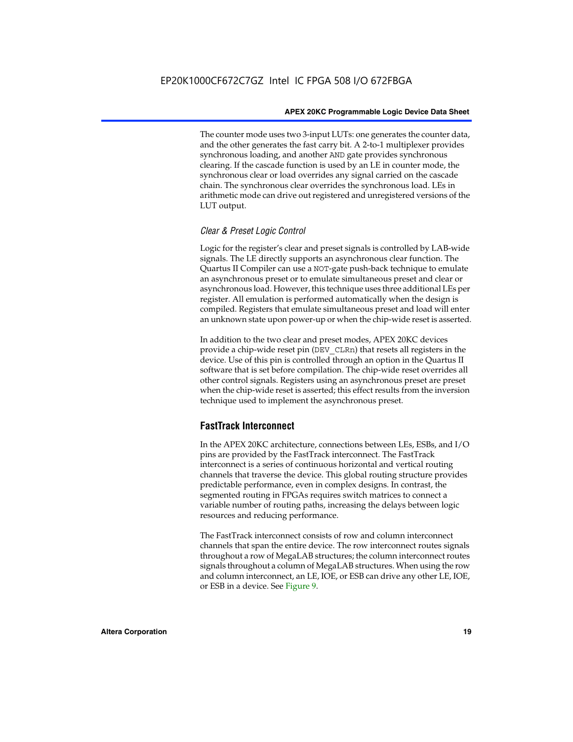The counter mode uses two 3-input LUTs: one generates the counter data, and the other generates the fast carry bit. A 2-to-1 multiplexer provides synchronous loading, and another AND gate provides synchronous clearing. If the cascade function is used by an LE in counter mode, the synchronous clear or load overrides any signal carried on the cascade chain. The synchronous clear overrides the synchronous load. LEs in arithmetic mode can drive out registered and unregistered versions of the LUT output.

#### *Clear & Preset Logic Control*

Logic for the register's clear and preset signals is controlled by LAB-wide signals. The LE directly supports an asynchronous clear function. The Quartus II Compiler can use a NOT-gate push-back technique to emulate an asynchronous preset or to emulate simultaneous preset and clear or asynchronous load. However, this technique uses three additional LEs per register. All emulation is performed automatically when the design is compiled. Registers that emulate simultaneous preset and load will enter an unknown state upon power-up or when the chip-wide reset is asserted.

In addition to the two clear and preset modes, APEX 20KC devices provide a chip-wide reset pin (DEV\_CLRn) that resets all registers in the device. Use of this pin is controlled through an option in the Quartus II software that is set before compilation. The chip-wide reset overrides all other control signals. Registers using an asynchronous preset are preset when the chip-wide reset is asserted; this effect results from the inversion technique used to implement the asynchronous preset.

#### **FastTrack Interconnect**

In the APEX 20KC architecture, connections between LEs, ESBs, and I/O pins are provided by the FastTrack interconnect. The FastTrack interconnect is a series of continuous horizontal and vertical routing channels that traverse the device. This global routing structure provides predictable performance, even in complex designs. In contrast, the segmented routing in FPGAs requires switch matrices to connect a variable number of routing paths, increasing the delays between logic resources and reducing performance.

The FastTrack interconnect consists of row and column interconnect channels that span the entire device. The row interconnect routes signals throughout a row of MegaLAB structures; the column interconnect routes signals throughout a column of MegaLAB structures. When using the row and column interconnect, an LE, IOE, or ESB can drive any other LE, IOE, or ESB in a device. See Figure 9.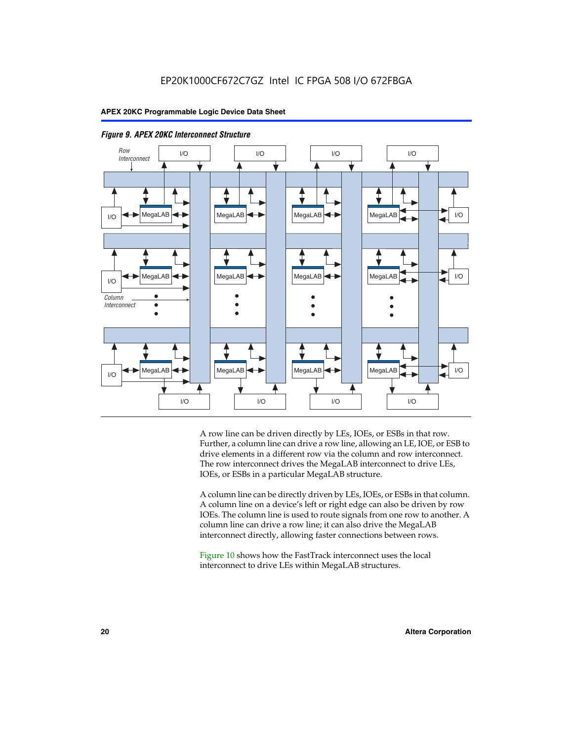



A row line can be driven directly by LEs, IOEs, or ESBs in that row. Further, a column line can drive a row line, allowing an LE, IOE, or ESB to drive elements in a different row via the column and row interconnect. The row interconnect drives the MegaLAB interconnect to drive LEs, IOEs, or ESBs in a particular MegaLAB structure.

A column line can be directly driven by LEs, IOEs, or ESBs in that column. A column line on a device's left or right edge can also be driven by row IOEs. The column line is used to route signals from one row to another. A column line can drive a row line; it can also drive the MegaLAB interconnect directly, allowing faster connections between rows.

Figure 10 shows how the FastTrack interconnect uses the local interconnect to drive LEs within MegaLAB structures.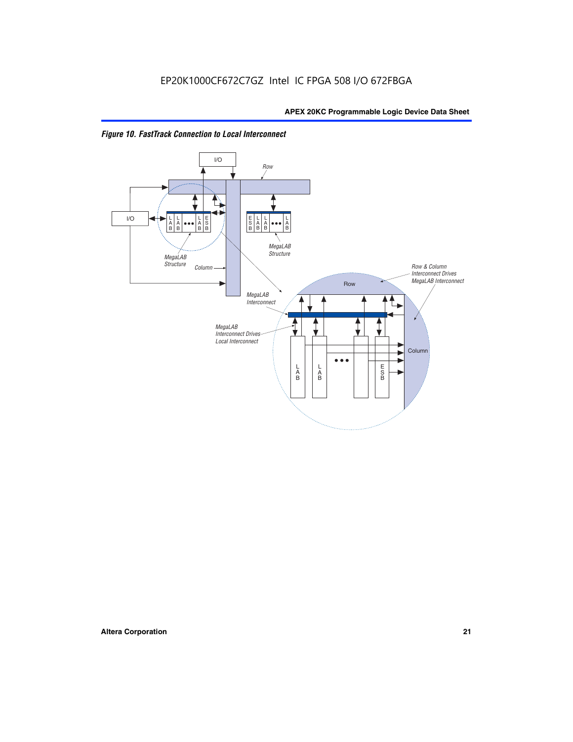

*Figure 10. FastTrack Connection to Local Interconnect*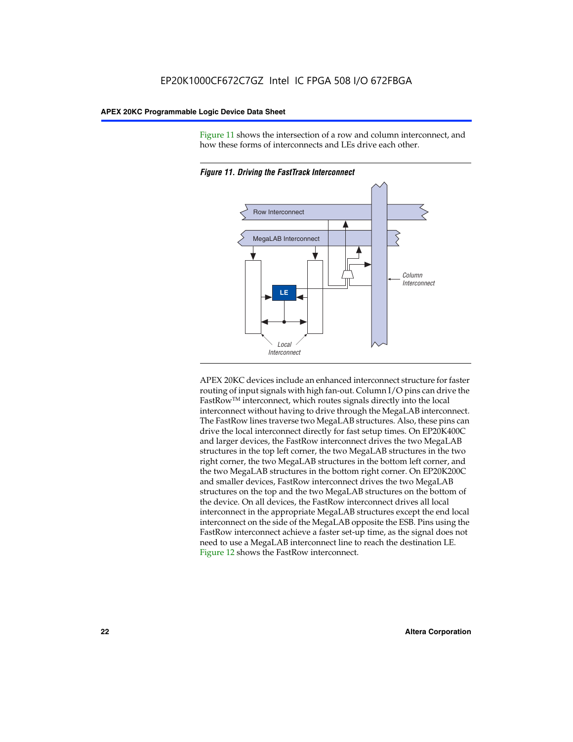Figure 11 shows the intersection of a row and column interconnect, and how these forms of interconnects and LEs drive each other.



*Figure 11. Driving the FastTrack Interconnect*

APEX 20KC devices include an enhanced interconnect structure for faster routing of input signals with high fan-out. Column I/O pins can drive the FastRowTM interconnect, which routes signals directly into the local interconnect without having to drive through the MegaLAB interconnect. The FastRow lines traverse two MegaLAB structures. Also, these pins can drive the local interconnect directly for fast setup times. On EP20K400C and larger devices, the FastRow interconnect drives the two MegaLAB structures in the top left corner, the two MegaLAB structures in the two right corner, the two MegaLAB structures in the bottom left corner, and the two MegaLAB structures in the bottom right corner. On EP20K200C and smaller devices, FastRow interconnect drives the two MegaLAB structures on the top and the two MegaLAB structures on the bottom of the device. On all devices, the FastRow interconnect drives all local interconnect in the appropriate MegaLAB structures except the end local interconnect on the side of the MegaLAB opposite the ESB. Pins using the FastRow interconnect achieve a faster set-up time, as the signal does not need to use a MegaLAB interconnect line to reach the destination LE. Figure 12 shows the FastRow interconnect.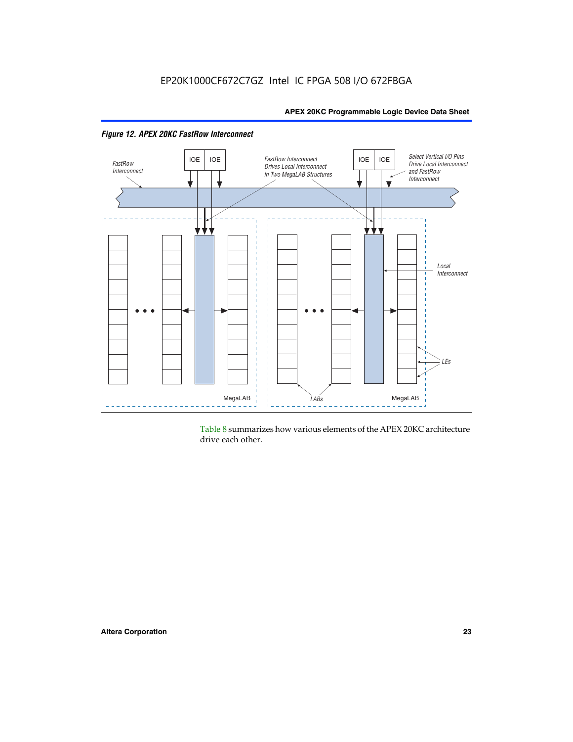

*Figure 12. APEX 20KC FastRow Interconnect*

Table 8 summarizes how various elements of the APEX 20KC architecture drive each other.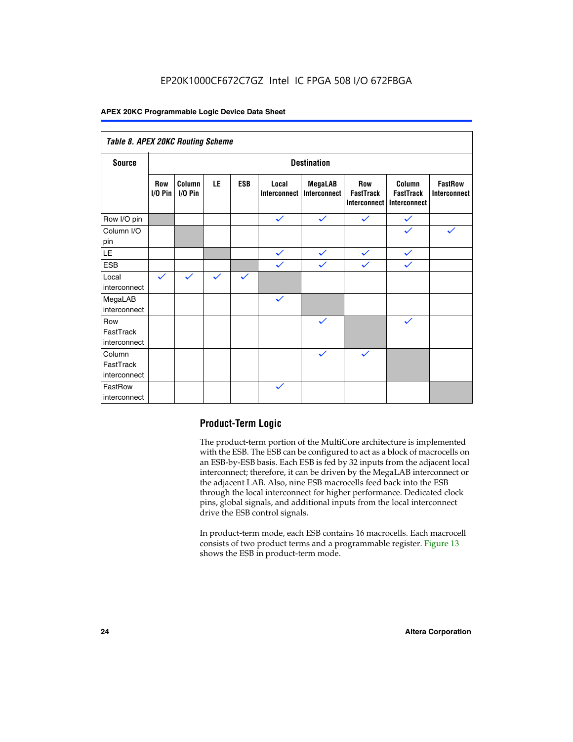### EP20K1000CF672C7GZ Intel IC FPGA 508 I/O 672FBGA

#### **APEX 20KC Programmable Logic Device Data Sheet**

| Table 8. APEX 20KC Routing Scheme   |                          |                     |              |              |                       |                         |                                                |                                            |                                       |
|-------------------------------------|--------------------------|---------------------|--------------|--------------|-----------------------|-------------------------|------------------------------------------------|--------------------------------------------|---------------------------------------|
| <b>Source</b>                       | <b>Destination</b>       |                     |              |              |                       |                         |                                                |                                            |                                       |
|                                     | <b>Row</b><br>$I/O P$ in | Column<br>$I/O$ Pin | LE           | <b>ESB</b>   | Local<br>Interconnect | MegaLAB<br>Interconnect | <b>Row</b><br><b>FastTrack</b><br>Interconnect | Column<br><b>FastTrack</b><br>Interconnect | <b>FastRow</b><br><b>Interconnect</b> |
| Row I/O pin                         |                          |                     |              |              | $\checkmark$          | $\checkmark$            | $\checkmark$                                   | $\checkmark$                               |                                       |
| Column I/O<br>pin                   |                          |                     |              |              |                       |                         |                                                | $\checkmark$                               | $\checkmark$                          |
| $\mathsf{LE}\,$                     |                          |                     |              |              | $\checkmark$          | $\checkmark$            | $\checkmark$                                   | $\checkmark$                               |                                       |
| <b>ESB</b>                          |                          |                     |              |              | $\checkmark$          | $\checkmark$            | $\checkmark$                                   | $\checkmark$                               |                                       |
| Local<br>interconnect               | $\checkmark$             | $\checkmark$        | $\checkmark$ | $\checkmark$ |                       |                         |                                                |                                            |                                       |
| MegaLAB<br>interconnect             |                          |                     |              |              | $\checkmark$          |                         |                                                |                                            |                                       |
| Row<br>FastTrack<br>interconnect    |                          |                     |              |              |                       | $\checkmark$            |                                                | $\checkmark$                               |                                       |
| Column<br>FastTrack<br>interconnect |                          |                     |              |              |                       | $\checkmark$            | $\checkmark$                                   |                                            |                                       |
| FastRow<br>interconnect             |                          |                     |              |              | $\checkmark$          |                         |                                                |                                            |                                       |

#### **Product-Term Logic**

The product-term portion of the MultiCore architecture is implemented with the ESB. The ESB can be configured to act as a block of macrocells on an ESB-by-ESB basis. Each ESB is fed by 32 inputs from the adjacent local interconnect; therefore, it can be driven by the MegaLAB interconnect or the adjacent LAB. Also, nine ESB macrocells feed back into the ESB through the local interconnect for higher performance. Dedicated clock pins, global signals, and additional inputs from the local interconnect drive the ESB control signals.

In product-term mode, each ESB contains 16 macrocells. Each macrocell consists of two product terms and a programmable register. Figure 13 shows the ESB in product-term mode.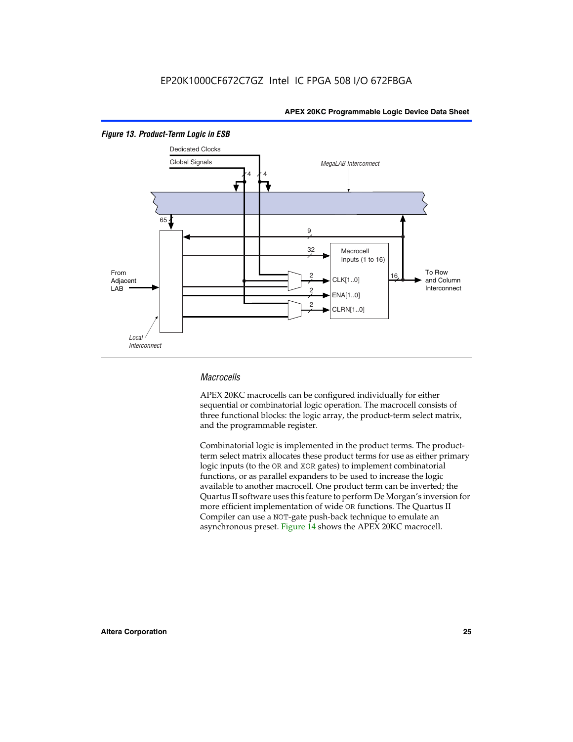

#### *Figure 13. Product-Term Logic in ESB*

#### *Macrocells*

APEX 20KC macrocells can be configured individually for either sequential or combinatorial logic operation. The macrocell consists of three functional blocks: the logic array, the product-term select matrix, and the programmable register.

Combinatorial logic is implemented in the product terms. The productterm select matrix allocates these product terms for use as either primary logic inputs (to the OR and XOR gates) to implement combinatorial functions, or as parallel expanders to be used to increase the logic available to another macrocell. One product term can be inverted; the Quartus II software uses this feature to perform De Morgan's inversion for more efficient implementation of wide OR functions. The Quartus II Compiler can use a NOT-gate push-back technique to emulate an asynchronous preset. Figure 14 shows the APEX 20KC macrocell.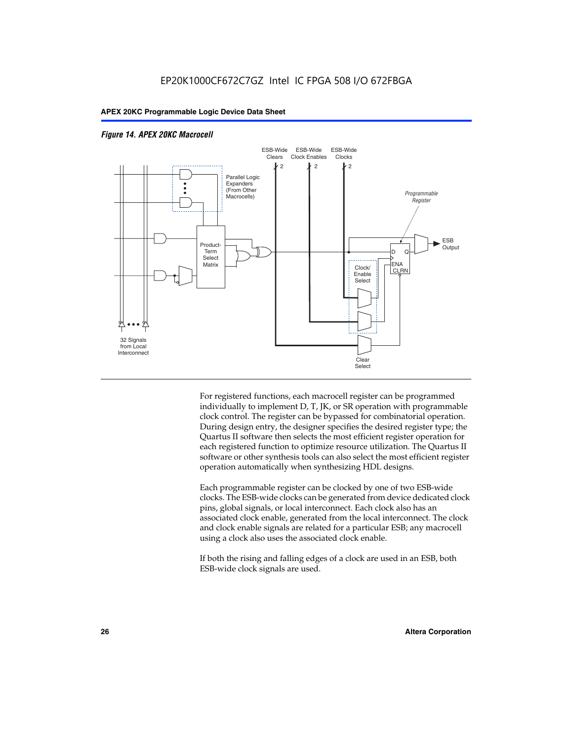

#### *Figure 14. APEX 20KC Macrocell*

For registered functions, each macrocell register can be programmed individually to implement D, T, JK, or SR operation with programmable clock control. The register can be bypassed for combinatorial operation. During design entry, the designer specifies the desired register type; the Quartus II software then selects the most efficient register operation for each registered function to optimize resource utilization. The Quartus II software or other synthesis tools can also select the most efficient register operation automatically when synthesizing HDL designs.

Each programmable register can be clocked by one of two ESB-wide clocks. The ESB-wide clocks can be generated from device dedicated clock pins, global signals, or local interconnect. Each clock also has an associated clock enable, generated from the local interconnect. The clock and clock enable signals are related for a particular ESB; any macrocell using a clock also uses the associated clock enable.

If both the rising and falling edges of a clock are used in an ESB, both ESB-wide clock signals are used.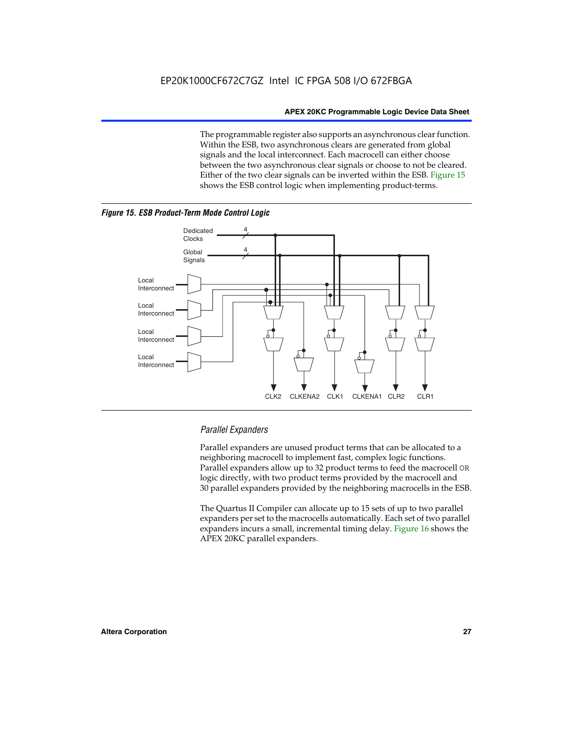The programmable register also supports an asynchronous clear function. Within the ESB, two asynchronous clears are generated from global signals and the local interconnect. Each macrocell can either choose between the two asynchronous clear signals or choose to not be cleared. Either of the two clear signals can be inverted within the ESB. Figure 15 shows the ESB control logic when implementing product-terms.





#### *Parallel Expanders*

Parallel expanders are unused product terms that can be allocated to a neighboring macrocell to implement fast, complex logic functions. Parallel expanders allow up to 32 product terms to feed the macrocell OR logic directly, with two product terms provided by the macrocell and 30 parallel expanders provided by the neighboring macrocells in the ESB.

CLK2 CLKENA2 CLK1 CLKENA1 CLR2 CLR1

The Quartus II Compiler can allocate up to 15 sets of up to two parallel expanders per set to the macrocells automatically. Each set of two parallel expanders incurs a small, incremental timing delay. Figure 16 shows the APEX 20KC parallel expanders.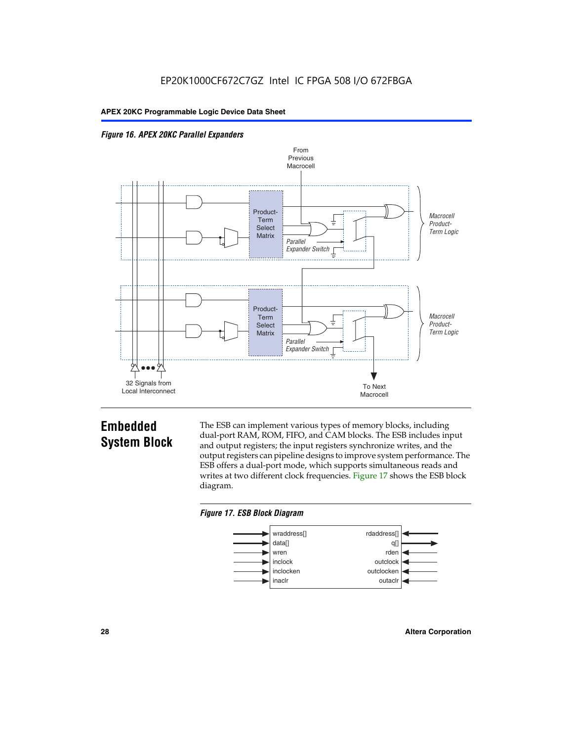



## **Embedded System Block**

The ESB can implement various types of memory blocks, including dual-port RAM, ROM, FIFO, and CAM blocks. The ESB includes input and output registers; the input registers synchronize writes, and the output registers can pipeline designs to improve system performance. The ESB offers a dual-port mode, which supports simultaneous reads and writes at two different clock frequencies. Figure 17 shows the ESB block diagram.



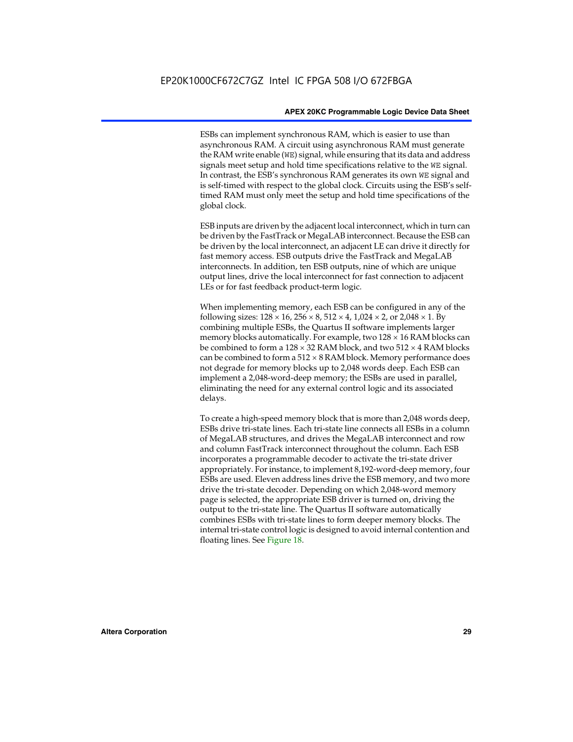ESBs can implement synchronous RAM, which is easier to use than asynchronous RAM. A circuit using asynchronous RAM must generate the RAM write enable (WE) signal, while ensuring that its data and address signals meet setup and hold time specifications relative to the WE signal. In contrast, the ESB's synchronous RAM generates its own WE signal and is self-timed with respect to the global clock. Circuits using the ESB's selftimed RAM must only meet the setup and hold time specifications of the global clock.

ESB inputs are driven by the adjacent local interconnect, which in turn can be driven by the FastTrack or MegaLAB interconnect. Because the ESB can be driven by the local interconnect, an adjacent LE can drive it directly for fast memory access. ESB outputs drive the FastTrack and MegaLAB interconnects. In addition, ten ESB outputs, nine of which are unique output lines, drive the local interconnect for fast connection to adjacent LEs or for fast feedback product-term logic.

When implementing memory, each ESB can be configured in any of the following sizes:  $128 \times 16$ ,  $256 \times 8$ ,  $512 \times 4$ ,  $1,024 \times 2$ , or  $2,048 \times 1$ . By combining multiple ESBs, the Quartus II software implements larger memory blocks automatically. For example, two  $128 \times 16$  RAM blocks can be combined to form a  $128 \times 32$  RAM block, and two  $512 \times 4$  RAM blocks can be combined to form a  $512 \times 8$  RAM block. Memory performance does not degrade for memory blocks up to 2,048 words deep. Each ESB can implement a 2,048-word-deep memory; the ESBs are used in parallel, eliminating the need for any external control logic and its associated delays.

To create a high-speed memory block that is more than 2,048 words deep, ESBs drive tri-state lines. Each tri-state line connects all ESBs in a column of MegaLAB structures, and drives the MegaLAB interconnect and row and column FastTrack interconnect throughout the column. Each ESB incorporates a programmable decoder to activate the tri-state driver appropriately. For instance, to implement 8,192-word-deep memory, four ESBs are used. Eleven address lines drive the ESB memory, and two more drive the tri-state decoder. Depending on which 2,048-word memory page is selected, the appropriate ESB driver is turned on, driving the output to the tri-state line. The Quartus II software automatically combines ESBs with tri-state lines to form deeper memory blocks. The internal tri-state control logic is designed to avoid internal contention and floating lines. See Figure 18.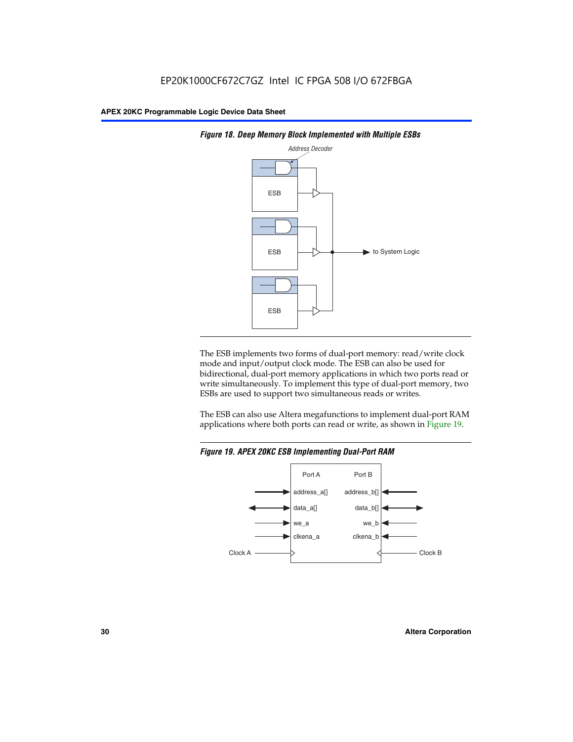



The ESB implements two forms of dual-port memory: read/write clock mode and input/output clock mode. The ESB can also be used for bidirectional, dual-port memory applications in which two ports read or write simultaneously. To implement this type of dual-port memory, two ESBs are used to support two simultaneous reads or writes.

The ESB can also use Altera megafunctions to implement dual-port RAM applications where both ports can read or write, as shown in Figure 19.



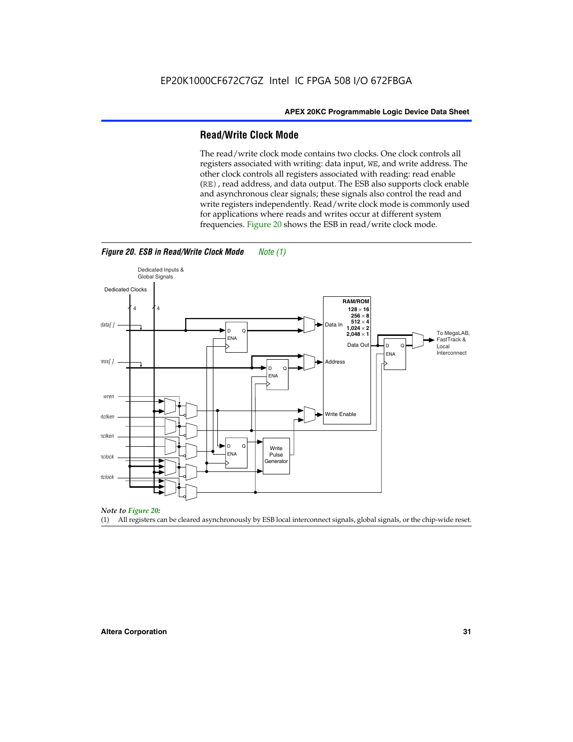#### **Read/Write Clock Mode**

The read/write clock mode contains two clocks. One clock controls all registers associated with writing: data input, WE, and write address. The other clock controls all registers associated with reading: read enable (RE), read address, and data output. The ESB also supports clock enable and asynchronous clear signals; these signals also control the read and write registers independently. Read/write clock mode is commonly used for applications where reads and writes occur at different system frequencies. Figure 20 shows the ESB in read/write clock mode.



*Figure 20. ESB in Read/Write Clock Mode Note (1)*

*Note to Figure 20:*

(1) All registers can be cleared asynchronously by ESB local interconnect signals, global signals, or the chip-wide reset.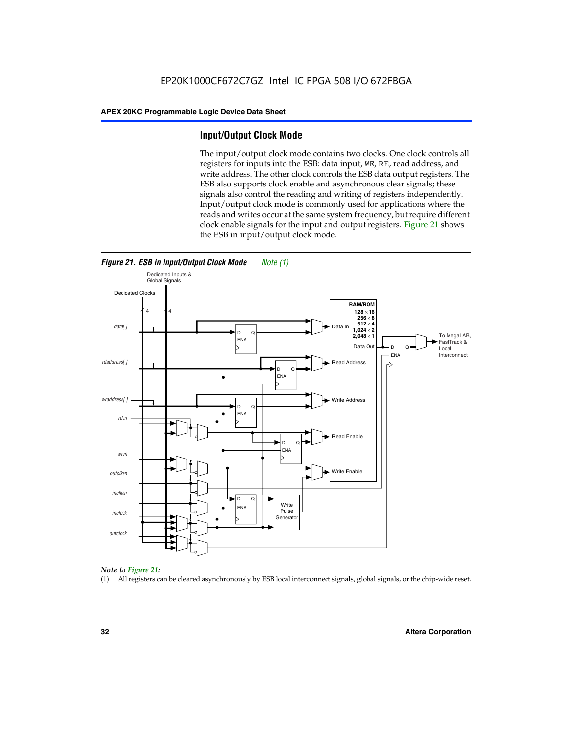#### **Input/Output Clock Mode**

The input/output clock mode contains two clocks. One clock controls all registers for inputs into the ESB: data input, WE, RE, read address, and write address. The other clock controls the ESB data output registers. The ESB also supports clock enable and asynchronous clear signals; these signals also control the reading and writing of registers independently. Input/output clock mode is commonly used for applications where the reads and writes occur at the same system frequency, but require different clock enable signals for the input and output registers. Figure 21 shows the ESB in input/output clock mode.





#### *Note to Figure 21:*

(1) All registers can be cleared asynchronously by ESB local interconnect signals, global signals, or the chip-wide reset.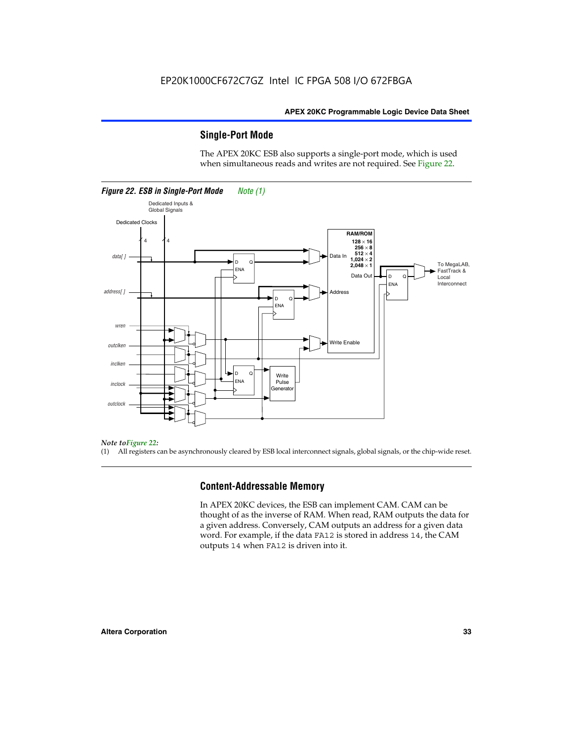#### **Single-Port Mode**

The APEX 20KC ESB also supports a single-port mode, which is used when simultaneous reads and writes are not required. See Figure 22.



#### *Note toFigure 22:*

(1) All registers can be asynchronously cleared by ESB local interconnect signals, global signals, or the chip-wide reset.

#### **Content-Addressable Memory**

In APEX 20KC devices, the ESB can implement CAM. CAM can be thought of as the inverse of RAM. When read, RAM outputs the data for a given address. Conversely, CAM outputs an address for a given data word. For example, if the data FA12 is stored in address 14, the CAM outputs 14 when FA12 is driven into it.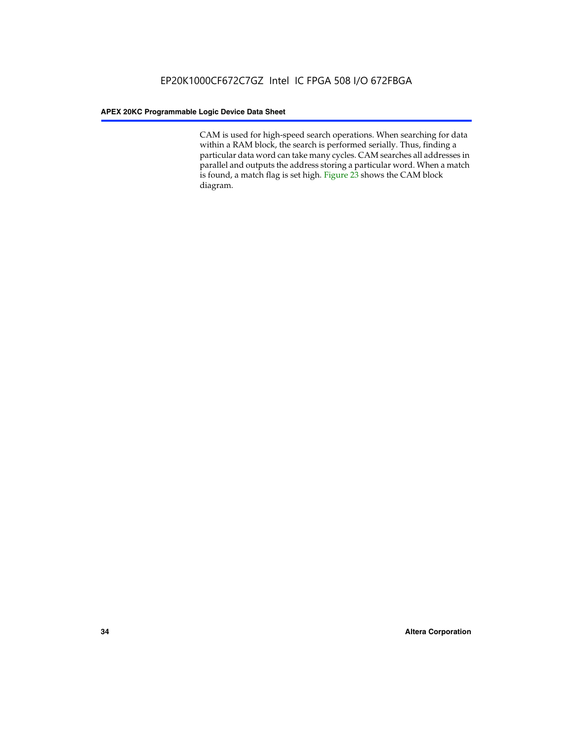CAM is used for high-speed search operations. When searching for data within a RAM block, the search is performed serially. Thus, finding a particular data word can take many cycles. CAM searches all addresses in parallel and outputs the address storing a particular word. When a match is found, a match flag is set high. Figure 23 shows the CAM block diagram.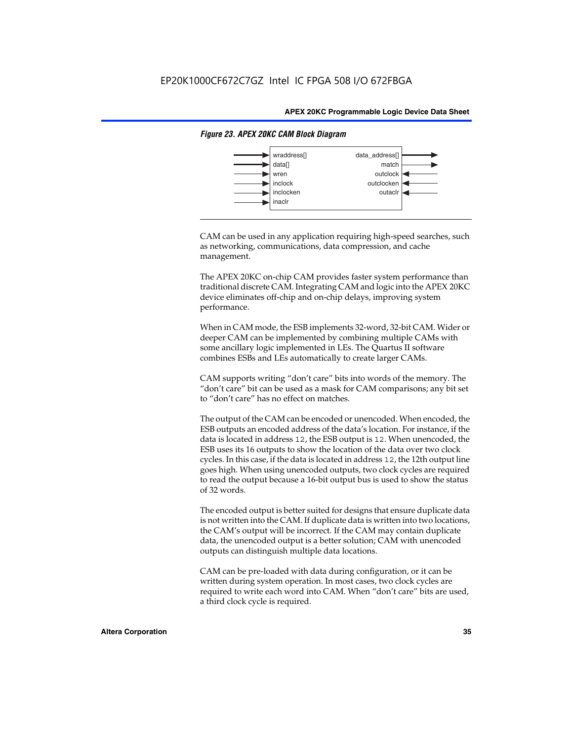

#### *Figure 23. APEX 20KC CAM Block Diagram*

CAM can be used in any application requiring high-speed searches, such as networking, communications, data compression, and cache management.

The APEX 20KC on-chip CAM provides faster system performance than traditional discrete CAM. Integrating CAM and logic into the APEX 20KC device eliminates off-chip and on-chip delays, improving system performance.

When in CAM mode, the ESB implements 32-word, 32-bit CAM. Wider or deeper CAM can be implemented by combining multiple CAMs with some ancillary logic implemented in LEs. The Quartus II software combines ESBs and LEs automatically to create larger CAMs.

CAM supports writing "don't care" bits into words of the memory. The "don't care" bit can be used as a mask for CAM comparisons; any bit set to "don't care" has no effect on matches.

The output of the CAM can be encoded or unencoded. When encoded, the ESB outputs an encoded address of the data's location. For instance, if the data is located in address 12, the ESB output is 12. When unencoded, the ESB uses its 16 outputs to show the location of the data over two clock cycles. In this case, if the data is located in address 12, the 12th output line goes high. When using unencoded outputs, two clock cycles are required to read the output because a 16-bit output bus is used to show the status of 32 words.

The encoded output is better suited for designs that ensure duplicate data is not written into the CAM. If duplicate data is written into two locations, the CAM's output will be incorrect. If the CAM may contain duplicate data, the unencoded output is a better solution; CAM with unencoded outputs can distinguish multiple data locations.

CAM can be pre-loaded with data during configuration, or it can be written during system operation. In most cases, two clock cycles are required to write each word into CAM. When "don't care" bits are used, a third clock cycle is required.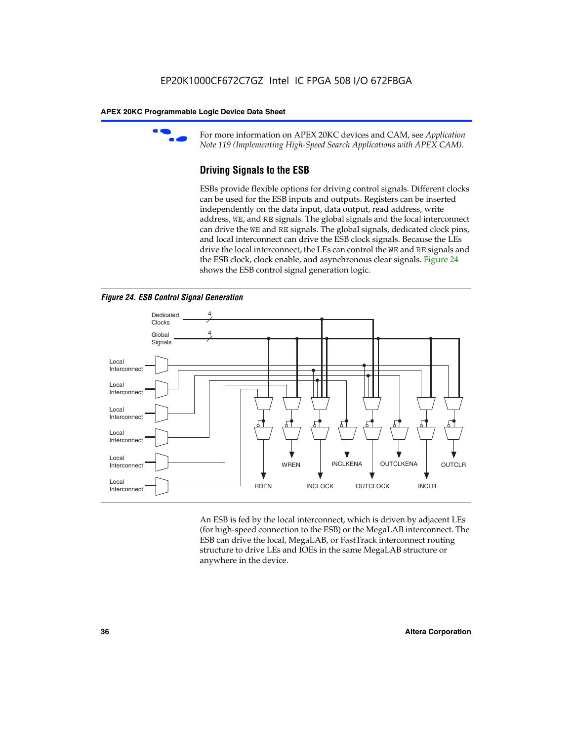

For more information on APEX 20KC devices and CAM, see *Application Note 119 (Implementing High-Speed Search Applications with APEX CAM).*

# **Driving Signals to the ESB**

ESBs provide flexible options for driving control signals. Different clocks can be used for the ESB inputs and outputs. Registers can be inserted independently on the data input, data output, read address, write address, WE, and RE signals. The global signals and the local interconnect can drive the WE and RE signals. The global signals, dedicated clock pins, and local interconnect can drive the ESB clock signals. Because the LEs drive the local interconnect, the LEs can control the WE and RE signals and the ESB clock, clock enable, and asynchronous clear signals. Figure 24 shows the ESB control signal generation logic.





An ESB is fed by the local interconnect, which is driven by adjacent LEs (for high-speed connection to the ESB) or the MegaLAB interconnect. The ESB can drive the local, MegaLAB, or FastTrack interconnect routing structure to drive LEs and IOEs in the same MegaLAB structure or anywhere in the device.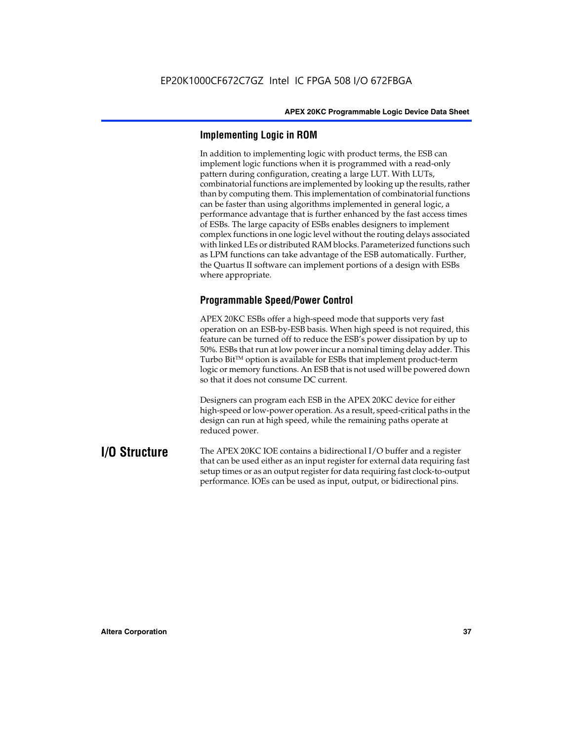# **Implementing Logic in ROM**

In addition to implementing logic with product terms, the ESB can implement logic functions when it is programmed with a read-only pattern during configuration, creating a large LUT. With LUTs, combinatorial functions are implemented by looking up the results, rather than by computing them. This implementation of combinatorial functions can be faster than using algorithms implemented in general logic, a performance advantage that is further enhanced by the fast access times of ESBs. The large capacity of ESBs enables designers to implement complex functions in one logic level without the routing delays associated with linked LEs or distributed RAM blocks. Parameterized functions such as LPM functions can take advantage of the ESB automatically. Further, the Quartus II software can implement portions of a design with ESBs where appropriate.

# **Programmable Speed/Power Control**

APEX 20KC ESBs offer a high-speed mode that supports very fast operation on an ESB-by-ESB basis. When high speed is not required, this feature can be turned off to reduce the ESB's power dissipation by up to 50%. ESBs that run at low power incur a nominal timing delay adder. This Turbo  $Bit^{TM}$  option is available for ESBs that implement product-term logic or memory functions. An ESB that is not used will be powered down so that it does not consume DC current.

Designers can program each ESB in the APEX 20KC device for either high-speed or low-power operation. As a result, speed-critical paths in the design can run at high speed, while the remaining paths operate at reduced power.

**I/O Structure** The APEX 20KC IOE contains a bidirectional I/O buffer and a register that can be used either as an input register for external data requiring fast setup times or as an output register for data requiring fast clock-to-output performance. IOEs can be used as input, output, or bidirectional pins.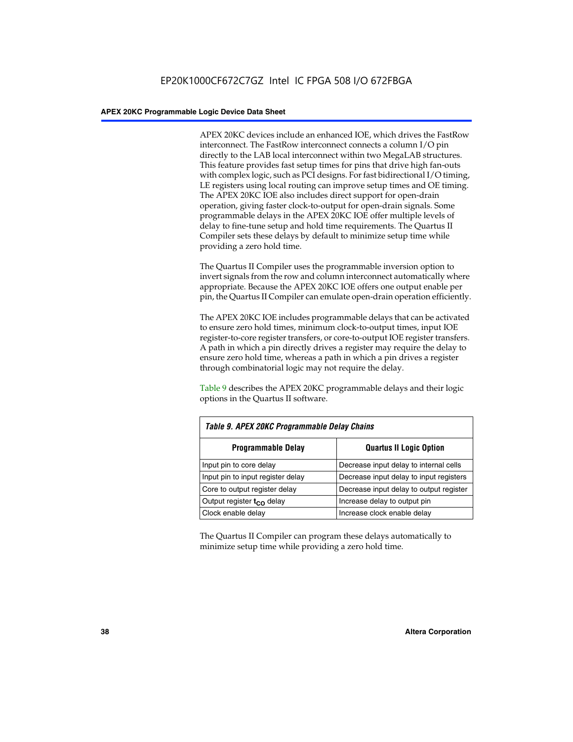APEX 20KC devices include an enhanced IOE, which drives the FastRow interconnect. The FastRow interconnect connects a column I/O pin directly to the LAB local interconnect within two MegaLAB structures. This feature provides fast setup times for pins that drive high fan-outs with complex logic, such as PCI designs. For fast bidirectional I/O timing, LE registers using local routing can improve setup times and OE timing. The APEX 20KC IOE also includes direct support for open-drain operation, giving faster clock-to-output for open-drain signals. Some programmable delays in the APEX 20KC IOE offer multiple levels of delay to fine-tune setup and hold time requirements. The Quartus II Compiler sets these delays by default to minimize setup time while providing a zero hold time.

The Quartus II Compiler uses the programmable inversion option to invert signals from the row and column interconnect automatically where appropriate. Because the APEX 20KC IOE offers one output enable per pin, the Quartus II Compiler can emulate open-drain operation efficiently.

The APEX 20KC IOE includes programmable delays that can be activated to ensure zero hold times, minimum clock-to-output times, input IOE register-to-core register transfers, or core-to-output IOE register transfers. A path in which a pin directly drives a register may require the delay to ensure zero hold time, whereas a path in which a pin drives a register through combinatorial logic may not require the delay.

Table 9 describes the APEX 20KC programmable delays and their logic options in the Quartus II software.

| Table 9. APEX 20KC Programmable Delay Chains |                                         |  |  |  |
|----------------------------------------------|-----------------------------------------|--|--|--|
| <b>Programmable Delay</b>                    | <b>Quartus II Logic Option</b>          |  |  |  |
| Input pin to core delay                      | Decrease input delay to internal cells  |  |  |  |
| Input pin to input register delay            | Decrease input delay to input registers |  |  |  |
| Core to output register delay                | Decrease input delay to output register |  |  |  |
| Output register $t_{\rm CO}$ delay           | Increase delay to output pin            |  |  |  |
| Clock enable delay                           | Increase clock enable delay             |  |  |  |

The Quartus II Compiler can program these delays automatically to minimize setup time while providing a zero hold time.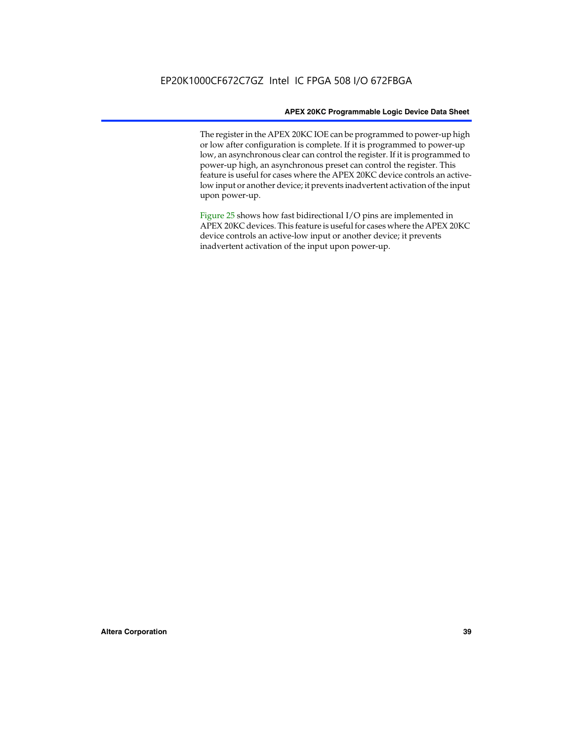The register in the APEX 20KC IOE can be programmed to power-up high or low after configuration is complete. If it is programmed to power-up low, an asynchronous clear can control the register. If it is programmed to power-up high, an asynchronous preset can control the register. This feature is useful for cases where the APEX 20KC device controls an activelow input or another device; it prevents inadvertent activation of the input upon power-up.

Figure 25 shows how fast bidirectional I/O pins are implemented in APEX 20KC devices. This feature is useful for cases where the APEX 20KC device controls an active-low input or another device; it prevents inadvertent activation of the input upon power-up.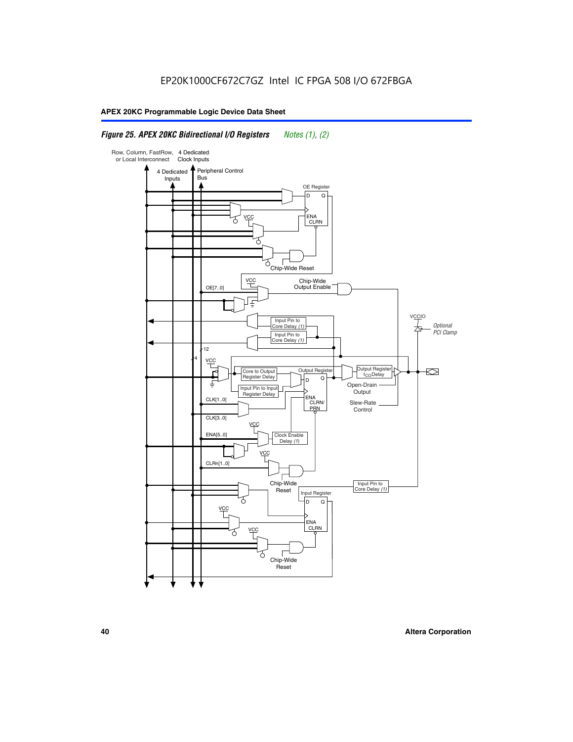# *Figure 25. APEX 20KC Bidirectional I/O Registers Notes (1), (2)*

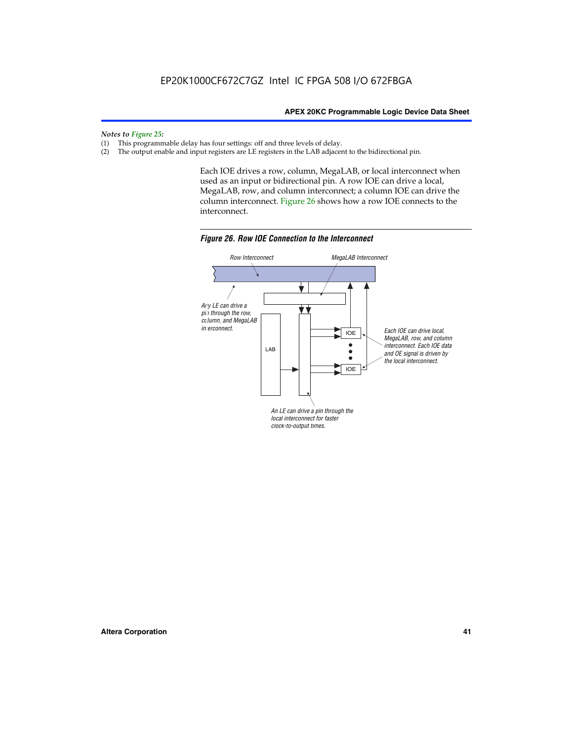*Notes to Figure 25:*

- (1) This programmable delay has four settings: off and three levels of delay.<br>(2) The output enable and input registers are LE registers in the LAB adjacer
- The output enable and input registers are LE registers in the LAB adjacent to the bidirectional pin.

Each IOE drives a row, column, MegaLAB, or local interconnect when used as an input or bidirectional pin. A row IOE can drive a local, MegaLAB, row, and column interconnect; a column IOE can drive the column interconnect. Figure 26 shows how a row IOE connects to the interconnect.



*Figure 26. Row IOE Connection to the Interconnect*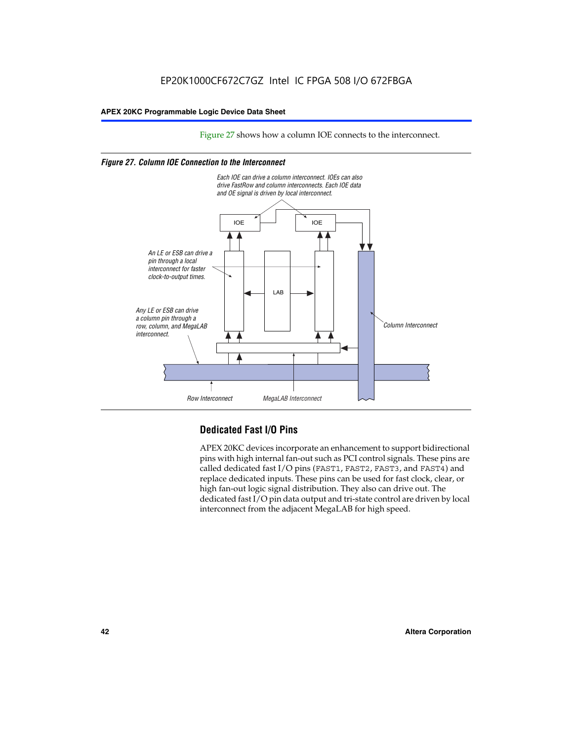Figure 27 shows how a column IOE connects to the interconnect.

### *Figure 27. Column IOE Connection to the Interconnect*



# **Dedicated Fast I/O Pins**

APEX 20KC devices incorporate an enhancement to support bidirectional pins with high internal fan-out such as PCI control signals. These pins are called dedicated fast I/O pins (FAST1, FAST2, FAST3, and FAST4) and replace dedicated inputs. These pins can be used for fast clock, clear, or high fan-out logic signal distribution. They also can drive out. The dedicated fast I/O pin data output and tri-state control are driven by local interconnect from the adjacent MegaLAB for high speed.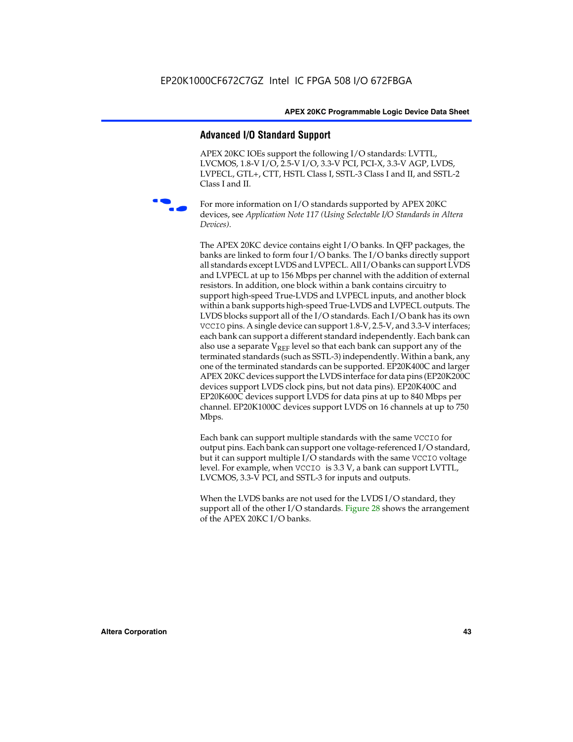# **Advanced I/O Standard Support**

APEX 20KC IOEs support the following I/O standards: LVTTL, LVCMOS, 1.8-V I/O, 2.5-V I/O, 3.3-V PCI, PCI-X, 3.3-V AGP, LVDS, LVPECL, GTL+, CTT, HSTL Class I, SSTL-3 Class I and II, and SSTL-2 Class I and II.



For more information on I/O standards supported by APEX 20KC devices, see *Application Note 117 (Using Selectable I/O Standards in Altera Devices)*.

The APEX 20KC device contains eight I/O banks. In QFP packages, the banks are linked to form four I/O banks. The I/O banks directly support all standards except LVDS and LVPECL. All I/O banks can support LVDS and LVPECL at up to 156 Mbps per channel with the addition of external resistors. In addition, one block within a bank contains circuitry to support high-speed True-LVDS and LVPECL inputs, and another block within a bank supports high-speed True-LVDS and LVPECL outputs. The LVDS blocks support all of the I/O standards. Each I/O bank has its own VCCIO pins. A single device can support 1.8-V, 2.5-V, and 3.3-V interfaces; each bank can support a different standard independently. Each bank can also use a separate  $V_{REF}$  level so that each bank can support any of the terminated standards (such as SSTL-3) independently. Within a bank, any one of the terminated standards can be supported. EP20K400C and larger APEX 20KC devices support the LVDS interface for data pins (EP20K200C devices support LVDS clock pins, but not data pins). EP20K400C and EP20K600C devices support LVDS for data pins at up to 840 Mbps per channel. EP20K1000C devices support LVDS on 16 channels at up to 750 Mbps.

Each bank can support multiple standards with the same VCCIO for output pins. Each bank can support one voltage-referenced I/O standard, but it can support multiple I/O standards with the same VCCIO voltage level. For example, when VCCIO is 3.3 V, a bank can support LVTTL, LVCMOS, 3.3-V PCI, and SSTL-3 for inputs and outputs.

When the LVDS banks are not used for the LVDS I/O standard, they support all of the other I/O standards. Figure 28 shows the arrangement of the APEX 20KC I/O banks.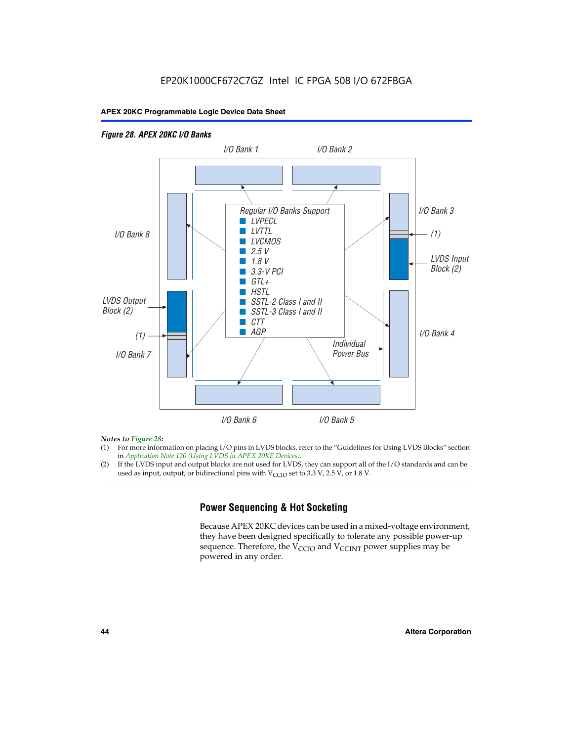## *Figure 28. APEX 20KC I/O Banks LVDS Input Block (2) (1) LVDS Output Block (2) (1) Individual Power Bus I/O Bank 8 I/O Bank 1 I/O Bank 2 I/O Bank 3 I/O Bank 4 I/O Bank 6 I/O Bank 5 I/O Bank 7 Regular I/O Banks Support* ■ *LVPECL* ■ *LVTTL* ■ *LVCMOS* ■ *2.5 V* ■ *1.8 V* ■ *3.3-V PCI* ■ *GTL+* ■ *HSTL* ■ *SSTL-2 Class I and II* ■ *SSTL-3 Class I and II* ■ *CTT* ■ *AGP*

### *Notes to Figure 28:*

- (1) For more information on placing I/O pins in LVDS blocks, refer to the "Guidelines for Using LVDS Blocks" section in *Application Note 120 (Using LVDS in APEX 20KE Devices)*.
- (2) If the LVDS input and output blocks are not used for LVDS, they can support all of the I/O standards and can be used as input, output, or bidirectional pins with  $V_{\text{CCIO}}$  set to 3.3 V, 2.5 V, or 1.8 V.

# **Power Sequencing & Hot Socketing**

Because APEX 20KC devices can be used in a mixed-voltage environment, they have been designed specifically to tolerate any possible power-up sequence. Therefore, the  $V_{\text{CCIO}}$  and  $V_{\text{CCINT}}$  power supplies may be powered in any order.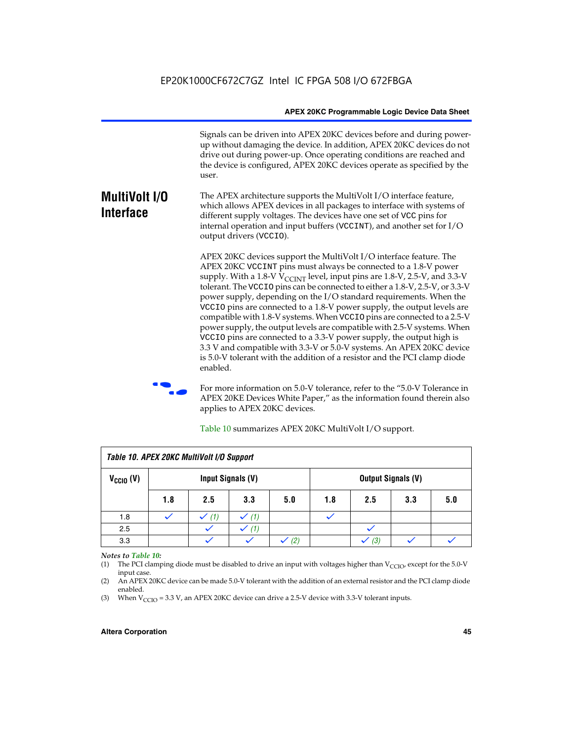Signals can be driven into APEX 20KC devices before and during powerup without damaging the device. In addition, APEX 20KC devices do not drive out during power-up. Once operating conditions are reached and the device is configured, APEX 20KC devices operate as specified by the user.

#### **MultiVolt I/O Interface** The APEX architecture supports the MultiVolt I/O interface feature, which allows APEX devices in all packages to interface with systems of different supply voltages. The devices have one set of VCC pins for internal operation and input buffers (VCCINT), and another set for I/O output drivers (VCCIO).

APEX 20KC devices support the MultiVolt I/O interface feature. The APEX 20KC VCCINT pins must always be connected to a 1.8-V power supply. With a 1.8-V  $V_{\text{CCINT}}$  level, input pins are 1.8-V, 2.5-V, and 3.3-V tolerant. The VCCIO pins can be connected to either a 1.8-V, 2.5-V, or 3.3-V power supply, depending on the I/O standard requirements. When the VCCIO pins are connected to a 1.8-V power supply, the output levels are compatible with 1.8-V systems. When VCCIO pins are connected to a 2.5-V power supply, the output levels are compatible with 2.5-V systems. When VCCIO pins are connected to a 3.3-V power supply, the output high is 3.3 V and compatible with 3.3-V or 5.0-V systems. An APEX 20KC device is 5.0-V tolerant with the addition of a resistor and the PCI clamp diode enabled.

For more information on 5.0-V tolerance, refer to the "5.0-V Tolerance in APEX 20KE Devices White Paper," as the information found therein also applies to APEX 20KC devices.

| Table 10. APEX 20KC MultiVolt I/O Support |                   |     |          |     |                           |     |     |     |
|-------------------------------------------|-------------------|-----|----------|-----|---------------------------|-----|-----|-----|
| $V_{\text{CCIO}}(V)$                      | Input Signals (V) |     |          |     | <b>Output Signals (V)</b> |     |     |     |
|                                           | 1.8               | 2.5 | 3.3      | 5.0 | 1.8                       | 2.5 | 3.3 | 5.0 |
| 1.8                                       |                   | (1) | (1)      |     |                           |     |     |     |
| 2.5                                       |                   |     | (1)<br>✓ |     |                           |     |     |     |
| 3.3                                       |                   |     |          | (2) |                           | (3) |     |     |

Table 10 summarizes APEX 20KC MultiVolt I/O support.

#### *Notes to Table 10:*

(1) The PCI clamping diode must be disabled to drive an input with voltages higher than  $V_{C CIO}$ , except for the 5.0-V input case.

(2) An APEX 20KC device can be made 5.0-V tolerant with the addition of an external resistor and the PCI clamp diode enabled.

(3) When  $V_{\text{CCIO}} = 3.3$  V, an APEX 20KC device can drive a 2.5-V device with 3.3-V tolerant inputs.

### **Altera Corporation 45**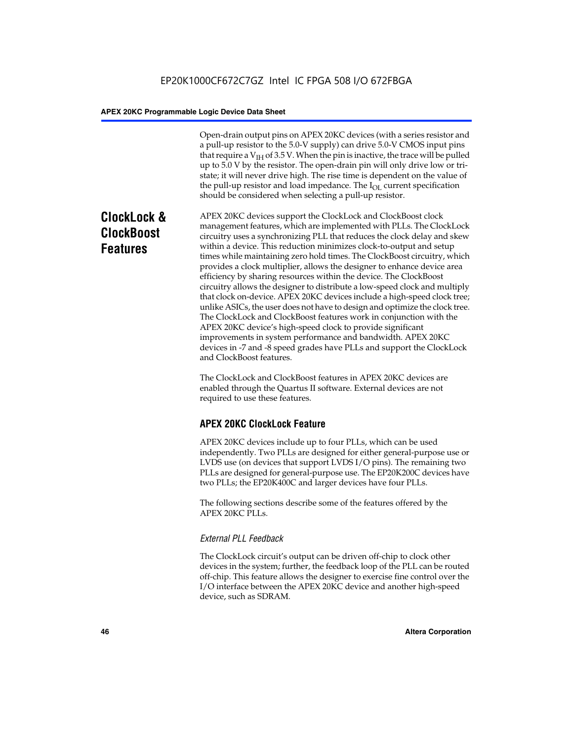Open-drain output pins on APEX 20KC devices (with a series resistor and a pull-up resistor to the 5.0-V supply) can drive 5.0-V CMOS input pins that require a  $V<sub>IH</sub>$  of 3.5 V. When the pin is inactive, the trace will be pulled up to 5.0 V by the resistor. The open-drain pin will only drive low or tristate; it will never drive high. The rise time is dependent on the value of the pull-up resistor and load impedance. The  $I_{OL}$  current specification should be considered when selecting a pull-up resistor.

# **ClockLock & ClockBoost Features**

APEX 20KC devices support the ClockLock and ClockBoost clock management features, which are implemented with PLLs. The ClockLock circuitry uses a synchronizing PLL that reduces the clock delay and skew within a device. This reduction minimizes clock-to-output and setup times while maintaining zero hold times. The ClockBoost circuitry, which provides a clock multiplier, allows the designer to enhance device area efficiency by sharing resources within the device. The ClockBoost circuitry allows the designer to distribute a low-speed clock and multiply that clock on-device. APEX 20KC devices include a high-speed clock tree; unlike ASICs, the user does not have to design and optimize the clock tree. The ClockLock and ClockBoost features work in conjunction with the APEX 20KC device's high-speed clock to provide significant improvements in system performance and bandwidth. APEX 20KC devices in -7 and -8 speed grades have PLLs and support the ClockLock and ClockBoost features.

The ClockLock and ClockBoost features in APEX 20KC devices are enabled through the Quartus II software. External devices are not required to use these features.

# **APEX 20KC ClockLock Feature**

APEX 20KC devices include up to four PLLs, which can be used independently. Two PLLs are designed for either general-purpose use or LVDS use (on devices that support LVDS I/O pins). The remaining two PLLs are designed for general-purpose use. The EP20K200C devices have two PLLs; the EP20K400C and larger devices have four PLLs.

The following sections describe some of the features offered by the APEX 20KC PLLs.

# *External PLL Feedback*

The ClockLock circuit's output can be driven off-chip to clock other devices in the system; further, the feedback loop of the PLL can be routed off-chip. This feature allows the designer to exercise fine control over the I/O interface between the APEX 20KC device and another high-speed device, such as SDRAM.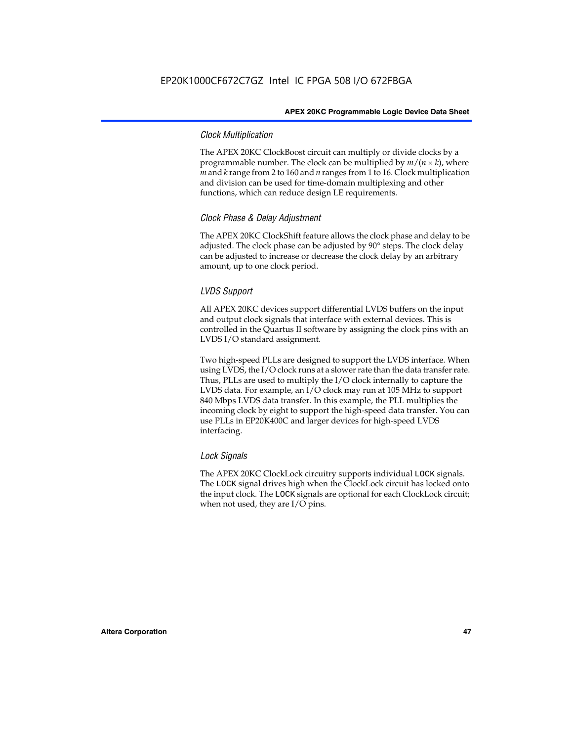### *Clock Multiplication*

The APEX 20KC ClockBoost circuit can multiply or divide clocks by a programmable number. The clock can be multiplied by  $m/(n \times k)$ , where *m* and *k* range from 2 to 160 and *n* ranges from 1 to 16. Clock multiplication and division can be used for time-domain multiplexing and other functions, which can reduce design LE requirements.

### *Clock Phase & Delay Adjustment*

The APEX 20KC ClockShift feature allows the clock phase and delay to be adjusted. The clock phase can be adjusted by 90° steps. The clock delay can be adjusted to increase or decrease the clock delay by an arbitrary amount, up to one clock period.

### *LVDS Support*

All APEX 20KC devices support differential LVDS buffers on the input and output clock signals that interface with external devices. This is controlled in the Quartus II software by assigning the clock pins with an LVDS I/O standard assignment.

Two high-speed PLLs are designed to support the LVDS interface. When using LVDS, the I/O clock runs at a slower rate than the data transfer rate. Thus, PLLs are used to multiply the I/O clock internally to capture the LVDS data. For example, an I/O clock may run at 105 MHz to support 840 Mbps LVDS data transfer. In this example, the PLL multiplies the incoming clock by eight to support the high-speed data transfer. You can use PLLs in EP20K400C and larger devices for high-speed LVDS interfacing.

### *Lock Signals*

The APEX 20KC ClockLock circuitry supports individual LOCK signals. The LOCK signal drives high when the ClockLock circuit has locked onto the input clock. The LOCK signals are optional for each ClockLock circuit; when not used, they are I/O pins.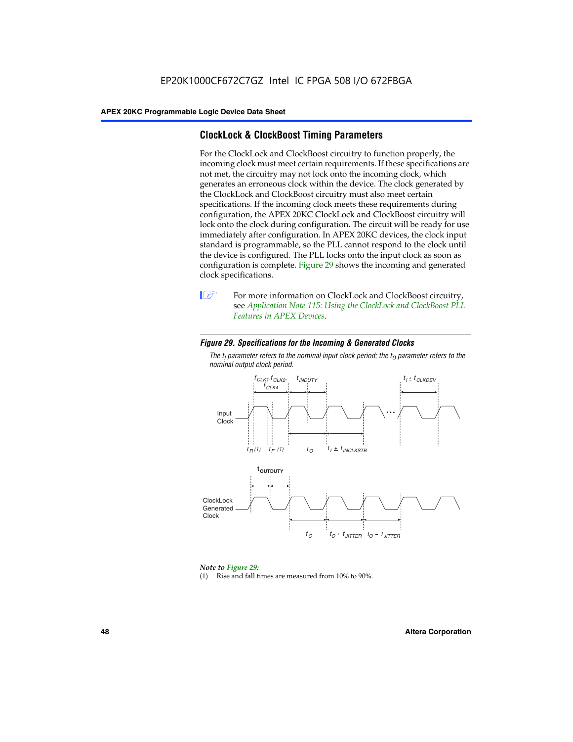# **ClockLock & ClockBoost Timing Parameters**

For the ClockLock and ClockBoost circuitry to function properly, the incoming clock must meet certain requirements. If these specifications are not met, the circuitry may not lock onto the incoming clock, which generates an erroneous clock within the device. The clock generated by the ClockLock and ClockBoost circuitry must also meet certain specifications. If the incoming clock meets these requirements during configuration, the APEX 20KC ClockLock and ClockBoost circuitry will lock onto the clock during configuration. The circuit will be ready for use immediately after configuration. In APEX 20KC devices, the clock input standard is programmable, so the PLL cannot respond to the clock until the device is configured. The PLL locks onto the input clock as soon as configuration is complete. Figure 29 shows the incoming and generated clock specifications.



**1** For more information on ClockLock and ClockBoost circuitry, see *Application Note 115: Using the ClockLock and ClockBoost PLL Features in APEX Devices*.

### *Figure 29. Specifications for the Incoming & Generated Clocks*

The  $t_{\mathfrak l}$  parameter refers to the nominal input clock period; the  $t_{\mathfrak l}$  parameter refers to the *nominal output clock period.*



### *Note to Figure 29:*

(1) Rise and fall times are measured from 10% to 90%.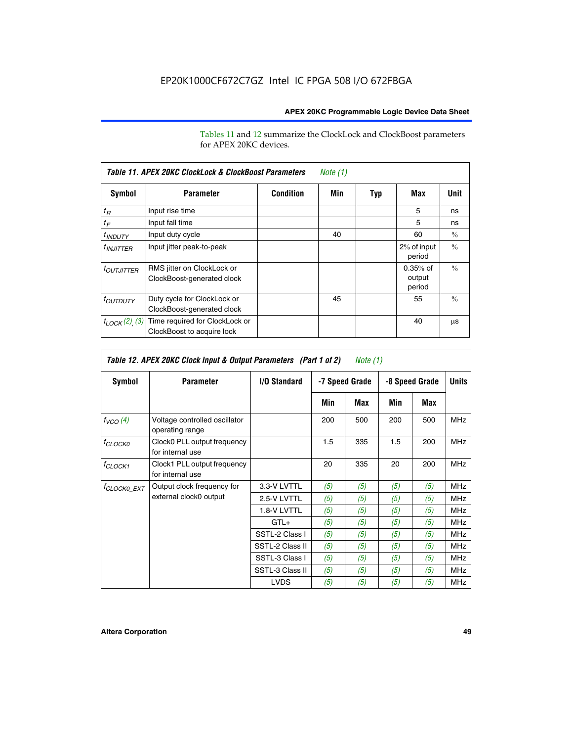Tables 11 and 12 summarize the ClockLock and ClockBoost parameters for APEX 20KC devices.

| Table 11. APEX 20KC ClockLock & ClockBoost Parameters<br>Note (1) |                                                              |                  |     |     |                                |               |  |
|-------------------------------------------------------------------|--------------------------------------------------------------|------------------|-----|-----|--------------------------------|---------------|--|
| Symbol                                                            | <b>Parameter</b>                                             | <b>Condition</b> | Min | Typ | Max                            | Unit          |  |
| $t_R$                                                             | Input rise time                                              |                  |     |     | 5                              | ns            |  |
| $t_F$                                                             | Input fall time                                              |                  |     |     | 5                              | ns            |  |
| <sup>t</sup> INDUTY                                               | Input duty cycle                                             |                  | 40  |     | 60                             | $\frac{0}{0}$ |  |
| $t_{INJITTER}$                                                    | Input jitter peak-to-peak                                    |                  |     |     | 2% of input<br>period          | $\frac{0}{0}$ |  |
| <i>toutjitter</i>                                                 | RMS jitter on ClockLock or<br>ClockBoost-generated clock     |                  |     |     | $0.35%$ of<br>output<br>period | $\frac{0}{0}$ |  |
| <i>toutbuty</i>                                                   | Duty cycle for ClockLock or<br>ClockBoost-generated clock    |                  | 45  |     | 55                             | $\frac{0}{0}$ |  |
| $t_{LOCK}(2)$ (3)                                                 | Time required for ClockLock or<br>ClockBoost to acquire lock |                  |     |     | 40                             | μS            |  |

| Table 12. APEX 20KC Clock Input & Output Parameters (Part 1 of 2)<br>Note (1) |                                                  |                 |     |                |     |                |              |
|-------------------------------------------------------------------------------|--------------------------------------------------|-----------------|-----|----------------|-----|----------------|--------------|
| Symbol                                                                        | <b>Parameter</b>                                 | I/O Standard    |     | -7 Speed Grade |     | -8 Speed Grade | <b>Units</b> |
|                                                                               |                                                  |                 | Min | Max            | Min | Max            |              |
| $f_{VCO}(4)$                                                                  | Voltage controlled oscillator<br>operating range |                 | 200 | 500            | 200 | 500            | <b>MHz</b>   |
| $f_{CLOCKO}$                                                                  | Clock0 PLL output frequency<br>for internal use  |                 | 1.5 | 335            | 1.5 | 200            | <b>MHz</b>   |
| <sup>f</sup> CLOCK1                                                           | Clock1 PLL output frequency<br>for internal use  |                 | 20  | 335            | 20  | 200            | <b>MHz</b>   |
| <sup>f</sup> CLOCK0_EXT                                                       | Output clock frequency for                       | 3.3-V LVTTL     | (5) | (5)            | (5) | (5)            | <b>MHz</b>   |
|                                                                               | external clock0 output                           | 2.5-V LVTTL     | (5) | (5)            | (5) | (5)            | <b>MHz</b>   |
|                                                                               |                                                  | 1.8-V LVTTL     | (5) | (5)            | (5) | (5)            | <b>MHz</b>   |
|                                                                               |                                                  | $GTL+$          | (5) | (5)            | (5) | (5)            | <b>MHz</b>   |
|                                                                               |                                                  | SSTL-2 Class I  | (5) | (5)            | (5) | (5)            | <b>MHz</b>   |
|                                                                               |                                                  | SSTL-2 Class II | (5) | (5)            | (5) | (5)            | <b>MHz</b>   |
|                                                                               |                                                  | SSTL-3 Class I  | (5) | (5)            | (5) | (5)            | <b>MHz</b>   |
|                                                                               |                                                  | SSTL-3 Class II | (5) | (5)            | (5) | (5)            | <b>MHz</b>   |
|                                                                               |                                                  | <b>LVDS</b>     | (5) | (5)            | (5) | (5)            | <b>MHz</b>   |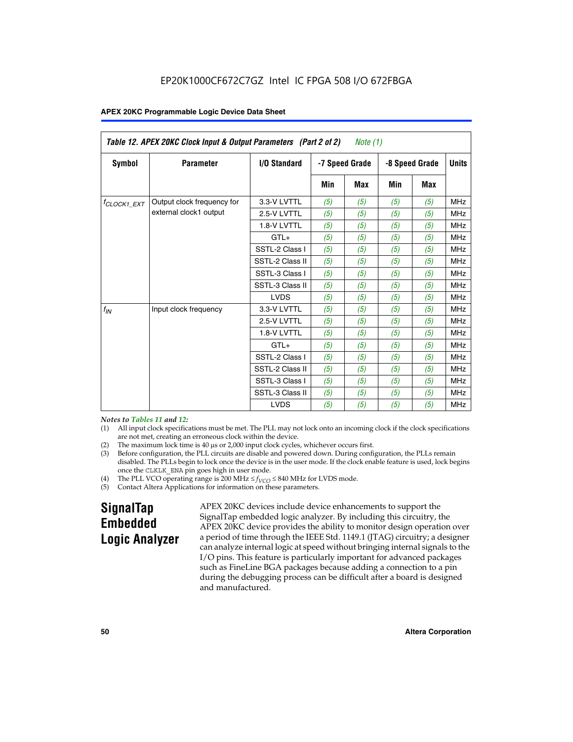| Table 12. APEX 20KC Clock Input & Output Parameters (Part 2 of 2)<br>Note (1) |                            |                 |     |                |     |                |              |
|-------------------------------------------------------------------------------|----------------------------|-----------------|-----|----------------|-----|----------------|--------------|
| Symbol                                                                        | <b>Parameter</b>           | I/O Standard    |     | -7 Speed Grade |     | -8 Speed Grade | <b>Units</b> |
|                                                                               |                            |                 | Min | <b>Max</b>     | Min | <b>Max</b>     |              |
| $t_{\text{CLOCK1\_EXT}}$                                                      | Output clock frequency for | 3.3-V LVTTL     | (5) | (5)            | (5) | (5)            | <b>MHz</b>   |
|                                                                               | external clock1 output     | 2.5-V LVTTL     | (5) | (5)            | (5) | (5)            | <b>MHz</b>   |
|                                                                               |                            | 1.8-V LVTTL     | (5) | (5)            | (5) | (5)            | <b>MHz</b>   |
|                                                                               |                            | $GTL+$          | (5) | (5)            | (5) | (5)            | <b>MHz</b>   |
|                                                                               |                            | SSTL-2 Class I  | (5) | (5)            | (5) | (5)            | <b>MHz</b>   |
|                                                                               |                            | SSTL-2 Class II | (5) | (5)            | (5) | (5)            | <b>MHz</b>   |
|                                                                               |                            | SSTL-3 Class I  | (5) | (5)            | (5) | (5)            | <b>MHz</b>   |
|                                                                               |                            | SSTL-3 Class II | (5) | (5)            | (5) | (5)            | <b>MHz</b>   |
|                                                                               |                            | <b>LVDS</b>     | (5) | (5)            | (5) | (5)            | <b>MHz</b>   |
| $f_{IN}$                                                                      | Input clock frequency      | 3.3-V LVTTL     | (5) | (5)            | (5) | (5)            | <b>MHz</b>   |
|                                                                               |                            | 2.5-V LVTTL     | (5) | (5)            | (5) | (5)            | <b>MHz</b>   |
|                                                                               |                            | 1.8-V LVTTL     | (5) | (5)            | (5) | (5)            | <b>MHz</b>   |
|                                                                               |                            | $GTL+$          | (5) | (5)            | (5) | (5)            | <b>MHz</b>   |
|                                                                               |                            | SSTL-2 Class I  | (5) | (5)            | (5) | (5)            | <b>MHz</b>   |
|                                                                               |                            | SSTL-2 Class II | (5) | (5)            | (5) | (5)            | <b>MHz</b>   |
|                                                                               |                            | SSTL-3 Class I  | (5) | (5)            | (5) | (5)            | <b>MHz</b>   |
|                                                                               |                            | SSTL-3 Class II | (5) | (5)            | (5) | (5)            | <b>MHz</b>   |
|                                                                               |                            | <b>LVDS</b>     | (5) | (5)            | (5) | (5)            | <b>MHz</b>   |

### *Notes to Tables 11 and 12:*

- (1) All input clock specifications must be met. The PLL may not lock onto an incoming clock if the clock specifications are not met, creating an erroneous clock within the device.
- 
- (2) The maximum lock time is  $40 \mu s$  or  $2,000$  input clock cycles, whichever occurs first.<br>
(3) Before configuration, the PLL circuits are disable and powered down. During confi Before configuration, the PLL circuits are disable and powered down. During configuration, the PLLs remain disabled. The PLLs begin to lock once the device is in the user mode. If the clock enable feature is used, lock begins once the CLKLK\_ENA pin goes high in user mode.
- (4) The PLL VCO operating range is 200 MHz  $\leq f_{VCO} \leq 840$  MHz for LVDS mode.

(5) Contact Altera Applications for information on these parameters.

# **SignalTap Embedded Logic Analyzer**

APEX 20KC devices include device enhancements to support the SignalTap embedded logic analyzer. By including this circuitry, the APEX 20KC device provides the ability to monitor design operation over a period of time through the IEEE Std. 1149.1 (JTAG) circuitry; a designer can analyze internal logic at speed without bringing internal signals to the I/O pins. This feature is particularly important for advanced packages such as FineLine BGA packages because adding a connection to a pin during the debugging process can be difficult after a board is designed and manufactured.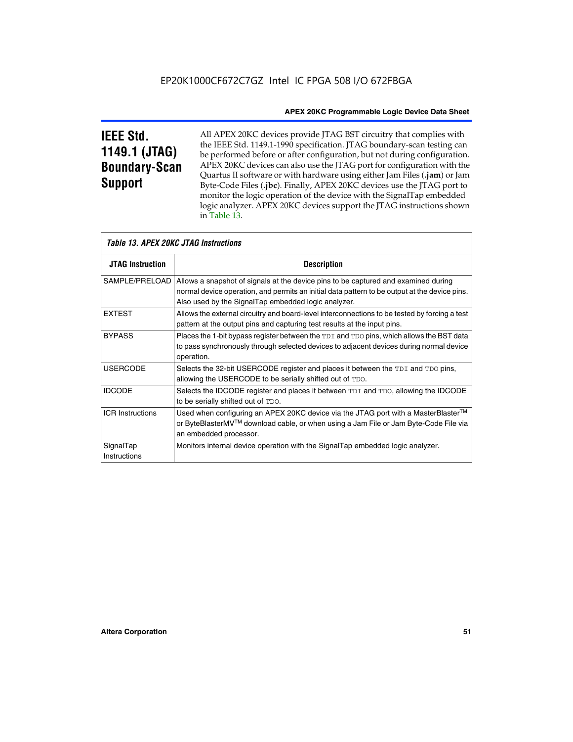# **IEEE Std. 1149.1 (JTAG) Boundary-Scan Support**

All APEX 20KC devices provide JTAG BST circuitry that complies with the IEEE Std. 1149.1-1990 specification. JTAG boundary-scan testing can be performed before or after configuration, but not during configuration. APEX 20KC devices can also use the JTAG port for configuration with the Quartus II software or with hardware using either Jam Files (**.jam**) or Jam Byte-Code Files (**.jbc**). Finally, APEX 20KC devices use the JTAG port to monitor the logic operation of the device with the SignalTap embedded logic analyzer. APEX 20KC devices support the JTAG instructions shown in Table 13.

|                           | Table 13. APEX 20KC JTAG Instructions                                                                                                                                                                                                                       |
|---------------------------|-------------------------------------------------------------------------------------------------------------------------------------------------------------------------------------------------------------------------------------------------------------|
| <b>JTAG Instruction</b>   | <b>Description</b>                                                                                                                                                                                                                                          |
|                           | SAMPLE/PRELOAD   Allows a snapshot of signals at the device pins to be captured and examined during<br>normal device operation, and permits an initial data pattern to be output at the device pins.<br>Also used by the SignalTap embedded logic analyzer. |
| <b>EXTEST</b>             | Allows the external circuitry and board-level interconnections to be tested by forcing a test<br>pattern at the output pins and capturing test results at the input pins.                                                                                   |
| <b>BYPASS</b>             | Places the 1-bit bypass register between the TDI and TDO pins, which allows the BST data<br>to pass synchronously through selected devices to adjacent devices during normal device<br>operation.                                                           |
| <b>USERCODE</b>           | Selects the 32-bit USERCODE register and places it between the TDI and TDO pins,<br>allowing the USERCODE to be serially shifted out of TDO.                                                                                                                |
| <b>IDCODE</b>             | Selects the IDCODE register and places it between TDI and TDO, allowing the IDCODE<br>to be serially shifted out of TDO.                                                                                                                                    |
| <b>ICR Instructions</b>   | Used when configuring an APEX 20KC device via the JTAG port with a MasterBlaster™<br>or ByteBlasterMV™ download cable, or when using a Jam File or Jam Byte-Code File via<br>an embedded processor.                                                         |
| SignalTap<br>Instructions | Monitors internal device operation with the SignalTap embedded logic analyzer.                                                                                                                                                                              |

**Altera Corporation 51**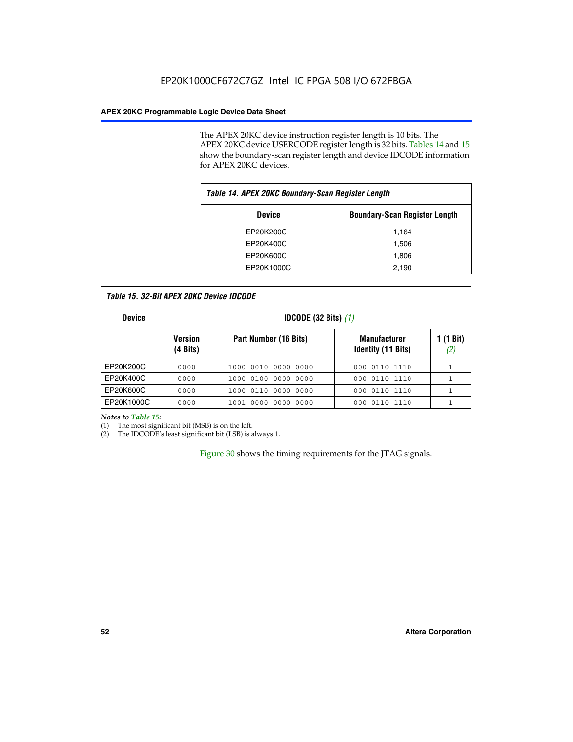The APEX 20KC device instruction register length is 10 bits. The APEX 20KC device USERCODE register length is 32 bits. Tables 14 and 15 show the boundary-scan register length and device IDCODE information for APEX 20KC devices.

| Table 14. APEX 20KC Boundary-Scan Register Length |                                      |  |  |  |
|---------------------------------------------------|--------------------------------------|--|--|--|
| <b>Device</b>                                     | <b>Boundary-Scan Register Length</b> |  |  |  |
| EP20K200C                                         | 1,164                                |  |  |  |
| EP20K400C                                         | 1,506                                |  |  |  |
| EP20K600C                                         | 1,806                                |  |  |  |
| EP20K1000C                                        | 2,190                                |  |  |  |

| Table 15. 32-Bit APEX 20KC Device IDCODE |
|------------------------------------------|
|------------------------------------------|

| <b>Device</b> | <b>IDCODE (32 Bits)</b> $(1)$ |                       |                                                  |                  |
|---------------|-------------------------------|-----------------------|--------------------------------------------------|------------------|
|               | <b>Version</b><br>(4 Bits)    | Part Number (16 Bits) | <b>Manufacturer</b><br><b>Identity (11 Bits)</b> | 1 (1 Bit)<br>(2, |
| EP20K200C     | 0000                          | 1000 0010 0000 0000   | 000 0110 1110                                    |                  |
| EP20K400C     | 0000                          | 1000 0100 0000 0000   | 0110 1110<br>000                                 |                  |
| EP20K600C     | 0000                          | 1000 0110 0000 0000   | 000 0110 1110                                    | 1                |
| EP20K1000C    | 0000                          | 1001 0000 0000 0000   | 000 0110 1110                                    |                  |

### *Notes to Table 15:*

(1) The most significant bit (MSB) is on the left.

(2) The IDCODE's least significant bit (LSB) is always 1.

Figure 30 shows the timing requirements for the JTAG signals.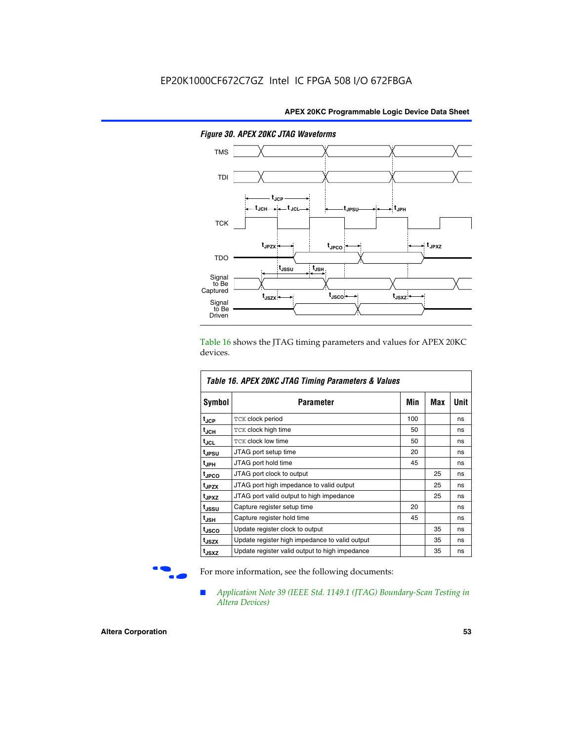

*Figure 30. APEX 20KC JTAG Waveforms*

Table 16 shows the JTAG timing parameters and values for APEX 20KC devices.

| Table 16. APEX 20KC JTAG Timing Parameters & Values |                                                |     |     |      |  |  |
|-----------------------------------------------------|------------------------------------------------|-----|-----|------|--|--|
| Symbol                                              | <b>Parameter</b>                               | Min | Max | Unit |  |  |
| tjcp                                                | TCK clock period                               | 100 |     | ns   |  |  |
| t <sub>JCH</sub>                                    | <b>TCK clock high time</b>                     | 50  |     | ns   |  |  |
| $t_{JCL}$                                           | <b>TCK clock low time</b>                      | 50  |     | ns   |  |  |
| <b>t</b> JPSU                                       | JTAG port setup time                           | 20  |     | ns   |  |  |
| $t_{\sf JPH}$                                       | JTAG port hold time                            | 45  |     | ns   |  |  |
| t <sub>JPCO</sub>                                   | JTAG port clock to output                      |     | 25  | ns   |  |  |
| t <sub>JPZX</sub>                                   | JTAG port high impedance to valid output       |     | 25  | ns   |  |  |
| t <sub>JPXZ</sub>                                   | JTAG port valid output to high impedance       |     | 25  | ns   |  |  |
| t <sub>JSSU</sub>                                   | Capture register setup time                    | 20  |     | ns   |  |  |
| $t_{\rm JSH}$                                       | Capture register hold time                     | 45  |     | ns   |  |  |
| t <sub>JSCO</sub>                                   | Update register clock to output                |     | 35  | ns   |  |  |
| t <sub>JSZX</sub>                                   | Update register high impedance to valid output |     | 35  | ns   |  |  |
| t <sub>JSXZ</sub>                                   | Update register valid output to high impedance |     | 35  | ns   |  |  |

For more information, see the following documents:

■ *Application Note 39 (IEEE Std. 1149.1 (JTAG) Boundary-Scan Testing in Altera Devices)*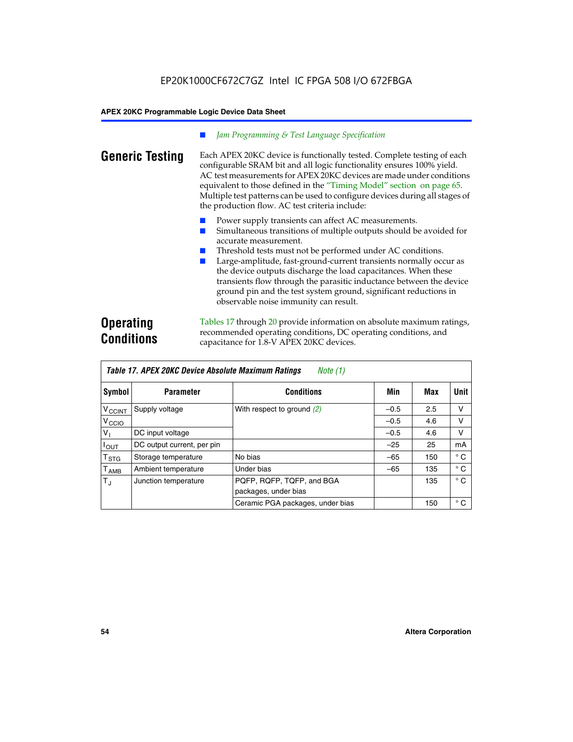### *Jam Programming & Test Language Specification*

**Generic Testing** Each APEX 20KC device is functionally tested. Complete testing of each configurable SRAM bit and all logic functionality ensures 100% yield. AC test measurements for APEX 20KC devices are made under conditions equivalent to those defined in the "Timing Model" section on page 65. Multiple test patterns can be used to configure devices during all stages of the production flow. AC test criteria include:

- Power supply transients can affect AC measurements.
- Simultaneous transitions of multiple outputs should be avoided for accurate measurement.
- Threshold tests must not be performed under AC conditions.
- Large-amplitude, fast-ground-current transients normally occur as the device outputs discharge the load capacitances. When these transients flow through the parasitic inductance between the device ground pin and the test system ground, significant reductions in observable noise immunity can result.

# **Operating Conditions**

Tables 17 through 20 provide information on absolute maximum ratings, recommended operating conditions, DC operating conditions, and capacitance for 1.8-V APEX 20KC devices.

| Table 17. APEX 20KC Device Absolute Maximum Ratings<br>Note (1) |                            |                                                   |        |     |              |  |
|-----------------------------------------------------------------|----------------------------|---------------------------------------------------|--------|-----|--------------|--|
| Symbol                                                          | <b>Parameter</b>           | <b>Conditions</b>                                 | Min    | Max | <b>Unit</b>  |  |
| $V_{\text{CCINT}}$                                              | Supply voltage             | With respect to ground $(2)$                      | $-0.5$ | 2.5 | v            |  |
| V <sub>CCIO</sub>                                               |                            |                                                   | $-0.5$ | 4.6 | V            |  |
| V <sub>I</sub>                                                  | DC input voltage           |                                                   | $-0.5$ | 4.6 | v            |  |
| $I_{OUT}$                                                       | DC output current, per pin |                                                   | $-25$  | 25  | mA           |  |
| $\mathsf{T}_{\texttt{STG}}$                                     | Storage temperature        | No bias                                           | $-65$  | 150 | $^{\circ}$ C |  |
| $\mathsf{T}_{\mathsf{AMB}}$                                     | Ambient temperature        | Under bias                                        | $-65$  | 135 | $^{\circ}$ C |  |
| $T_{\rm J}$                                                     | Junction temperature       | PQFP, RQFP, TQFP, and BGA<br>packages, under bias |        | 135 | $^{\circ}$ C |  |
|                                                                 |                            | Ceramic PGA packages, under bias                  |        | 150 | $^{\circ}$ C |  |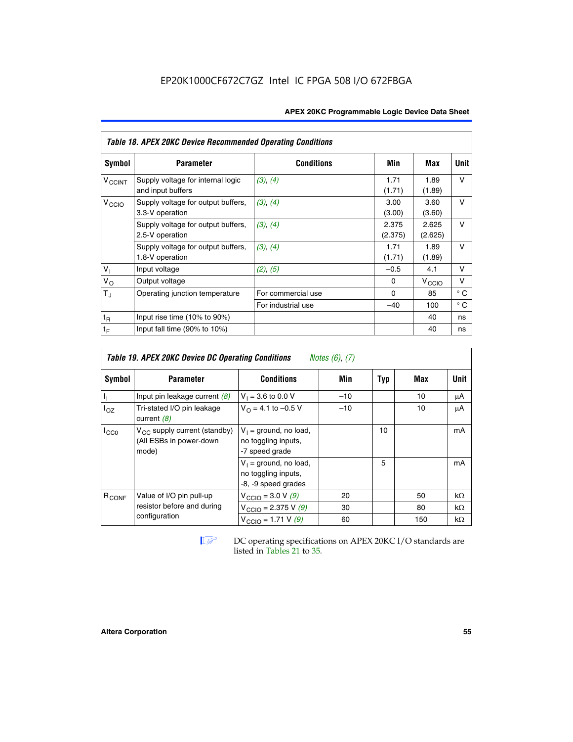| <b>APEX 20KC Programmable Logic Device Data Sheet</b> |  |
|-------------------------------------------------------|--|
|-------------------------------------------------------|--|

|                   | <b>Table 18. APEX 20KC Device Recommended Operating Conditions</b> |                    |                  |                   |              |  |  |  |  |  |  |
|-------------------|--------------------------------------------------------------------|--------------------|------------------|-------------------|--------------|--|--|--|--|--|--|
| <b>Symbol</b>     | <b>Parameter</b>                                                   | <b>Conditions</b>  | Min              | Max               | Unit         |  |  |  |  |  |  |
| $V_{CCINT}$       | Supply voltage for internal logic<br>and input buffers             | (3), (4)           | 1.71<br>(1.71)   | 1.89<br>(1.89)    | $\vee$       |  |  |  |  |  |  |
| V <sub>CCIO</sub> | Supply voltage for output buffers,<br>3.3-V operation              | (3), (4)           | 3.00<br>(3.00)   | 3.60<br>(3.60)    | v            |  |  |  |  |  |  |
|                   | Supply voltage for output buffers,<br>2.5-V operation              | (3), (4)           | 2.375<br>(2.375) | 2.625<br>(2.625)  | $\vee$       |  |  |  |  |  |  |
|                   | Supply voltage for output buffers,<br>1.8-V operation              | (3), (4)           | 1.71<br>(1.71)   | 1.89<br>(1.89)    | $\vee$       |  |  |  |  |  |  |
| V <sub>1</sub>    | Input voltage                                                      | (2), (5)           | $-0.5$           | 4.1               | v            |  |  |  |  |  |  |
| $V_{\rm O}$       | Output voltage                                                     |                    | 0                | $V_{\text{CCI}Q}$ | v            |  |  |  |  |  |  |
| $T_{J}$           | Operating junction temperature                                     | For commercial use | $\Omega$         | 85                | $^{\circ}$ C |  |  |  |  |  |  |
|                   |                                                                    | For industrial use | $-40$            | 100               | $^{\circ}$ C |  |  |  |  |  |  |
| $t_{\mathsf{R}}$  | Input rise time (10% to 90%)                                       |                    |                  | 40                | ns           |  |  |  |  |  |  |
| $t_F$             | Input fall time $(90\% \text{ to } 10\%)$                          |                    |                  | 40                | ns           |  |  |  |  |  |  |

| <b>Table 19. APEX 20KC Device DC Operating Conditions</b><br><i>Notes</i> $(6)$ , $(7)$ |                                                                       |                                                                        |       |     |           |           |  |  |  |
|-----------------------------------------------------------------------------------------|-----------------------------------------------------------------------|------------------------------------------------------------------------|-------|-----|-----------|-----------|--|--|--|
| Symbol                                                                                  | <b>Parameter</b>                                                      | <b>Conditions</b>                                                      | Min   | Typ | Max       | Unit      |  |  |  |
| Ъ,                                                                                      | Input pin leakage current $(8)$                                       | $V_1 = 3.6$ to 0.0 V                                                   | $-10$ |     | 10        | μA        |  |  |  |
| $I_{OZ}$                                                                                | Tri-stated I/O pin leakage<br>current $(8)$                           | $V_{\Omega} = 4.1$ to -0.5 V                                           | $-10$ |     | 10        | μA        |  |  |  |
| $I_{CC0}$                                                                               | $V_{CC}$ supply current (standby)<br>(All ESBs in power-down<br>mode) | $V_1$ = ground, no load,<br>no toggling inputs,<br>-7 speed grade      |       | 10  |           | mA        |  |  |  |
|                                                                                         |                                                                       | $V_1$ = ground, no load,<br>no toggling inputs,<br>-8, -9 speed grades |       | 5   |           | mA        |  |  |  |
| R <sub>CONF</sub>                                                                       | Value of I/O pin pull-up                                              | $V_{\text{CCIO}} = 3.0 V (9)$                                          | 20    |     | 50        | $k\Omega$ |  |  |  |
|                                                                                         | resistor before and during                                            | $V_{\text{CCIO}} = 2.375 \text{ V } (9)$                               | 30    |     | 80        | $k\Omega$ |  |  |  |
| configuration                                                                           | $V_{\text{CCIO}} = 1.71 V(9)$                                         | 60                                                                     |       | 150 | $k\Omega$ |           |  |  |  |

**IF DC** operating specifications on APEX 20KC I/O standards are listed in Tables 21 to 35*.*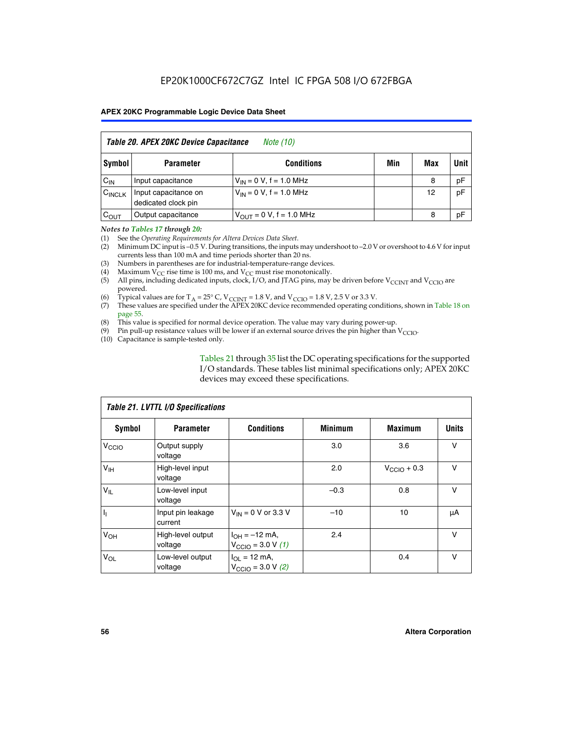| Table 20. APEX 20KC Device Capacitance<br><i>Note (10)</i> |                                             |                               |     |     |             |  |  |  |  |
|------------------------------------------------------------|---------------------------------------------|-------------------------------|-----|-----|-------------|--|--|--|--|
| Symbol                                                     | <b>Parameter</b>                            | <b>Conditions</b>             | Min | Max | <b>Unit</b> |  |  |  |  |
| $C_{IN}$                                                   | Input capacitance                           | $V_{IN} = 0 V$ , f = 1.0 MHz  |     | 8   | pF          |  |  |  |  |
| $C_{\text{INCLK}}$                                         | Input capacitance on<br>dedicated clock pin | $V_{IN} = 0 V$ , f = 1.0 MHz  |     | 12  | pF          |  |  |  |  |
| $C_{OUT}$                                                  | Output capacitance                          | $V_{OUT} = 0 V$ , f = 1.0 MHz |     | 8   | pF          |  |  |  |  |

### *Notes to Tables 17 through 20:*

(1) See the *Operating Requirements for Altera Devices Data Sheet*.

(2) Minimum DC input is –0.5 V. During transitions, the inputs may undershoot to –2.0 V or overshoot to 4.6 V for input currents less than 100 mA and time periods shorter than 20 ns.

- (3) Numbers in parentheses are for industrial-temperature-range devices.<br>(4) Maximum  $V_{CC}$  rise time is 100 ms, and  $V_{CC}$  must rise monotonically.
- (4) Maximum  $V_{CC}$  rise time is 100 ms, and  $V_{CC}$  must rise monotonically.<br>(5) All pins, including dedicated inputs, clock, I/O, and JTAG pins, may
- All pins, including dedicated inputs, clock, I/O, and JTAG pins, may be driven before  $V_{CCTN}$  and  $V_{CCTO}$  are powered.
- (6) Typical values are for T<sub>A</sub> = 25° C, V<sub>CCINT</sub> = 1.8 V, and V<sub>CCIO</sub> = 1.8 V, 2.5 V or 3.3 V.
- (7) These values are specified under the APEX 20KC device recommended operating conditions, shown in Table 18 on page 55.
- (8) This value is specified for normal device operation. The value may vary during power-up.
- (9) Pin pull-up resistance values will be lower if an external source drives the pin higher than  $V_{\text{CCIO}}$ .
- (10) Capacitance is sample-tested only.

Tables 21 through 35 list the DC operating specifications for the supported I/O standards. These tables list minimal specifications only; APEX 20KC devices may exceed these specifications.

|                   | Table 21. LVTTL I/O Specifications |                                                            |                |                         |              |  |  |  |  |  |  |
|-------------------|------------------------------------|------------------------------------------------------------|----------------|-------------------------|--------------|--|--|--|--|--|--|
| Symbol            | <b>Parameter</b>                   | <b>Conditions</b>                                          | <b>Minimum</b> | <b>Maximum</b>          | <b>Units</b> |  |  |  |  |  |  |
| V <sub>CCIO</sub> | Output supply<br>voltage           |                                                            | 3.0            | 3.6                     | v            |  |  |  |  |  |  |
| V <sub>IH</sub>   | High-level input<br>voltage        |                                                            | 2.0            | $V_{\text{CClO}} + 0.3$ | $\vee$       |  |  |  |  |  |  |
| $V_{IL}$          | Low-level input<br>voltage         |                                                            | $-0.3$         | 0.8                     | v            |  |  |  |  |  |  |
| $\mathbf{I}_{1}$  | Input pin leakage<br>current       | $V_{IN}$ = 0 V or 3.3 V                                    | $-10$          | 10                      | μA           |  |  |  |  |  |  |
| V <sub>OH</sub>   | High-level output<br>voltage       | $I_{OH} = -12$ mA,<br>$V_{\text{CCIO}} = 3.0 V (1)$        | 2.4            |                         | v            |  |  |  |  |  |  |
| $V_{OL}$          | Low-level output<br>voltage        | $I_{OL}$ = 12 mA,<br>$V_{\text{CCIO}} = 3.0 \text{ V}$ (2) |                | 0.4                     | $\vee$       |  |  |  |  |  |  |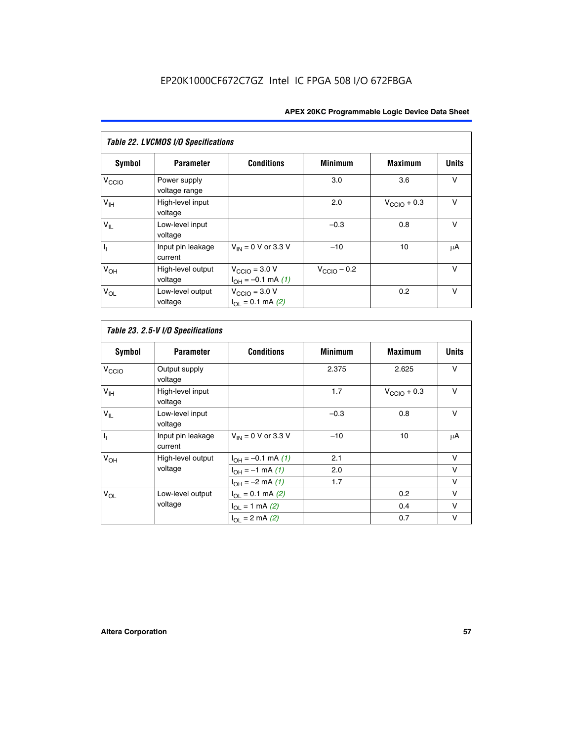| Table 22. LVCMOS I/O Specifications |                               |                                                          |                         |                         |              |  |  |  |  |
|-------------------------------------|-------------------------------|----------------------------------------------------------|-------------------------|-------------------------|--------------|--|--|--|--|
| Symbol                              | <b>Parameter</b>              | <b>Conditions</b>                                        | <b>Minimum</b>          | <b>Maximum</b>          | <b>Units</b> |  |  |  |  |
| V <sub>CCIO</sub>                   | Power supply<br>voltage range |                                                          | 3.0                     | 3.6                     | $\vee$       |  |  |  |  |
| $V_{\text{IH}}$                     | High-level input<br>voltage   |                                                          | 2.0                     | $V_{\text{CCIO}} + 0.3$ | $\vee$       |  |  |  |  |
| $V_{IL}$                            | Low-level input<br>voltage    |                                                          | $-0.3$                  | 0.8                     | $\vee$       |  |  |  |  |
| I <sub>1</sub>                      | Input pin leakage<br>current  | $V_{IN}$ = 0 V or 3.3 V                                  | $-10$                   | 10                      | μA           |  |  |  |  |
| V <sub>OH</sub>                     | High-level output<br>voltage  | $V_{\text{CCIO}} = 3.0 V$<br>$I_{OH} = -0.1$ mA $(1)$    | $V_{\text{CClO}}$ – 0.2 |                         | $\vee$       |  |  |  |  |
| $V_{OL}$                            | Low-level output<br>voltage   | $V_{\text{CCIO}} = 3.0 V$<br>$I_{\Omega I} = 0.1$ mA (2) |                         | 0.2                     | $\vee$       |  |  |  |  |

|               | Table 23. 2.5-V I/O Specifications |                   |
|---------------|------------------------------------|-------------------|
| <b>Symbol</b> | <b>Parameter</b>                   | <b>Conditions</b> |

| Symbol                    | <b>Parameter</b>             | <b>Conditions</b>           | <b>Minimum</b> | <b>Maximum</b>          | <b>Units</b> |
|---------------------------|------------------------------|-----------------------------|----------------|-------------------------|--------------|
| V <sub>CCIO</sub>         | Output supply<br>voltage     |                             | 2.375          | 2.625                   | $\vee$       |
| V <sub>IH</sub>           | High-level input<br>voltage  |                             | 1.7            | $V_{\text{CCIO}} + 0.3$ | v            |
| $V_{IL}$                  | Low-level input<br>voltage   |                             | $-0.3$         | 0.8                     | $\vee$       |
| $\mathbf{I}_{\mathbf{I}}$ | Input pin leakage<br>current | $V_{IN}$ = 0 V or 3.3 V     | $-10$          | 10                      | μA           |
| V <sub>OH</sub>           | High-level output            | $I_{OH} = -0.1$ mA $(1)$    | 2.1            |                         | V            |
|                           | voltage                      | $I_{OH} = -1$ mA (1)        | 2.0            |                         | v            |
|                           |                              | $I_{OH} = -2$ mA (1)        | 1.7            |                         | v            |
| $V_{OL}$                  | Low-level output             | $I_{\Omega I} = 0.1$ mA (2) |                | 0.2                     | v            |
|                           | voltage                      | $I_{OL} = 1$ mA (2)         |                | 0.4                     | v            |
|                           |                              | $I_{OL} = 2$ mA (2)         |                | 0.7                     | v            |

 $\Gamma$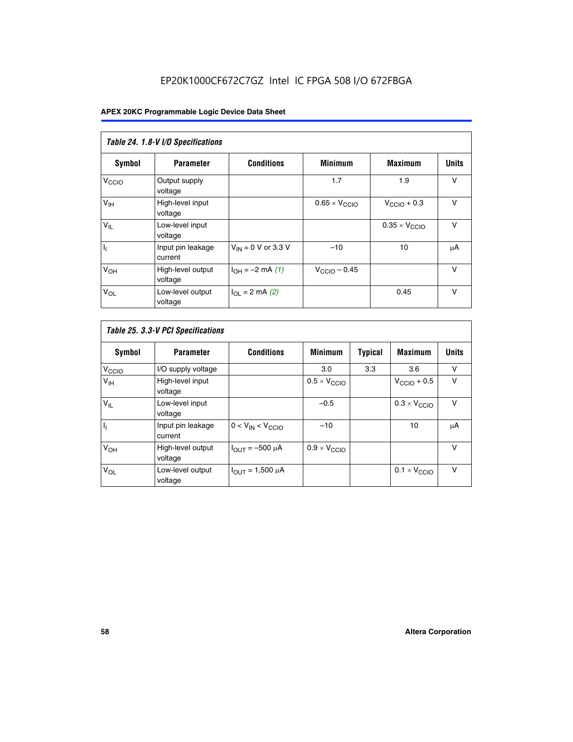# EP20K1000CF672C7GZ Intel IC FPGA 508 I/O 672FBGA

|                            | Table 24. 1.8-V I/O Specifications |                           |                               |                               |              |  |  |  |  |  |  |
|----------------------------|------------------------------------|---------------------------|-------------------------------|-------------------------------|--------------|--|--|--|--|--|--|
| Symbol                     | <b>Parameter</b>                   | <b>Conditions</b>         | <b>Minimum</b>                | <b>Maximum</b>                | <b>Units</b> |  |  |  |  |  |  |
| V <sub>CCIO</sub>          | Output supply<br>voltage           |                           | 1.7                           | 1.9                           | $\vee$       |  |  |  |  |  |  |
| V <sub>IH</sub>            | High-level input<br>voltage        |                           | $0.65 \times V_{\text{CCIO}}$ | $V_{\text{CCIO}} + 0.3$       | $\vee$       |  |  |  |  |  |  |
| $\mathsf{V}_{\mathsf{IL}}$ | Low-level input<br>voltage         |                           |                               | $0.35 \times V_{\text{CCIO}}$ | $\vee$       |  |  |  |  |  |  |
| $I_1$                      | Input pin leakage<br>current       | $V_{IN}$ = 0 V or 3.3 V   | $-10$                         | 10                            | μA           |  |  |  |  |  |  |
| V <sub>OH</sub>            | High-level output<br>voltage       | $I_{OH} = -2$ mA (1)      | $V_{\text{CCIO}} - 0.45$      |                               | V            |  |  |  |  |  |  |
| $V_{OL}$                   | Low-level output<br>voltage        | $I_{\Omega I}$ = 2 mA (2) |                               | 0.45                          | $\vee$       |  |  |  |  |  |  |

| Table 25. 3.3-V PCI Specifications |                              |                         |                              |                |                              |              |  |  |  |
|------------------------------------|------------------------------|-------------------------|------------------------------|----------------|------------------------------|--------------|--|--|--|
| Symbol                             | <b>Parameter</b>             | <b>Conditions</b>       | <b>Minimum</b>               | <b>Typical</b> | <b>Maximum</b>               | <b>Units</b> |  |  |  |
| V <sub>CCIO</sub>                  | I/O supply voltage           |                         | 3.0                          | 3.3            | 3.6                          | v            |  |  |  |
| $V_{\text{IH}}$                    | High-level input<br>voltage  |                         | $0.5 \times V_{\text{CCIO}}$ |                | $V_{\text{CCIO}} + 0.5$      | $\vee$       |  |  |  |
| $V_{IL}$                           | Low-level input<br>voltage   |                         | $-0.5$                       |                | $0.3 \times V_{\text{CCIO}}$ | v            |  |  |  |
| $\mathbf{I}_{1}$                   | Input pin leakage<br>current | $0 < V_{IN} < V_{CCIO}$ | $-10$                        |                | 10                           | μA           |  |  |  |
| $V_{OH}$                           | High-level output<br>voltage | $I_{OUT} = -500 \mu A$  | $0.9 \times V_{\text{CCIO}}$ |                |                              | v            |  |  |  |
| $V_{OL}$                           | Low-level output<br>voltage  | $I_{OUT} = 1,500 \mu A$ |                              |                | $0.1 \times V_{\text{CCIO}}$ | v            |  |  |  |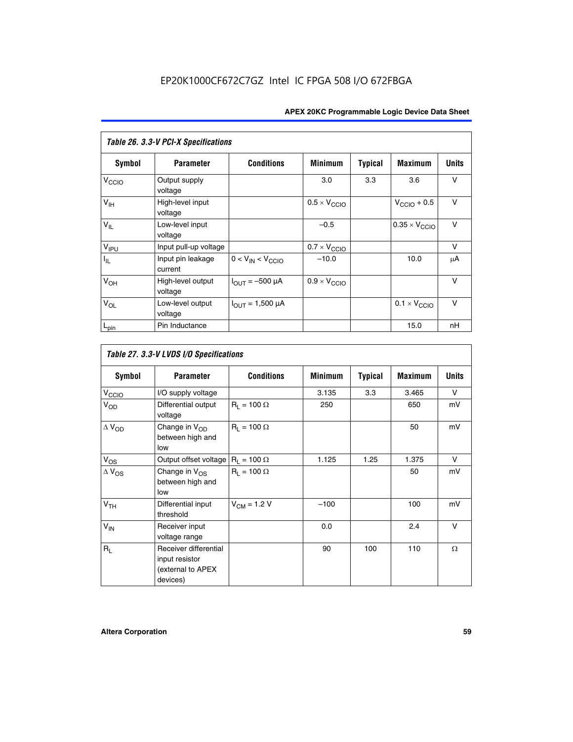| Table 26. 3.3-V PCI-X Specifications |                              |                                |                              |                |                              |              |  |  |  |
|--------------------------------------|------------------------------|--------------------------------|------------------------------|----------------|------------------------------|--------------|--|--|--|
| <b>Symbol</b>                        | <b>Parameter</b>             | <b>Conditions</b>              | <b>Minimum</b>               | <b>Typical</b> | <b>Maximum</b>               | <b>Units</b> |  |  |  |
| V <sub>CCIO</sub>                    | Output supply<br>voltage     |                                | 3.0                          | 3.3            | 3.6                          | $\vee$       |  |  |  |
| $V_{\text{IH}}$                      | High-level input<br>voltage  |                                | $0.5 \times V_{\text{CCIO}}$ |                | $V_{\text{CCIO}} + 0.5$      | $\vee$       |  |  |  |
| $V_{IL}$                             | Low-level input<br>voltage   |                                | $-0.5$                       |                | $0.35 \times V_{CCIO}$       | $\vee$       |  |  |  |
| V <sub>IPU</sub>                     | Input pull-up voltage        |                                | $0.7 \times V_{\text{CCIO}}$ |                |                              | v            |  |  |  |
| $I_{\rm IL}$                         | Input pin leakage<br>current | $0 < V_{IN} < V_{CCIO}$        | $-10.0$                      |                | 10.0                         | μA           |  |  |  |
| $V_{OH}$                             | High-level output<br>voltage | $I_{\text{OUT}} = -500 \mu A$  | $0.9 \times V_{\text{CCIO}}$ |                |                              | $\vee$       |  |  |  |
| $V_{OL}$                             | Low-level output<br>voltage  | $I_{\text{OUT}} = 1,500 \mu A$ |                              |                | $0.1 \times V_{\text{CCIO}}$ | $\vee$       |  |  |  |
| $L_{pin}$                            | Pin Inductance               |                                |                              |                | 15.0                         | nH           |  |  |  |

| Table 27. 3.3-V LVDS I/O Specifications |                                                                          |                    |                |                |                |              |  |  |  |
|-----------------------------------------|--------------------------------------------------------------------------|--------------------|----------------|----------------|----------------|--------------|--|--|--|
| Symbol                                  | <b>Parameter</b>                                                         | <b>Conditions</b>  | <b>Minimum</b> | <b>Typical</b> | <b>Maximum</b> | <b>Units</b> |  |  |  |
| V <sub>C</sub> CO                       | I/O supply voltage                                                       |                    | 3.135          | 3.3            | 3.465          | $\vee$       |  |  |  |
| $V_{OD}$                                | Differential output<br>voltage                                           | $R_1 = 100 \Omega$ | 250            |                | 650            | mV           |  |  |  |
| $\Delta$ V <sub>OD</sub>                | Change in V <sub>OD</sub><br>between high and<br>low                     | $R_1 = 100 \Omega$ |                |                | 50             | mV           |  |  |  |
| $V_{OS}$                                | Output offset voltage $R_1 = 100 \Omega$                                 |                    | 1.125          | 1.25           | 1.375          | V            |  |  |  |
| $\Delta$ V <sub>OS</sub>                | Change in $V_{OS}$<br>between high and<br>low                            | $R_1 = 100 \Omega$ |                |                | 50             | mV           |  |  |  |
| V <sub>TH</sub>                         | Differential input<br>threshold                                          | $V_{CM} = 1.2 V$   | $-100$         |                | 100            | mV           |  |  |  |
| $V_{IN}$                                | Receiver input<br>voltage range                                          |                    | 0.0            |                | 2.4            | $\vee$       |  |  |  |
| $R_{\rm I}$                             | Receiver differential<br>input resistor<br>(external to APEX<br>devices) |                    | 90             | 100            | 110            | $\Omega$     |  |  |  |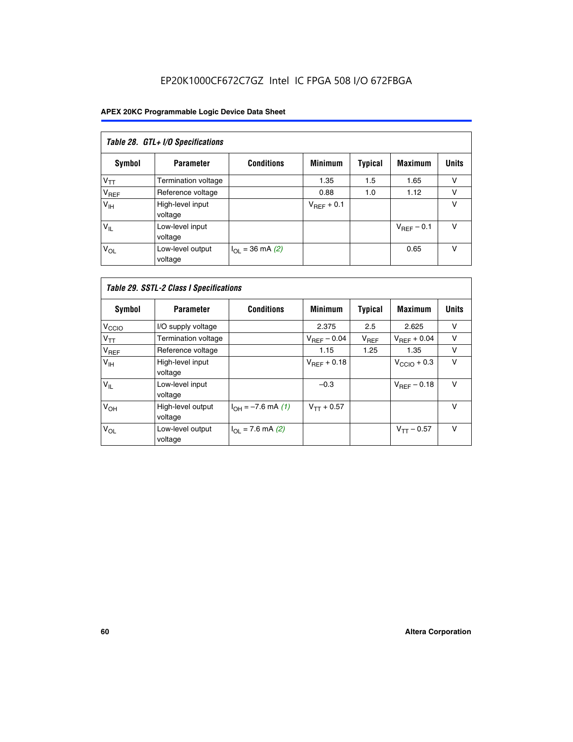# EP20K1000CF672C7GZ Intel IC FPGA 508 I/O 672FBGA

| Table 28. GTL+ I/O Specifications |                             |                      |                 |                |                        |              |  |  |  |
|-----------------------------------|-----------------------------|----------------------|-----------------|----------------|------------------------|--------------|--|--|--|
| <b>Symbol</b>                     | <b>Parameter</b>            | <b>Conditions</b>    | <b>Minimum</b>  | <b>Typical</b> | <b>Maximum</b>         | <b>Units</b> |  |  |  |
| $V_{TT}$                          | <b>Termination voltage</b>  |                      | 1.35            | 1.5            | 1.65                   | v            |  |  |  |
| V <sub>REF</sub>                  | Reference voltage           |                      | 0.88            | 1.0            | 1.12                   | v            |  |  |  |
| V <sub>IH</sub>                   | High-level input<br>voltage |                      | $V_{REF}$ + 0.1 |                |                        | v            |  |  |  |
| $V_{IL}$                          | Low-level input<br>voltage  |                      |                 |                | $V_{\text{RFF}}$ – 0.1 | v            |  |  |  |
| $V_{OL}$                          | Low-level output<br>voltage | $I_{OL}$ = 36 mA (2) |                 |                | 0.65                   | v            |  |  |  |

| Table 29. SSTL-2 Class I Specifications |                              |                              |                         |                |                         |              |
|-----------------------------------------|------------------------------|------------------------------|-------------------------|----------------|-------------------------|--------------|
| Symbol                                  | <b>Parameter</b>             | <b>Conditions</b>            | <b>Minimum</b>          | <b>Typical</b> | <b>Maximum</b>          | <b>Units</b> |
| V <sub>CCIO</sub>                       | I/O supply voltage           |                              | 2.375                   | 2.5            | 2.625                   | v            |
| $V_{TT}$                                | <b>Termination voltage</b>   |                              | $V_{\text{BFF}}$ – 0.04 | $V_{REF}$      | $V_{BFF}$ + 0.04        | $\vee$       |
| V <sub>REF</sub>                        | Reference voltage            |                              | 1.15                    | 1.25           | 1.35                    | v            |
| V <sub>IH</sub>                         | High-level input<br>voltage  |                              | $V_{\text{RFF}} + 0.18$ |                | $V_{\text{CCIO}} + 0.3$ | v            |
| $V_{IL}$                                | Low-level input<br>voltage   |                              | $-0.3$                  |                | $V_{BEF}$ – 0.18        | $\vee$       |
| V <sub>OH</sub>                         | High-level output<br>voltage | $I_{OH} = -7.6$ mA (1)       | $V_{TT} + 0.57$         |                |                         | v            |
| $V_{OL}$                                | Low-level output<br>voltage  | $I_{\text{OI}}$ = 7.6 mA (2) |                         |                | $V_{TT} - 0.57$         | v            |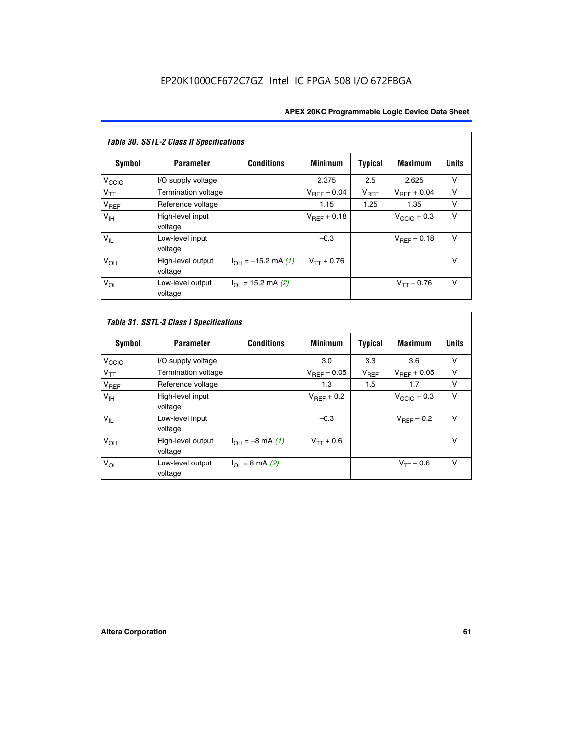| Table 30. SSTL-2 Class II Specifications |                              |                            |                         |                |                         |              |
|------------------------------------------|------------------------------|----------------------------|-------------------------|----------------|-------------------------|--------------|
| Symbol                                   | <b>Parameter</b>             | <b>Conditions</b>          | <b>Minimum</b>          | <b>Typical</b> | <b>Maximum</b>          | <b>Units</b> |
| V <sub>CCIO</sub>                        | I/O supply voltage           |                            | 2.375                   | 2.5            | 2.625                   | v            |
| $V_{TT}$                                 | Termination voltage          |                            | $V_{REF}$ – 0.04        | $V_{REF}$      | $V_{BFF} + 0.04$        | $\vee$       |
| $V_{REF}$                                | Reference voltage            |                            | 1.15                    | 1.25           | 1.35                    | v            |
| V <sub>IH</sub>                          | High-level input<br>voltage  |                            | $V_{\text{RFF}} + 0.18$ |                | $V_{\text{CCIO}} + 0.3$ | v            |
| $V_{IL}$                                 | Low-level input<br>voltage   |                            | $-0.3$                  |                | $V_{BFE} - 0.18$        | $\vee$       |
| $V_{OH}$                                 | High-level output<br>voltage | $I_{OH} = -15.2$ mA (1)    | $V_{TT} + 0.76$         |                |                         | $\vee$       |
| $V_{OL}$                                 | Low-level output<br>voltage  | $I_{\Omega}$ = 15.2 mA (2) |                         |                | $V_{TT} - 0.76$         | $\vee$       |

| Symbol            | <b>Parameter</b>             | <b>Conditions</b>         | <b>Minimum</b>          | <b>Typical</b> | <b>Maximum</b>          | <b>Units</b> |
|-------------------|------------------------------|---------------------------|-------------------------|----------------|-------------------------|--------------|
| V <sub>CCIO</sub> | I/O supply voltage           |                           | 3.0                     | 3.3            | 3.6                     | ν            |
| $V_{TT}$          | Termination voltage          |                           | $V_{\text{BFF}} - 0.05$ | $V_{REF}$      | $V_{\text{RFF}} + 0.05$ | v            |
| $V_{REF}$         | Reference voltage            |                           | 1.3                     | 1.5            | 1.7                     | v            |
| V <sub>IH</sub>   | High-level input<br>voltage  |                           | $V_{BFF}$ + 0.2         |                | $V_{\text{CCIO}} + 0.3$ | v            |
| $V_{IL}$          | Low-level input<br>voltage   |                           | $-0.3$                  |                | $V_{REF}$ – 0.2         | $\vee$       |
| V <sub>OH</sub>   | High-level output<br>voltage | $I_{OH} = -8$ mA (1)      | $V_{TT} + 0.6$          |                |                         | v            |
| $V_{OL}$          | Low-level output<br>voltage  | $I_{\Omega I}$ = 8 mA (2) |                         |                | $V_{TT} - 0.6$          | $\vee$       |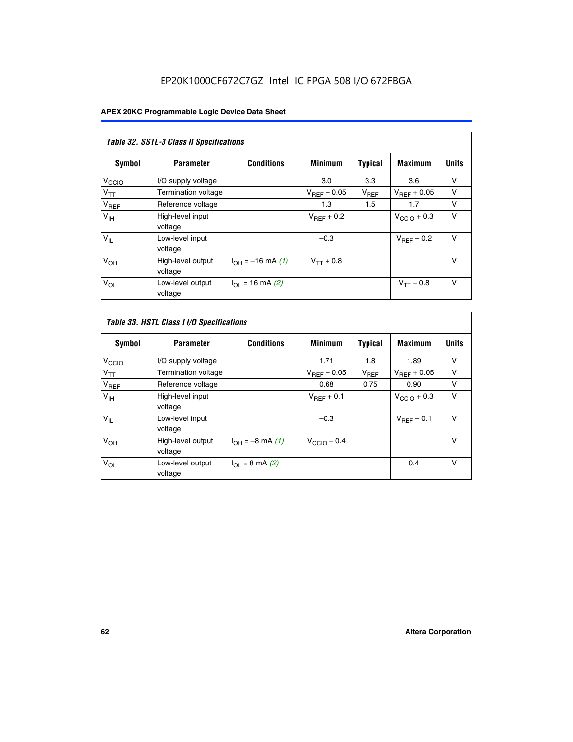| Table 32. SSTL-3 Class II Specifications |                              |                          |                  |                |                         |              |
|------------------------------------------|------------------------------|--------------------------|------------------|----------------|-------------------------|--------------|
| <b>Symbol</b>                            | <b>Parameter</b>             | <b>Conditions</b>        | <b>Minimum</b>   | <b>Typical</b> | <b>Maximum</b>          | <b>Units</b> |
| $V_{\text{CCIO}}$                        | I/O supply voltage           |                          | 3.0              | 3.3            | 3.6                     | v            |
| $V_{TT}$                                 | Termination voltage          |                          | $V_{REF} - 0.05$ | $V_{REF}$      | $V_{\text{RFF}} + 0.05$ | v            |
| $V_{REF}$                                | Reference voltage            |                          | 1.3              | 1.5            | 1.7                     | v            |
| $V_{\text{IH}}$                          | High-level input<br>voltage  |                          | $V_{REF}$ + 0.2  |                | $V_{\text{CCIO}} + 0.3$ | v            |
| $V_{IL}$                                 | Low-level input<br>voltage   |                          | $-0.3$           |                | $V_{\text{RFF}}$ – 0.2  | $\vee$       |
| V <sub>OH</sub>                          | High-level output<br>voltage | $I_{OH} = -16$ mA (1)    | $V_{TT} + 0.8$   |                |                         | $\vee$       |
| $V_{OL}$                                 | Low-level output<br>voltage  | $I_{\Omega}$ = 16 mA (2) |                  |                | $V_{TT} - 0.8$          | v            |

| Table 33. HSTL Class I I/O Specifications |                              |                              |                         |                |                         |              |
|-------------------------------------------|------------------------------|------------------------------|-------------------------|----------------|-------------------------|--------------|
| Symbol                                    | <b>Parameter</b>             | <b>Conditions</b>            | <b>Minimum</b>          | <b>Typical</b> | <b>Maximum</b>          | <b>Units</b> |
| V <sub>CCIO</sub>                         | I/O supply voltage           |                              | 1.71                    | 1.8            | 1.89                    | v            |
| $V_{TT}$                                  | Termination voltage          |                              | $V_{REF} - 0.05$        | $V_{REF}$      | $V_{\text{RFF}} + 0.05$ | $\vee$       |
| $V_{REF}$                                 | Reference voltage            |                              | 0.68                    | 0.75           | 0.90                    | v            |
| $V_{\text{IH}}$                           | High-level input<br>voltage  |                              | $V_{REF}$ + 0.1         |                | $V_{\text{CCIO}} + 0.3$ | $\vee$       |
| $V_{IL}$                                  | Low-level input<br>voltage   |                              | $-0.3$                  |                | $V_{\text{RFF}}$ – 0.1  | $\vee$       |
| V <sub>OH</sub>                           | High-level output<br>voltage | $I_{OH} = -8 \text{ mA} (1)$ | $V_{\text{CCIO}} - 0.4$ |                |                         | $\vee$       |
| $V_{OL}$                                  | Low-level output<br>voltage  | $I_{OL} = 8 \text{ mA} (2)$  |                         |                | 0.4                     | $\vee$       |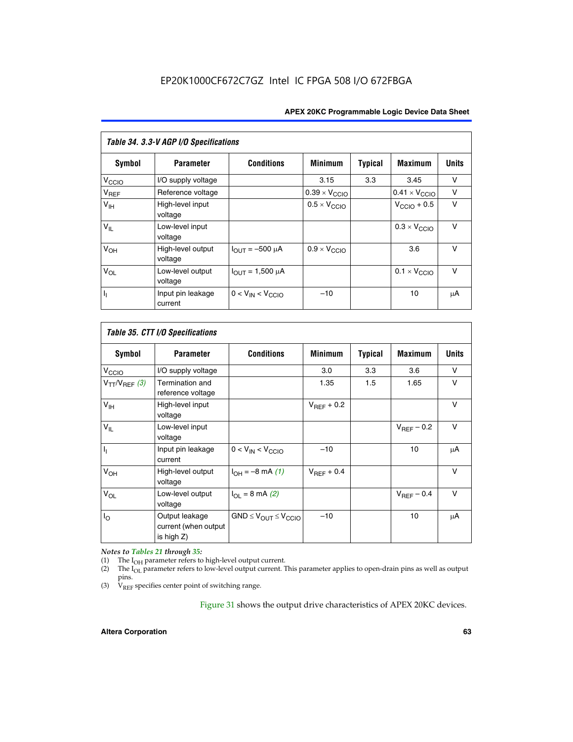| Table 34. 3.3-V AGP I/O Specifications |                              |                         |                               |                |                               |              |
|----------------------------------------|------------------------------|-------------------------|-------------------------------|----------------|-------------------------------|--------------|
| Symbol                                 | <b>Parameter</b>             | <b>Conditions</b>       | <b>Minimum</b>                | <b>Typical</b> | <b>Maximum</b>                | <b>Units</b> |
| $V_{\text{CCLO}}$                      | I/O supply voltage           |                         | 3.15                          | 3.3            | 3.45                          | v            |
| $V_{REF}$                              | Reference voltage            |                         | $0.39 \times V_{\text{CCIO}}$ |                | $0.41 \times V_{\text{CCIO}}$ | v            |
| V <sub>IH</sub>                        | High-level input<br>voltage  |                         | $0.5 \times V_{\text{CCIO}}$  |                | $V_{\text{CCIO}} + 0.5$       | v            |
| $V_{IL}$                               | Low-level input<br>voltage   |                         |                               |                | $0.3 \times V_{\text{CCIO}}$  | $\vee$       |
| $V_{OH}$                               | High-level output<br>voltage | $I_{OUT} = -500 \mu A$  | $0.9 \times V_{\text{CCIO}}$  |                | 3.6                           | $\vee$       |
| $V_{OL}$                               | Low-level output<br>voltage  | $I_{OUT} = 1,500 \mu A$ |                               |                | $0.1 \times V_{\text{CCIO}}$  | $\vee$       |
| Γ,                                     | Input pin leakage<br>current | $0 < V_{IN} < V_{CCIO}$ | $-10$                         |                | 10                            | μA           |

| Table 35. CTT I/O Specifications |                                                      |                                  |                 |         |                 |              |
|----------------------------------|------------------------------------------------------|----------------------------------|-----------------|---------|-----------------|--------------|
| Symbol                           | <b>Parameter</b>                                     | <b>Conditions</b>                | <b>Minimum</b>  | Typical | <b>Maximum</b>  | <b>Units</b> |
| V <sub>CCIO</sub>                | I/O supply voltage                                   |                                  | 3.0             | 3.3     | 3.6             | v            |
| $V_{TT}/V_{REF}$ (3)             | Termination and<br>reference voltage                 |                                  | 1.35            | 1.5     | 1.65            | v            |
| V <sub>IH</sub>                  | High-level input<br>voltage                          |                                  | $V_{REF}$ + 0.2 |         |                 | v            |
| $V_{IL}$                         | Low-level input<br>voltage                           |                                  |                 |         | $V_{REF}$ – 0.2 | $\vee$       |
| h,                               | Input pin leakage<br>current                         | $0 < V_{IN} < V_{CCIO}$          | $-10$           |         | 10              | μA           |
| V <sub>OH</sub>                  | High-level output<br>voltage                         | $I_{OH} = -8 \text{ mA} (1)$     | $V_{BFF}$ + 0.4 |         |                 | $\vee$       |
| $V_{OL}$                         | Low-level output<br>voltage                          | $I_{\Omega I}$ = 8 mA (2)        |                 |         | $V_{REF}$ – 0.4 | $\vee$       |
| $I_{\rm O}$                      | Output leakage<br>current (when output<br>is high Z) | $GND \leq V_{OUT} \leq V_{CCIO}$ | $-10$           |         | 10              | μA           |

*Notes to Tables 21 through 35:*

(1) The  $I_{OH}$  parameter refers to high-level output current.<br>
(2) The  $I_{OL}$  parameter refers to low-level output current. T

The I<sub>OL</sub> parameter refers to low-level output current. This parameter applies to open-drain pins as well as output pins.

(3)  $\hat{V}_{REF}$  specifies center point of switching range.

Figure 31 shows the output drive characteristics of APEX 20KC devices.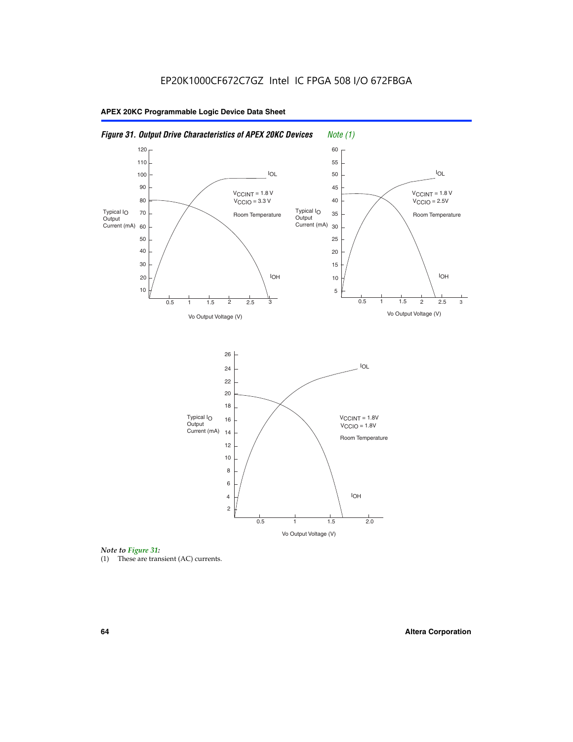



(1) These are transient (AC) currents.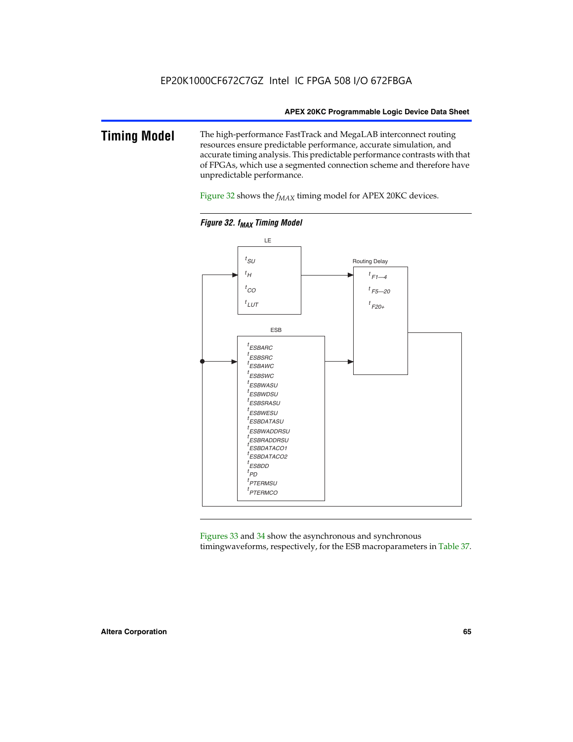### **Timing Model** The high-performance FastTrack and MegaLAB interconnect routing resources ensure predictable performance, accurate simulation, and accurate timing analysis. This predictable performance contrasts with that of FPGAs, which use a segmented connection scheme and therefore have unpredictable performance.

Figure 32 shows the  $f_{MAX}$  timing model for APEX 20KC devices.



**Figure 32. f<sub>MAX</sub> Timing Model** 

Figures 33 and 34 show the asynchronous and synchronous timingwaveforms, respectively, for the ESB macroparameters in Table 37.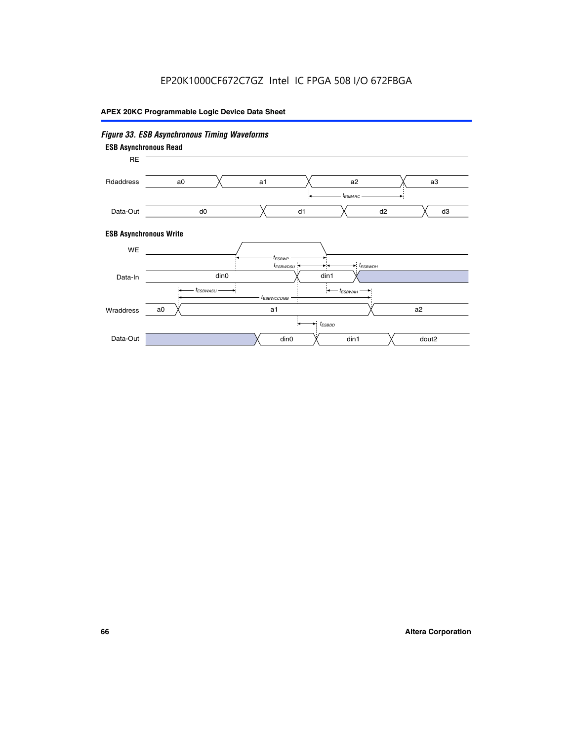# *Figure 33. ESB Asynchronous Timing Waveforms*

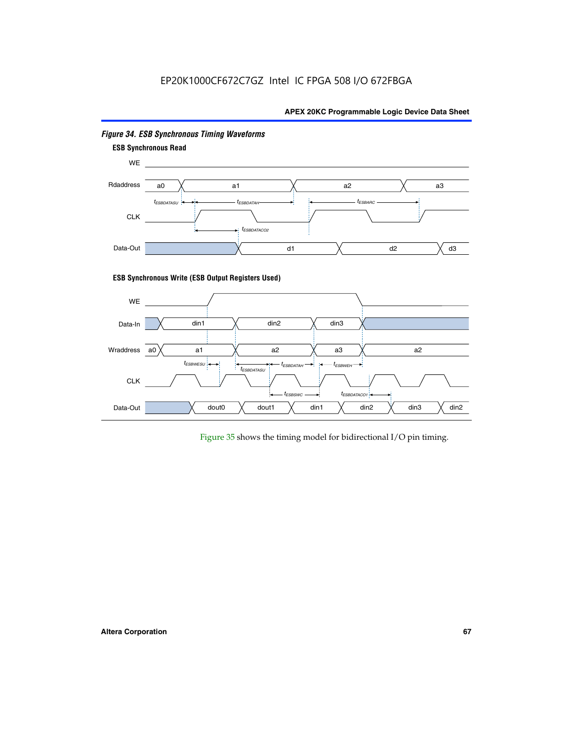# EP20K1000CF672C7GZ Intel IC FPGA 508 I/O 672FBGA

### **APEX 20KC Programmable Logic Device Data Sheet**



### *Figure 34. ESB Synchronous Timing Waveforms*

Figure 35 shows the timing model for bidirectional I/O pin timing.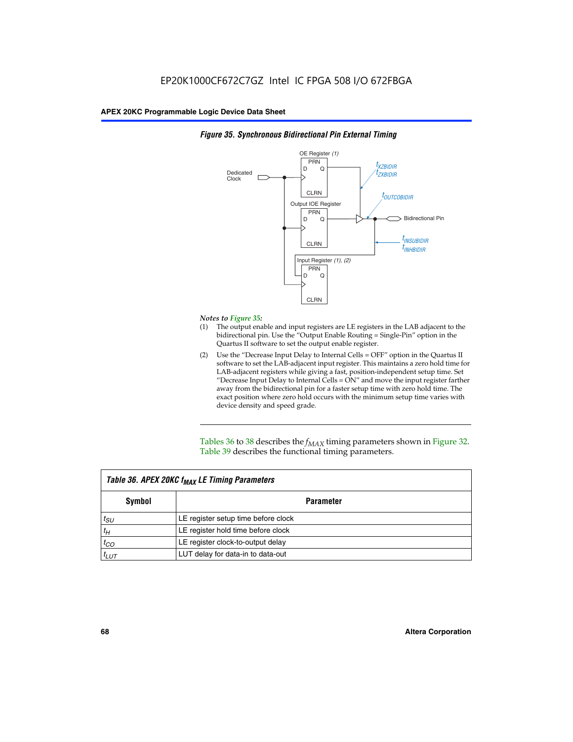

### *Figure 35. Synchronous Bidirectional Pin External Timing*

### *Notes to Figure 35:*

- (1) The output enable and input registers are LE registers in the LAB adjacent to the bidirectional pin. Use the "Output Enable Routing = Single-Pin" option in the Quartus II software to set the output enable register.
- (2) Use the "Decrease Input Delay to Internal Cells = OFF" option in the Quartus II software to set the LAB-adjacent input register. This maintains a zero hold time for LAB-adjacent registers while giving a fast, position-independent setup time. Set "Decrease Input Delay to Internal Cells  $= ON''$  and move the input register farther away from the bidirectional pin for a faster setup time with zero hold time. The exact position where zero hold occurs with the minimum setup time varies with device density and speed grade.

Tables 36 to 38 describes the  $f_{MAX}$  timing parameters shown in Figure 32. Table 39 describes the functional timing parameters.

| Table 36. APEX 20KC f <sub>MAX</sub> LE Timing Parameters |                                     |  |  |  |
|-----------------------------------------------------------|-------------------------------------|--|--|--|
| Symbol                                                    | Parameter                           |  |  |  |
| $t_{SU}$                                                  | LE register setup time before clock |  |  |  |
| $t_H$                                                     | LE register hold time before clock  |  |  |  |
| $t_{CO}$                                                  | LE register clock-to-output delay   |  |  |  |
| $t_{LUT}$                                                 | LUT delay for data-in to data-out   |  |  |  |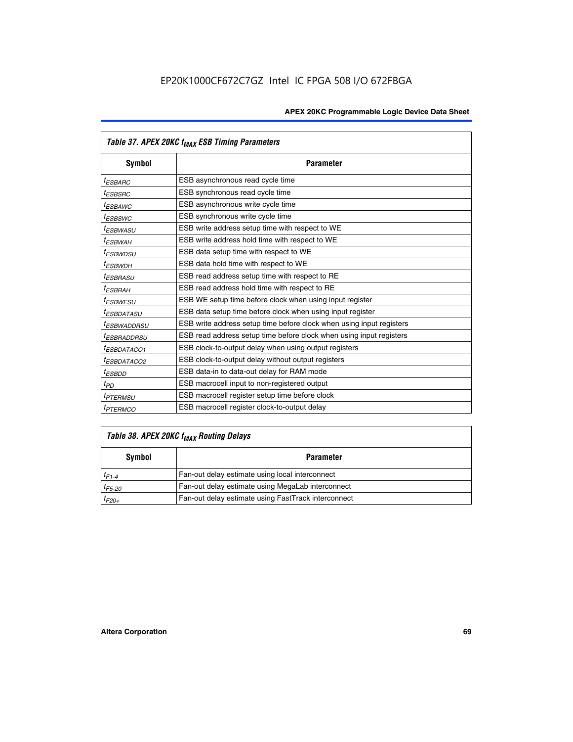|                         | Table 37. APEX 20KC f <sub>MAX</sub> ESB Timing Parameters           |
|-------------------------|----------------------------------------------------------------------|
| Symbol                  | <b>Parameter</b>                                                     |
| <sup>t</sup> ESBARC     | ESB asynchronous read cycle time                                     |
| <sup>t</sup> ESBSRC     | ESB synchronous read cycle time                                      |
| <sup>t</sup> ESBAWC     | ESB asynchronous write cycle time                                    |
| <sup>t</sup> ESBSWC     | ESB synchronous write cycle time                                     |
| <sup>t</sup> ESBWASU    | ESB write address setup time with respect to WE                      |
| <sup>t</sup> ESBWAH     | ESB write address hold time with respect to WE                       |
| <sup>t</sup> ESBWDSU    | ESB data setup time with respect to WE                               |
| t <sub>ESBWDН</sub>     | ESB data hold time with respect to WE                                |
| <sup>t</sup> ESBRASU    | ESB read address setup time with respect to RE                       |
| <sup>t</sup> ESBRAH     | ESB read address hold time with respect to RE                        |
| <sup>I</sup> ESBWESU    | ESB WE setup time before clock when using input register             |
| <sup>t</sup> ESBDATASU  | ESB data setup time before clock when using input register           |
| <sup>t</sup> ESBWADDRSU | ESB write address setup time before clock when using input registers |
| <sup>t</sup> ESBRADDRSU | ESB read address setup time before clock when using input registers  |
| <sup>t</sup> ESBDATACO1 | ESB clock-to-output delay when using output registers                |
| <sup>t</sup> ESBDATACO2 | ESB clock-to-output delay without output registers                   |
| <sup>t</sup> ESBDD      | ESB data-in to data-out delay for RAM mode                           |
| $t_{PD}$                | ESB macrocell input to non-registered output                         |
| <sup>t</sup> PTERMSU    | ESB macrocell register setup time before clock                       |
| <sup>t</sup> PTERMCO    | ESB macrocell register clock-to-output delay                         |

# *Table 38. APEX 20KC fMAX Routing Delays*

| Symbol      | <b>Parameter</b>                                    |  |  |
|-------------|-----------------------------------------------------|--|--|
| $t_{F1-4}$  | Fan-out delay estimate using local interconnect     |  |  |
| $t_{F5-20}$ | Fan-out delay estimate using MegaLab interconnect   |  |  |
| $t_{F20+}$  | Fan-out delay estimate using FastTrack interconnect |  |  |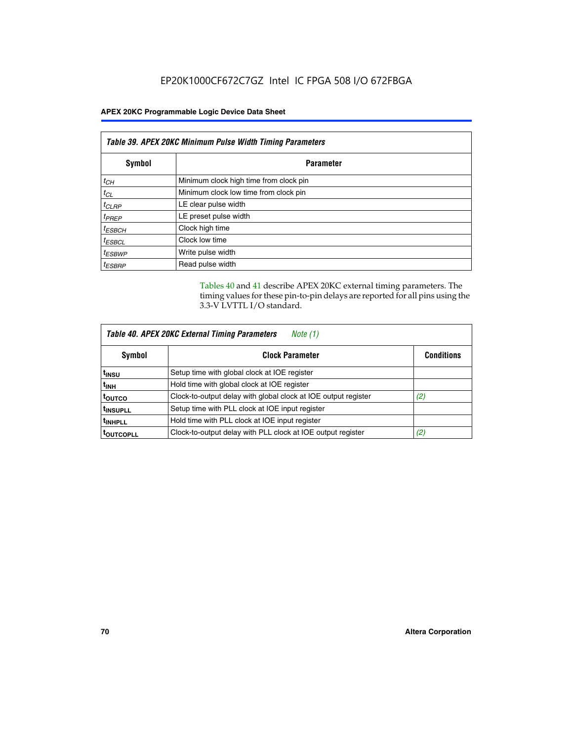| Table 39. APEX 20KC Minimum Pulse Width Timing Parameters |                                        |  |  |
|-----------------------------------------------------------|----------------------------------------|--|--|
| Symbol                                                    | <b>Parameter</b>                       |  |  |
| $t_{CH}$                                                  | Minimum clock high time from clock pin |  |  |
| $t_{CL}$                                                  | Minimum clock low time from clock pin  |  |  |
| $t_{CLRP}$                                                | LE clear pulse width                   |  |  |
| $t_{PREF}$                                                | LE preset pulse width                  |  |  |
| $t_{ESBCH}$                                               | Clock high time                        |  |  |
| $t_{ESBCL}$                                               | Clock low time                         |  |  |
| <sup>t</sup> ESBWP                                        | Write pulse width                      |  |  |
| <sup>t</sup> ESBRP                                        | Read pulse width                       |  |  |

Tables 40 and 41 describe APEX 20KC external timing parameters. The timing values for these pin-to-pin delays are reported for all pins using the 3.3-V LVTTL I/O standard.

| Table 40. APEX 20KC External Timing Parameters<br>Note (1) |                                                                |                   |  |  |
|------------------------------------------------------------|----------------------------------------------------------------|-------------------|--|--|
| Symbol                                                     | <b>Clock Parameter</b>                                         | <b>Conditions</b> |  |  |
| t <sub>insu</sub>                                          | Setup time with global clock at IOE register                   |                   |  |  |
| t <sub>inh</sub>                                           | Hold time with global clock at IOE register                    |                   |  |  |
| toutco                                                     | Clock-to-output delay with global clock at IOE output register | (2)               |  |  |
| <sup>t</sup> INSUPLL                                       | Setup time with PLL clock at IOE input register                |                   |  |  |
| <sup>t</sup> INHPLL                                        | Hold time with PLL clock at IOE input register                 |                   |  |  |
| <b>TOUTCOPLL</b>                                           | Clock-to-output delay with PLL clock at IOE output register    | (2)               |  |  |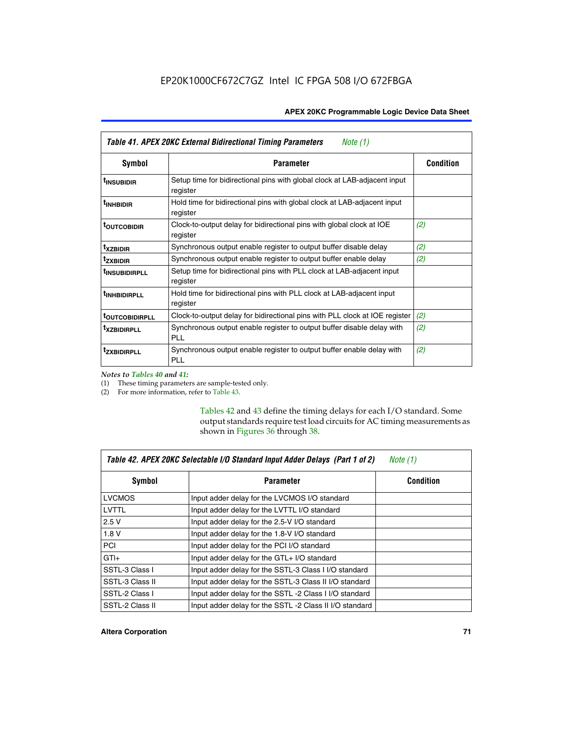| Table 41. APEX 20KC External Bidirectional Timing Parameters<br>Note (1) |                                                                                       |                  |  |  |
|--------------------------------------------------------------------------|---------------------------------------------------------------------------------------|------------------|--|--|
| Symbol                                                                   | <b>Parameter</b>                                                                      | <b>Condition</b> |  |  |
| <sup>t</sup> INSUBIDIR                                                   | Setup time for bidirectional pins with global clock at LAB-adjacent input<br>register |                  |  |  |
| <sup>t</sup> INHBIDIR                                                    | Hold time for bidirectional pins with global clock at LAB-adjacent input<br>register  |                  |  |  |
| <sup>t</sup> OUTCOBIDIR                                                  | Clock-to-output delay for bidirectional pins with global clock at IOE<br>register     | (2)              |  |  |
| <sup>t</sup> xzbidir                                                     | Synchronous output enable register to output buffer disable delay                     | (2)              |  |  |
| <sup>t</sup> zxbidir                                                     | Synchronous output enable register to output buffer enable delay                      | (2)              |  |  |
| <sup>t</sup> insubidirpll                                                | Setup time for bidirectional pins with PLL clock at LAB-adjacent input<br>register    |                  |  |  |
| <sup>t</sup> INHBIDIRPLL                                                 | Hold time for bidirectional pins with PLL clock at LAB-adjacent input<br>register     |                  |  |  |
| <b><sup>t</sup>OUTCOBIDIRPLL</b>                                         | Clock-to-output delay for bidirectional pins with PLL clock at IOE register           | (2)              |  |  |
| <sup>T</sup> XZBIDIRPLL                                                  | Synchronous output enable register to output buffer disable delay with<br>PL L        | (2)              |  |  |
| <sup>I</sup> ZXBIDIRPLL                                                  | Synchronous output enable register to output buffer enable delay with<br><b>PLL</b>   | (2)              |  |  |

*Notes to Tables 40 and 41:*

(1) These timing parameters are sample-tested only.

(2) For more information, refer to Table 43.

Tables 42 and 43 define the timing delays for each I/O standard. Some output standards require test load circuits for AC timing measurements as shown in Figures 36 through 38.

| Table 42. APEX 20KC Selectable I/O Standard Input Adder Delays (Part 1 of 2)<br>Note $(1)$ |                                                         |                  |  |  |
|--------------------------------------------------------------------------------------------|---------------------------------------------------------|------------------|--|--|
| Symbol                                                                                     | <b>Parameter</b>                                        | <b>Condition</b> |  |  |
| <b>LVCMOS</b>                                                                              | Input adder delay for the LVCMOS I/O standard           |                  |  |  |
| LVTTL                                                                                      | Input adder delay for the LVTTL I/O standard            |                  |  |  |
| 2.5V                                                                                       | Input adder delay for the 2.5-V I/O standard            |                  |  |  |
| 1.8V                                                                                       | Input adder delay for the 1.8-V I/O standard            |                  |  |  |
| <b>PCI</b>                                                                                 | Input adder delay for the PCI I/O standard              |                  |  |  |
| $GTI +$                                                                                    | Input adder delay for the GTL+ I/O standard             |                  |  |  |
| SSTL-3 Class I                                                                             | Input adder delay for the SSTL-3 Class I I/O standard   |                  |  |  |
| SSTL-3 Class II                                                                            | Input adder delay for the SSTL-3 Class II I/O standard  |                  |  |  |
| SSTL-2 Class I                                                                             | Input adder delay for the SSTL-2 Class I I/O standard   |                  |  |  |
| SSTL-2 Class II                                                                            | Input adder delay for the SSTL -2 Class II I/O standard |                  |  |  |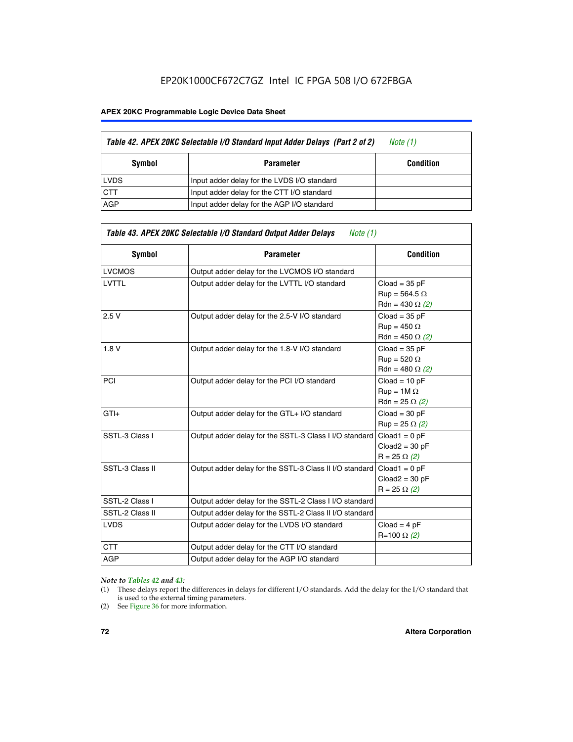# EP20K1000CF672C7GZ Intel IC FPGA 508 I/O 672FBGA

#### **APEX 20KC Programmable Logic Device Data Sheet**

|             | Table 42. APEX 20KC Selectable I/O Standard Input Adder Delays (Part 2 of 2) | Note (1)         |
|-------------|------------------------------------------------------------------------------|------------------|
| Symbol      | <b>Parameter</b>                                                             | <b>Condition</b> |
| <b>LVDS</b> | Input adder delay for the LVDS I/O standard                                  |                  |
| <b>CTT</b>  | Input adder delay for the CTT I/O standard                                   |                  |
| <b>AGP</b>  | Input adder delay for the AGP I/O standard                                   |                  |

| Table 43. APEX 20KC Selectable I/O Standard Output Adder Delays<br>Note $(1)$ |                                                         |                                                                   |  |  |  |  |  |  |
|-------------------------------------------------------------------------------|---------------------------------------------------------|-------------------------------------------------------------------|--|--|--|--|--|--|
| <b>Symbol</b>                                                                 | <b>Parameter</b>                                        | <b>Condition</b>                                                  |  |  |  |  |  |  |
| <b>LVCMOS</b>                                                                 | Output adder delay for the LVCMOS I/O standard          |                                                                   |  |  |  |  |  |  |
| <b>LVTTL</b>                                                                  | Output adder delay for the LVTTL I/O standard           | $Cload = 35 pF$<br>$Run = 564.5 \Omega$<br>Rdn = 430 $\Omega$ (2) |  |  |  |  |  |  |
| 2.5V                                                                          | Output adder delay for the 2.5-V I/O standard           | $Cloud = 35 pF$<br>$Run = 450 \Omega$<br>Rdn = 450 $\Omega$ (2)   |  |  |  |  |  |  |
| 1.8V                                                                          | Output adder delay for the 1.8-V I/O standard           | $Cloud = 35 pF$<br>$Run = 520 \Omega$<br>Rdn = 480 $\Omega$ (2)   |  |  |  |  |  |  |
| PCI                                                                           | Output adder delay for the PCI I/O standard             | $Cloud = 10 pF$<br>$Run = 1M \Omega$<br>Rdn = 25 $\Omega$ (2)     |  |  |  |  |  |  |
| $GTI +$                                                                       | Output adder delay for the GTL+ I/O standard            | $Cloud = 30 pF$<br>$Run = 25 \Omega (2)$                          |  |  |  |  |  |  |
| SSTL-3 Class I                                                                | Output adder delay for the SSTL-3 Class I I/O standard  | $Cloud1 = 0 pF$<br>$Cloud2 = 30 pF$<br>$R = 25 \Omega (2)$        |  |  |  |  |  |  |
| SSTL-3 Class II                                                               | Output adder delay for the SSTL-3 Class II I/O standard | $Cloud1 = 0 pF$<br>$Cloud2 = 30 pF$<br>$R = 25 \Omega (2)$        |  |  |  |  |  |  |
| SSTL-2 Class I                                                                | Output adder delay for the SSTL-2 Class I I/O standard  |                                                                   |  |  |  |  |  |  |
| SSTL-2 Class II                                                               | Output adder delay for the SSTL-2 Class II I/O standard |                                                                   |  |  |  |  |  |  |
| <b>LVDS</b>                                                                   | Output adder delay for the LVDS I/O standard            | $Cloud = 4 pF$<br>$R = 100 \Omega (2)$                            |  |  |  |  |  |  |
| <b>CTT</b>                                                                    | Output adder delay for the CTT I/O standard             |                                                                   |  |  |  |  |  |  |
| AGP                                                                           | Output adder delay for the AGP I/O standard             |                                                                   |  |  |  |  |  |  |

#### *Note to Tables 42 and 43:*

- (1) These delays report the differences in delays for different I/O standards. Add the delay for the I/O standard that is used to the external timing parameters.
- (2) See Figure 36 for more information.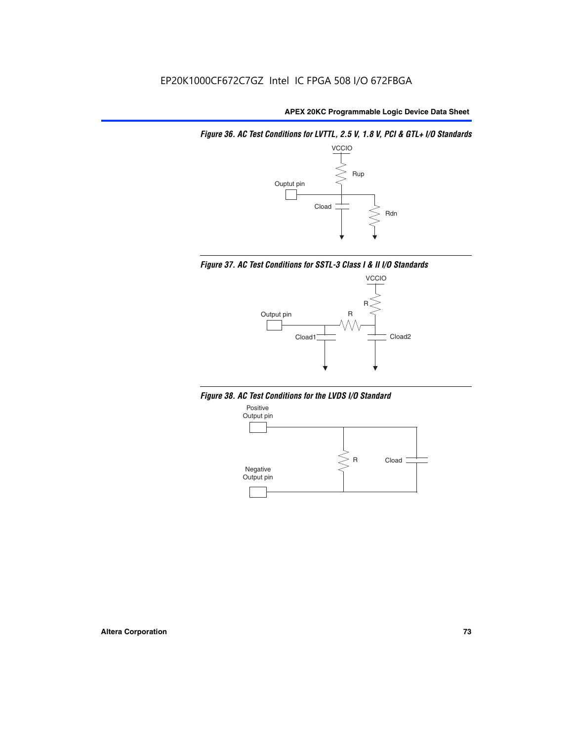*Figure 36. AC Test Conditions for LVTTL, 2.5 V, 1.8 V, PCI & GTL+ I/O Standards*







*Figure 38. AC Test Conditions for the LVDS I/O Standard*

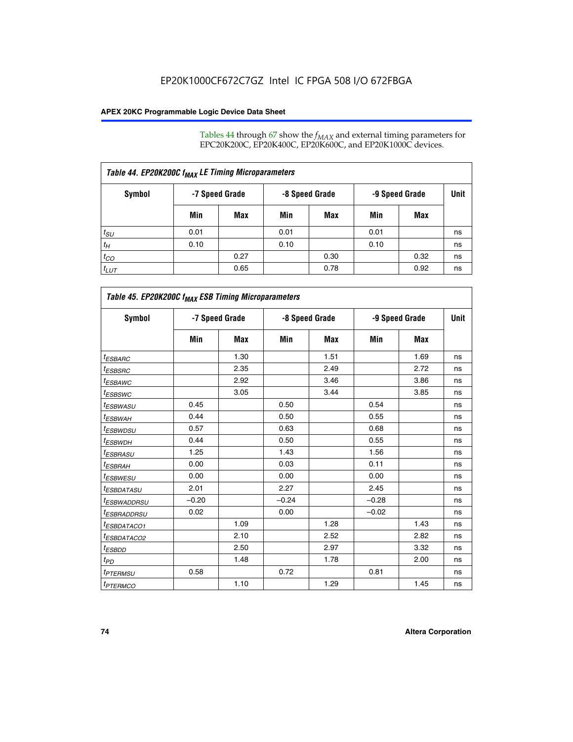Tables 44 through 67 show the  $f_{MAX}$  and external timing parameters for EPC20K200C, EP20K400C, EP20K600C, and EP20K1000C devices.

| Table 44. EP20K200C f <sub>MAX</sub> LE Timing Microparameters |                |      |      |                |                |      |             |  |  |  |
|----------------------------------------------------------------|----------------|------|------|----------------|----------------|------|-------------|--|--|--|
| Symbol                                                         | -7 Speed Grade |      |      | -8 Speed Grade | -9 Speed Grade |      | <b>Unit</b> |  |  |  |
|                                                                | Min            | Max  | Min  | Max            | Min            | Max  |             |  |  |  |
| $t_{SU}$                                                       | 0.01           |      | 0.01 |                | 0.01           |      | ns          |  |  |  |
| $t_H$                                                          | 0.10           |      | 0.10 |                | 0.10           |      | ns          |  |  |  |
| $t_{CO}$                                                       |                | 0.27 |      | 0.30           |                | 0.32 | ns          |  |  |  |
| $t_{LUT}$                                                      |                | 0.65 |      | 0.78           |                | 0.92 | ns          |  |  |  |

| Table 45. EP20K200C f <sub>MAX</sub> ESB Timing Microparameters |         |                |         |                |         |                |    |  |  |  |
|-----------------------------------------------------------------|---------|----------------|---------|----------------|---------|----------------|----|--|--|--|
| <b>Symbol</b>                                                   |         | -7 Speed Grade |         | -8 Speed Grade |         | -9 Speed Grade |    |  |  |  |
|                                                                 | Min     | Max            | Min     | Max            | Min     | Max            |    |  |  |  |
| <sup>t</sup> ESBARC                                             |         | 1.30           |         | 1.51           |         | 1.69           | ns |  |  |  |
| $t_{ESBSRC}$                                                    |         | 2.35           |         | 2.49           |         | 2.72           | ns |  |  |  |
| <sup>t</sup> ESBAWC                                             |         | 2.92           |         | 3.46           |         | 3.86           | ns |  |  |  |
| <sup>t</sup> ESBSWC                                             |         | 3.05           |         | 3.44           |         | 3.85           | ns |  |  |  |
| <sup>t</sup> ESBWASU                                            | 0.45    |                | 0.50    |                | 0.54    |                | ns |  |  |  |
| <sup>t</sup> ESBWАН                                             | 0.44    |                | 0.50    |                | 0.55    |                | ns |  |  |  |
| <sup>t</sup> ESBWDSU                                            | 0.57    |                | 0.63    |                | 0.68    |                | ns |  |  |  |
| <sup>t</sup> ESBWDH                                             | 0.44    |                | 0.50    |                | 0.55    |                | ns |  |  |  |
| <sup>t</sup> ESBRASU                                            | 1.25    |                | 1.43    |                | 1.56    |                | ns |  |  |  |
| <sup>t</sup> ESBRAH                                             | 0.00    |                | 0.03    |                | 0.11    |                | ns |  |  |  |
| <sup>t</sup> ESBWESU                                            | 0.00    |                | 0.00    |                | 0.00    |                | ns |  |  |  |
| <sup>t</sup> ESBDATASU                                          | 2.01    |                | 2.27    |                | 2.45    |                | ns |  |  |  |
| <sup>t</sup> ESBWADDRSU                                         | $-0.20$ |                | $-0.24$ |                | $-0.28$ |                | ns |  |  |  |
| <sup>t</sup> ESBRADDRSU                                         | 0.02    |                | 0.00    |                | $-0.02$ |                | ns |  |  |  |
| <sup>t</sup> ESBDATACO1                                         |         | 1.09           |         | 1.28           |         | 1.43           | ns |  |  |  |
| <sup>t</sup> ESBDATACO2                                         |         | 2.10           |         | 2.52           |         | 2.82           | ns |  |  |  |
| <sup>t</sup> ESBDD                                              |         | 2.50           |         | 2.97           |         | 3.32           | ns |  |  |  |
| t <sub>PD</sub>                                                 |         | 1.48           |         | 1.78           |         | 2.00           | ns |  |  |  |
| <sup>t</sup> PTERMSU                                            | 0.58    |                | 0.72    |                | 0.81    |                | ns |  |  |  |
| t <sub>PTERMCO</sub>                                            |         | 1.10           |         | 1.29           |         | 1.45           | ns |  |  |  |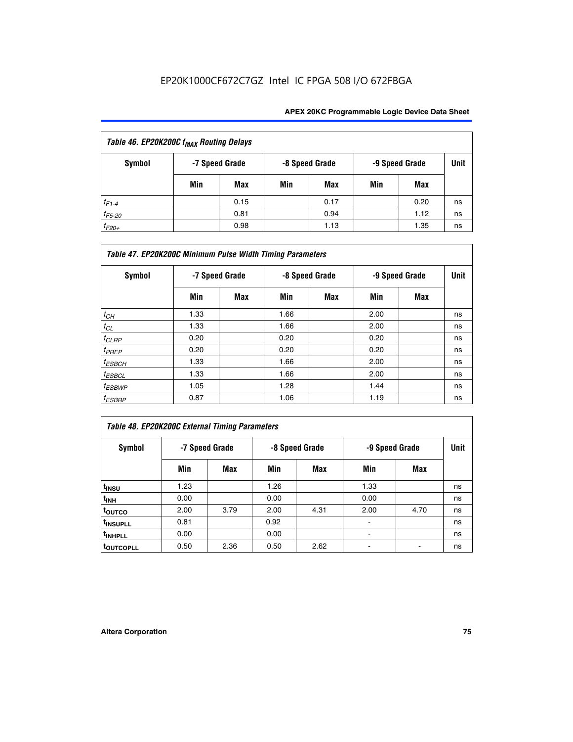| Table 46. EP20K200C f <sub>MAX</sub> Routing Delays |     |                |     |                |                |      |             |  |  |
|-----------------------------------------------------|-----|----------------|-----|----------------|----------------|------|-------------|--|--|
| Symbol                                              |     | -7 Speed Grade |     | -8 Speed Grade | -9 Speed Grade |      | <b>Unit</b> |  |  |
|                                                     | Min | Max            | Min | Max            | Min            | Max  |             |  |  |
| $t_{F1-4}$                                          |     | 0.15           |     | 0.17           |                | 0.20 | ns          |  |  |
| $t_{F5-20}$                                         |     | 0.81           |     | 0.94           |                | 1.12 | ns          |  |  |
| $t_{F20+}$                                          |     | 0.98           |     | 1.13           |                | 1.35 | ns          |  |  |

| Table 47. EP20K200C Minimum Pulse Width Timing Parameters |                |     |                |     |      |                |      |  |  |  |
|-----------------------------------------------------------|----------------|-----|----------------|-----|------|----------------|------|--|--|--|
| <b>Symbol</b>                                             | -7 Speed Grade |     | -8 Speed Grade |     |      | -9 Speed Grade | Unit |  |  |  |
|                                                           | Min            | Max | Min            | Max | Min  | Max            |      |  |  |  |
| $t_{CH}$                                                  | 1.33           |     | 1.66           |     | 2.00 |                | ns   |  |  |  |
| $t_{CL}$                                                  | 1.33           |     | 1.66           |     | 2.00 |                | ns   |  |  |  |
| $t_{CLRP}$                                                | 0.20           |     | 0.20           |     | 0.20 |                | ns   |  |  |  |
| $t_{PREF}$                                                | 0.20           |     | 0.20           |     | 0.20 |                | ns   |  |  |  |
| $t_{ESBCH}$                                               | 1.33           |     | 1.66           |     | 2.00 |                | ns   |  |  |  |
| $t_{ESBCL}$                                               | 1.33           |     | 1.66           |     | 2.00 |                | ns   |  |  |  |
| $t_{ESBWP}$                                               | 1.05           |     | 1.28           |     | 1.44 |                | ns   |  |  |  |
| $t_{ESBRP}$                                               | 0.87           |     | 1.06           |     | 1.19 |                | ns   |  |  |  |

# *Table 48. EP20K200C External Timing Parameters*

| Symbol                |      | -7 Speed Grade |      | -8 Speed Grade |      | -9 Speed Grade |    |  |
|-----------------------|------|----------------|------|----------------|------|----------------|----|--|
|                       | Min  | Max            | Min  | Max            | Min  | Max            |    |  |
| t <sub>INSU</sub>     | 1.23 |                | 1.26 |                | 1.33 |                | ns |  |
| t <sub>INH</sub>      | 0.00 |                | 0.00 |                | 0.00 |                | ns |  |
| toutco                | 2.00 | 3.79           | 2.00 | 4.31           | 2.00 | 4.70           | ns |  |
| t <sub>INSUPLL</sub>  | 0.81 |                | 0.92 |                | ٠    |                | ns |  |
| t <sub>INHPLL</sub>   | 0.00 |                | 0.00 |                |      |                | ns |  |
| t <sub>outcopll</sub> | 0.50 | 2.36           | 0.50 | 2.62           |      |                | ns |  |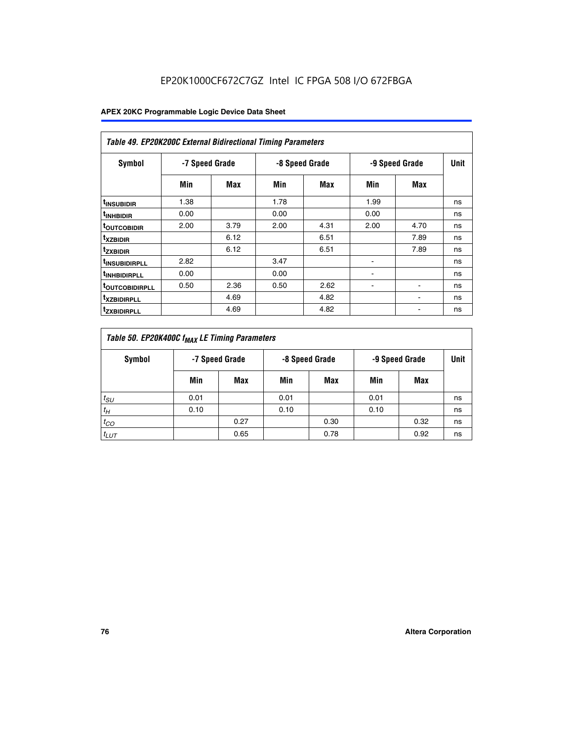| <b>Table 49. EP20K200C External Bidirectional Timing Parameters</b> |                |      |      |                |                |             |    |  |  |  |
|---------------------------------------------------------------------|----------------|------|------|----------------|----------------|-------------|----|--|--|--|
| <b>Symbol</b>                                                       | -7 Speed Grade |      |      | -8 Speed Grade | -9 Speed Grade | <b>Unit</b> |    |  |  |  |
|                                                                     | Min            | Max  | Min  | Max            | <b>Min</b>     | Max         |    |  |  |  |
| <sup>t</sup> INSUBIDIR                                              | 1.38           |      | 1.78 |                | 1.99           |             | ns |  |  |  |
| <sup>t</sup> INHBIDIR                                               | 0.00           |      | 0.00 |                | 0.00           |             | ns |  |  |  |
| <b><sup>t</sup>OUTCOBIDIR</b>                                       | 2.00           | 3.79 | 2.00 | 4.31           | 2.00           | 4.70        | ns |  |  |  |
| <sup>t</sup> xzbidir                                                |                | 6.12 |      | 6.51           |                | 7.89        | ns |  |  |  |
| <sup>t</sup> zxbidir                                                |                | 6.12 |      | 6.51           |                | 7.89        | ns |  |  |  |
| <sup>t</sup> insubidirpll                                           | 2.82           |      | 3.47 |                |                |             | ns |  |  |  |
| <sup>t</sup> INHBIDIRPLL                                            | 0.00           |      | 0.00 |                |                |             | ns |  |  |  |
| <b><sup>T</sup>OUTCOBIDIRPLL</b>                                    | 0.50           | 2.36 | 0.50 | 2.62           | ٠              | ۰           | ns |  |  |  |
| <sup>t</sup> xzbidirpll                                             |                | 4.69 |      | 4.82           |                |             | ns |  |  |  |
| <sup>I</sup> ZXBIDIRPLL                                             |                | 4.69 |      | 4.82           |                |             | ns |  |  |  |

| Table 50. EP20K400C f <sub>MAX</sub> LE Timing Parameters |                |      |      |                |      |                |    |  |  |
|-----------------------------------------------------------|----------------|------|------|----------------|------|----------------|----|--|--|
| Symbol                                                    | -7 Speed Grade |      |      | -8 Speed Grade |      | -9 Speed Grade |    |  |  |
|                                                           | Min            | Max  | Min  | Max            | Min  | Max            |    |  |  |
| $t_{SU}$                                                  | 0.01           |      | 0.01 |                | 0.01 |                | ns |  |  |
| $t_H$                                                     | 0.10           |      | 0.10 |                | 0.10 |                | ns |  |  |
| $t_{CO}$                                                  |                | 0.27 |      | 0.30           |      | 0.32           | ns |  |  |
| $t_{LUT}$                                                 |                | 0.65 |      | 0.78           |      | 0.92           | ns |  |  |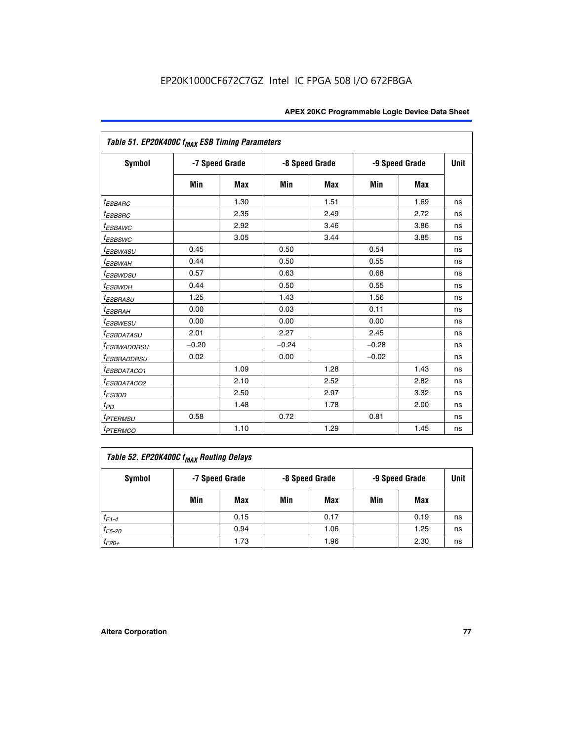| Table 51. EP20K400C f <sub>MAX</sub> ESB Timing Parameters |                |            |         |                |         |                |    |  |  |  |
|------------------------------------------------------------|----------------|------------|---------|----------------|---------|----------------|----|--|--|--|
| <b>Symbol</b>                                              | -7 Speed Grade |            |         | -8 Speed Grade |         | -9 Speed Grade |    |  |  |  |
|                                                            | Min            | <b>Max</b> | Min     | <b>Max</b>     | Min     | <b>Max</b>     |    |  |  |  |
| <i>t<sub>ESBARC</sub></i>                                  |                | 1.30       |         | 1.51           |         | 1.69           | ns |  |  |  |
| <sup>t</sup> ESBSRC                                        |                | 2.35       |         | 2.49           |         | 2.72           | ns |  |  |  |
| <sup>t</sup> ESBAWC                                        |                | 2.92       |         | 3.46           |         | 3.86           | ns |  |  |  |
| <sup>t</sup> ESBSWC                                        |                | 3.05       |         | 3.44           |         | 3.85           | ns |  |  |  |
| <sup>t</sup> ESBWASU                                       | 0.45           |            | 0.50    |                | 0.54    |                | ns |  |  |  |
| <sup>t</sup> ESBWAH                                        | 0.44           |            | 0.50    |                | 0.55    |                | ns |  |  |  |
| <i>t<sub>ESBWDSU</sub></i>                                 | 0.57           |            | 0.63    |                | 0.68    |                | ns |  |  |  |
| <sup>t</sup> ESBWDH                                        | 0.44           |            | 0.50    |                | 0.55    |                | ns |  |  |  |
| <i><b>ESBRASU</b></i>                                      | 1.25           |            | 1.43    |                | 1.56    |                | ns |  |  |  |
| <sup>t</sup> ESBRAH                                        | 0.00           |            | 0.03    |                | 0.11    |                | ns |  |  |  |
| <sup>t</sup> ESBWESU                                       | 0.00           |            | 0.00    |                | 0.00    |                | ns |  |  |  |
| <i><b>ESBDATASU</b></i>                                    | 2.01           |            | 2.27    |                | 2.45    |                | ns |  |  |  |
| <sup>t</sup> ESBWADDRSU                                    | $-0.20$        |            | $-0.24$ |                | $-0.28$ |                | ns |  |  |  |
| <i>t<sub>ESBRADDRSU</sub></i>                              | 0.02           |            | 0.00    |                | $-0.02$ |                | ns |  |  |  |
| <sup>t</sup> ESBDATACO1                                    |                | 1.09       |         | 1.28           |         | 1.43           | ns |  |  |  |
| <sup>I</sup> ESBDATACO2                                    |                | 2.10       |         | 2.52           |         | 2.82           | ns |  |  |  |
| <sup>t</sup> ESBDD                                         |                | 2.50       |         | 2.97           |         | 3.32           | ns |  |  |  |
| t <sub>PD</sub>                                            |                | 1.48       |         | 1.78           |         | 2.00           | ns |  |  |  |
| t <sub>PTERMSU</sub>                                       | 0.58           |            | 0.72    |                | 0.81    |                | ns |  |  |  |
| <i>t<sub>PTERMCO</sub></i>                                 |                | 1.10       |         | 1.29           |         | 1.45           | ns |  |  |  |

| Table 52. EP20K400C f <sub>MAX</sub> Routing Delays |     |                |                |      |                |      |             |  |  |
|-----------------------------------------------------|-----|----------------|----------------|------|----------------|------|-------------|--|--|
| Symbol                                              |     | -7 Speed Grade | -8 Speed Grade |      | -9 Speed Grade |      | <b>Unit</b> |  |  |
|                                                     | Min | Max            | Min            | Max  | Min            | Max  |             |  |  |
| $t_{F1-4}$                                          |     | 0.15           |                | 0.17 |                | 0.19 | ns          |  |  |
| $t_{F5-20}$                                         |     | 0.94           |                | 1.06 |                | 1.25 | ns          |  |  |
| $t_{F20+}$                                          |     | 1.73           |                | 1.96 |                | 2.30 | ns          |  |  |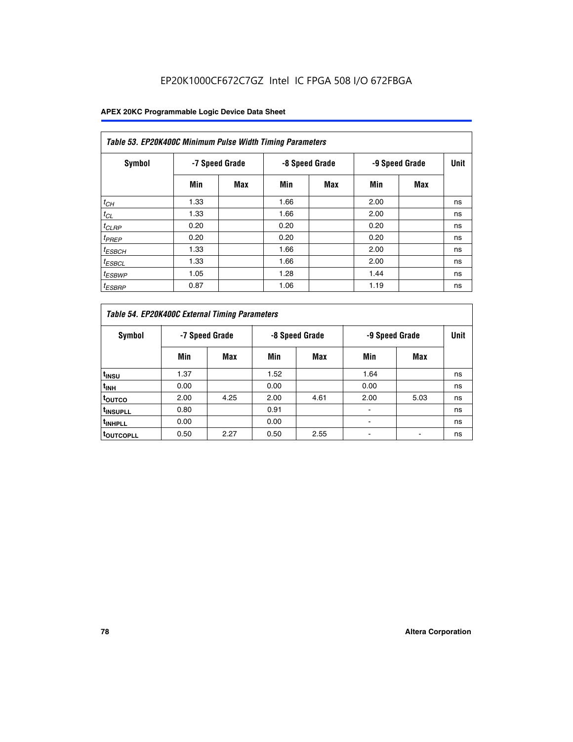| Table 53. EP20K400C Minimum Pulse Width Timing Parameters |      |                |      |                |      |                |      |  |  |  |
|-----------------------------------------------------------|------|----------------|------|----------------|------|----------------|------|--|--|--|
| Symbol                                                    |      | -7 Speed Grade |      | -8 Speed Grade |      | -9 Speed Grade | Unit |  |  |  |
|                                                           | Min  | Max            | Min  | <b>Max</b>     | Min  | <b>Max</b>     |      |  |  |  |
| $t_{CH}$                                                  | 1.33 |                | 1.66 |                | 2.00 |                | ns   |  |  |  |
| $t_{CL}$                                                  | 1.33 |                | 1.66 |                | 2.00 |                | ns   |  |  |  |
| $t_{CLRP}$                                                | 0.20 |                | 0.20 |                | 0.20 |                | ns   |  |  |  |
| $t_{PREF}$                                                | 0.20 |                | 0.20 |                | 0.20 |                | ns   |  |  |  |
| <sup>t</sup> ESBCH                                        | 1.33 |                | 1.66 |                | 2.00 |                | ns   |  |  |  |
| <sup>t</sup> ESBCL                                        | 1.33 |                | 1.66 |                | 2.00 |                | ns   |  |  |  |
| $t_{ESBWP}$                                               | 1.05 |                | 1.28 |                | 1.44 |                | ns   |  |  |  |
| <sup>t</sup> ESBRP                                        | 0.87 |                | 1.06 |                | 1.19 |                | ns   |  |  |  |

| Table 54. EP20K400C External Timing Parameters |      |                |      |                |      |                |    |  |  |  |  |  |
|------------------------------------------------|------|----------------|------|----------------|------|----------------|----|--|--|--|--|--|
| Symbol                                         |      | -7 Speed Grade |      | -8 Speed Grade |      | -9 Speed Grade |    |  |  |  |  |  |
|                                                | Min  | Max            | Min  | Max            | Min  | Max            |    |  |  |  |  |  |
| t <sub>INSU</sub>                              | 1.37 |                | 1.52 |                | 1.64 |                | ns |  |  |  |  |  |
| $t_{\mathsf{INH}}$                             | 0.00 |                | 0.00 |                | 0.00 |                | ns |  |  |  |  |  |
| <sup>t</sup> outco                             | 2.00 | 4.25           | 2.00 | 4.61           | 2.00 | 5.03           | ns |  |  |  |  |  |
| <sup>I</sup> INSUPLL                           | 0.80 |                | 0.91 |                |      |                | ns |  |  |  |  |  |
| <sup>t</sup> INHPLL                            | 0.00 |                | 0.00 |                |      |                | ns |  |  |  |  |  |
| <sup>I</sup> OUTCOPLL                          | 0.50 | 2.27           | 0.50 | 2.55           |      |                | ns |  |  |  |  |  |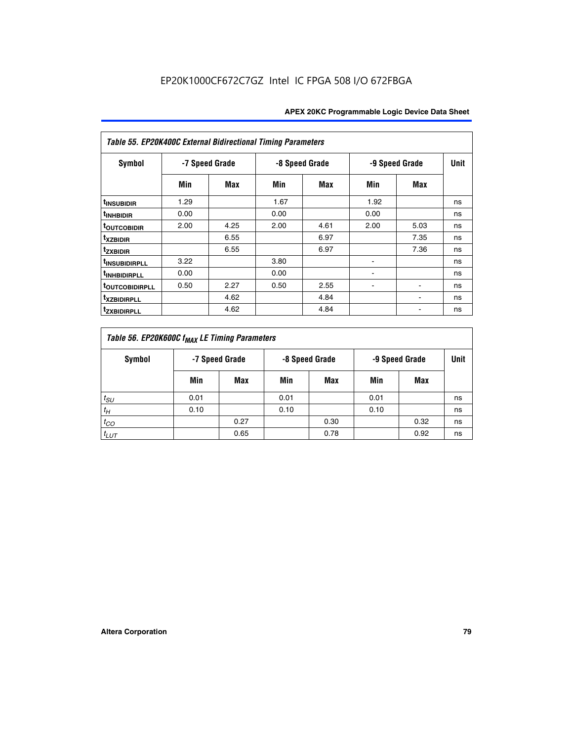| Table 55. EP20K400C External Bidirectional Timing Parameters |      |                |      |                |                          |                          |             |  |  |  |  |  |
|--------------------------------------------------------------|------|----------------|------|----------------|--------------------------|--------------------------|-------------|--|--|--|--|--|
| <b>Symbol</b>                                                |      | -7 Speed Grade |      | -8 Speed Grade |                          | -9 Speed Grade           | <b>Unit</b> |  |  |  |  |  |
|                                                              | Min  | Max            | Min  | Max            | Min                      | Max                      |             |  |  |  |  |  |
| <sup>t</sup> INSUBIDIR                                       | 1.29 |                | 1.67 |                | 1.92                     |                          | ns          |  |  |  |  |  |
| <sup>t</sup> INHBIDIR                                        | 0.00 |                | 0.00 |                | 0.00                     |                          | ns          |  |  |  |  |  |
| <b>toutcobidir</b>                                           | 2.00 | 4.25           | 2.00 | 4.61           | 2.00                     | 5.03                     | ns          |  |  |  |  |  |
| <sup>t</sup> xzbidir                                         |      | 6.55           |      | 6.97           |                          | 7.35                     | ns          |  |  |  |  |  |
| <sup>t</sup> zxbidir                                         |      | 6.55           |      | 6.97           |                          | 7.36                     | ns          |  |  |  |  |  |
| <sup>t</sup> INSUBIDIRPLL                                    | 3.22 |                | 3.80 |                | $\overline{\phantom{a}}$ |                          | ns          |  |  |  |  |  |
| <sup>t</sup> INHBIDIRPLL                                     | 0.00 |                | 0.00 |                |                          |                          | ns          |  |  |  |  |  |
| <b><i>toutcobidirpll</i></b>                                 | 0.50 | 2.27           | 0.50 | 2.55           | ۰                        | $\overline{\phantom{a}}$ | ns          |  |  |  |  |  |
| <sup>t</sup> xzbidirpll                                      |      | 4.62           |      | 4.84           |                          | ۰                        | ns          |  |  |  |  |  |
| <sup>t</sup> zxbidirpll                                      |      | 4.62           |      | 4.84           |                          |                          | ns          |  |  |  |  |  |

| Table 56. EP20K600C f <sub>MAX</sub> LE Timing Parameters |                                                    |      |      |      |      |      |    |  |  |  |  |
|-----------------------------------------------------------|----------------------------------------------------|------|------|------|------|------|----|--|--|--|--|
| Symbol                                                    | -7 Speed Grade<br>-8 Speed Grade<br>-9 Speed Grade |      |      |      |      | Unit |    |  |  |  |  |
|                                                           | Min                                                | Max  | Min  | Max  | Min  | Max  |    |  |  |  |  |
| $t_{SU}$                                                  | 0.01                                               |      | 0.01 |      | 0.01 |      | ns |  |  |  |  |
| $t_H$                                                     | 0.10                                               |      | 0.10 |      | 0.10 |      | ns |  |  |  |  |
| $t_{CO}$                                                  |                                                    | 0.27 |      | 0.30 |      | 0.32 | ns |  |  |  |  |
| $t_{LUT}$                                                 |                                                    | 0.65 |      | 0.78 |      | 0.92 | ns |  |  |  |  |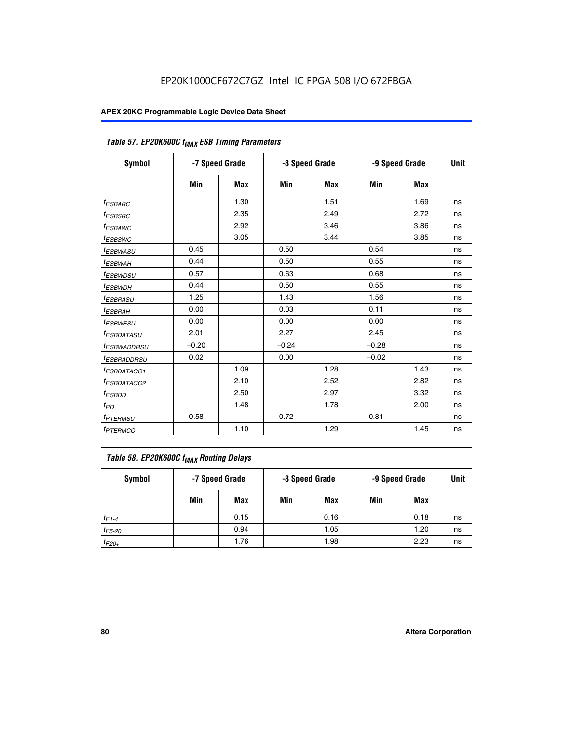| Table 57. EP20K600C f <sub>MAX</sub> ESB Timing Parameters |                |            |         |                |         |                |    |  |
|------------------------------------------------------------|----------------|------------|---------|----------------|---------|----------------|----|--|
| Symbol                                                     | -7 Speed Grade |            |         | -8 Speed Grade |         | -9 Speed Grade |    |  |
|                                                            | Min            | <b>Max</b> | Min     | <b>Max</b>     | Min     | <b>Max</b>     |    |  |
| <sup>t</sup> ESBARC                                        |                | 1.30       |         | 1.51           |         | 1.69           | ns |  |
| <sup>t</sup> ESBSRC                                        |                | 2.35       |         | 2.49           |         | 2.72           | ns |  |
| <sup>t</sup> ESBAWC                                        |                | 2.92       |         | 3.46           |         | 3.86           | ns |  |
| <sup>t</sup> ESBSWC                                        |                | 3.05       |         | 3.44           |         | 3.85           | ns |  |
| <sup>t</sup> ESBWASU                                       | 0.45           |            | 0.50    |                | 0.54    |                | ns |  |
| <sup>t</sup> ESBWАН                                        | 0.44           |            | 0.50    |                | 0.55    |                | ns |  |
| <sup>t</sup> ESBWDSU                                       | 0.57           |            | 0.63    |                | 0.68    |                | ns |  |
| <sup>t</sup> ESBWDH                                        | 0.44           |            | 0.50    |                | 0.55    |                | ns |  |
| <i>ESBRASU</i>                                             | 1.25           |            | 1.43    |                | 1.56    |                | ns |  |
| <sup>t</sup> ESBRAH                                        | 0.00           |            | 0.03    |                | 0.11    |                | ns |  |
| <sup>t</sup> ESBWESU                                       | 0.00           |            | 0.00    |                | 0.00    |                | ns |  |
| <sup>I</sup> ESBDATASU                                     | 2.01           |            | 2.27    |                | 2.45    |                | ns |  |
| <sup>I</sup> ESBWADDRSU                                    | $-0.20$        |            | $-0.24$ |                | $-0.28$ |                | ns |  |
| <sup>I</sup> ESBRADDRSU                                    | 0.02           |            | 0.00    |                | $-0.02$ |                | ns |  |
| <sup>t</sup> ESBDATACO1                                    |                | 1.09       |         | 1.28           |         | 1.43           | ns |  |
| <sup>t</sup> ESBDATACO2                                    |                | 2.10       |         | 2.52           |         | 2.82           | ns |  |
| <sup>t</sup> ESBDD                                         |                | 2.50       |         | 2.97           |         | 3.32           | ns |  |
| $t_{\scriptsize{PD}}$                                      |                | 1.48       |         | 1.78           |         | 2.00           | ns |  |
| <sup>t</sup> PTERMSU                                       | 0.58           |            | 0.72    |                | 0.81    |                | ns |  |
| <i>t<sub>PTERMCO</sub></i>                                 |                | 1.10       |         | 1.29           |         | 1.45           | ns |  |

| Table 58. EP20K600C f <sub>MAX</sub> Routing Delays |                |      |                |      |                |      |      |  |  |  |
|-----------------------------------------------------|----------------|------|----------------|------|----------------|------|------|--|--|--|
| Symbol                                              | -7 Speed Grade |      | -8 Speed Grade |      | -9 Speed Grade |      | Unit |  |  |  |
|                                                     | Min            | Max  | Min            | Max  | Min            | Max  |      |  |  |  |
| $t_{F1-4}$                                          |                | 0.15 |                | 0.16 |                | 0.18 | ns   |  |  |  |
| $t_{F5-20}$                                         |                | 0.94 |                | 1.05 |                | 1.20 | ns   |  |  |  |
| $t_{F20+}$                                          |                | 1.76 |                | 1.98 |                | 2.23 | ns   |  |  |  |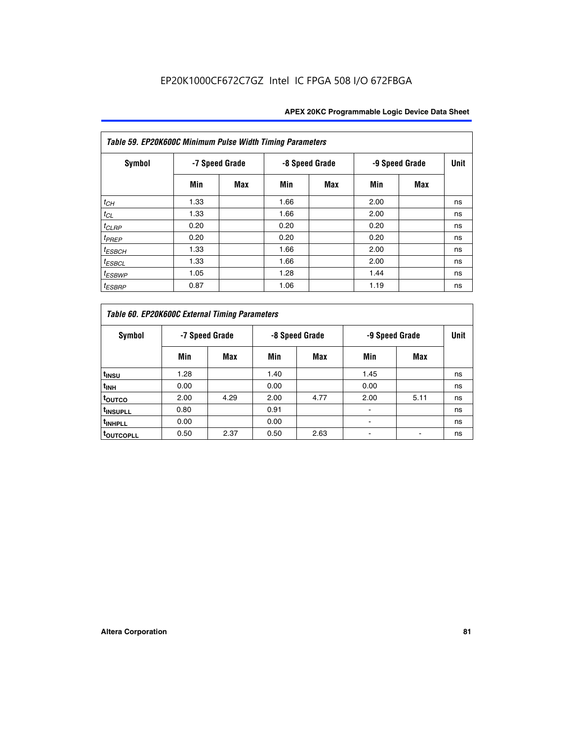| Table 59. EP20K600C Minimum Pulse Width Timing Parameters |                |     |                |            |                |     |             |  |  |  |  |
|-----------------------------------------------------------|----------------|-----|----------------|------------|----------------|-----|-------------|--|--|--|--|
| Symbol                                                    | -7 Speed Grade |     | -8 Speed Grade |            | -9 Speed Grade |     | <b>Unit</b> |  |  |  |  |
|                                                           | Min            | Max | Min            | <b>Max</b> | Min            | Max |             |  |  |  |  |
| $t_{CH}$                                                  | 1.33           |     | 1.66           |            | 2.00           |     | ns          |  |  |  |  |
| $t_{CL}$                                                  | 1.33           |     | 1.66           |            | 2.00           |     | ns          |  |  |  |  |
| $t_{CLRP}$                                                | 0.20           |     | 0.20           |            | 0.20           |     | ns          |  |  |  |  |
| $t_{PREF}$                                                | 0.20           |     | 0.20           |            | 0.20           |     | ns          |  |  |  |  |
| $t_{ESBCH}$                                               | 1.33           |     | 1.66           |            | 2.00           |     | ns          |  |  |  |  |
| $t_{ESBCL}$                                               | 1.33           |     | 1.66           |            | 2.00           |     | ns          |  |  |  |  |
| <sup>t</sup> ESBWP                                        | 1.05           |     | 1.28           |            | 1.44           |     | ns          |  |  |  |  |
| <sup>t</sup> ESBRP                                        | 0.87           |     | 1.06           |            | 1.19           |     | ns          |  |  |  |  |

|                      | Table 60. EP20K600C External Timing Parameters |                |      |                |                |      |    |  |  |  |  |  |  |
|----------------------|------------------------------------------------|----------------|------|----------------|----------------|------|----|--|--|--|--|--|--|
| Symbol               |                                                | -7 Speed Grade |      | -8 Speed Grade | -9 Speed Grade | Unit |    |  |  |  |  |  |  |
|                      | Min                                            | Max            | Min  | Max            | Min            | Max  |    |  |  |  |  |  |  |
| t <sub>INSU</sub>    | 1.28                                           |                | 1.40 |                | 1.45           |      | ns |  |  |  |  |  |  |
| <sup>t</sup> INH     | 0.00                                           |                | 0.00 |                | 0.00           |      | ns |  |  |  |  |  |  |
| toutco               | 2.00                                           | 4.29           | 2.00 | 4.77           | 2.00           | 5.11 | ns |  |  |  |  |  |  |
| <sup>t</sup> INSUPLL | 0.80                                           |                | 0.91 |                |                |      | ns |  |  |  |  |  |  |
| <sup>t</sup> INHPLL  | 0.00                                           |                | 0.00 |                |                |      | ns |  |  |  |  |  |  |
| <b>TOUTCOPLL</b>     | 0.50                                           | 2.37           | 0.50 | 2.63           |                |      | ns |  |  |  |  |  |  |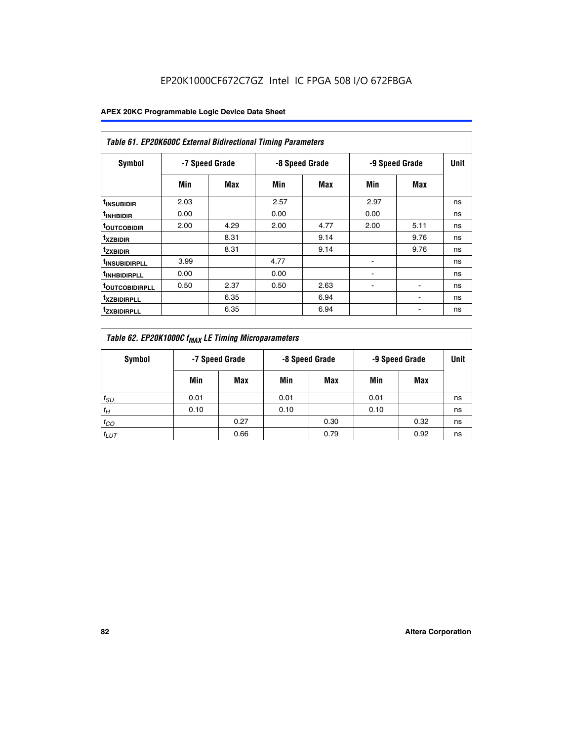|                               | <b>Table 61. EP20K600C External Bidirectional Timing Parameters</b> |      |      |                |      |                |             |  |  |  |  |  |  |
|-------------------------------|---------------------------------------------------------------------|------|------|----------------|------|----------------|-------------|--|--|--|--|--|--|
| <b>Symbol</b>                 | -7 Speed Grade                                                      |      |      | -8 Speed Grade |      | -9 Speed Grade | <b>Unit</b> |  |  |  |  |  |  |
|                               | Min                                                                 | Max  | Min  | Max            | Min  | Max            |             |  |  |  |  |  |  |
| <sup>t</sup> INSUBIDIR        | 2.03                                                                |      | 2.57 |                | 2.97 |                | ns          |  |  |  |  |  |  |
| <sup>t</sup> INHBIDIR         | 0.00                                                                |      | 0.00 |                | 0.00 |                | ns          |  |  |  |  |  |  |
| <b><sup>t</sup>OUTCOBIDIR</b> | 2.00                                                                | 4.29 | 2.00 | 4.77           | 2.00 | 5.11           | ns          |  |  |  |  |  |  |
| <sup>t</sup> xzbidir          |                                                                     | 8.31 |      | 9.14           |      | 9.76           | ns          |  |  |  |  |  |  |
| <sup>t</sup> zxbidir          |                                                                     | 8.31 |      | 9.14           |      | 9.76           | ns          |  |  |  |  |  |  |
| <sup>t</sup> insubidirpll     | 3.99                                                                |      | 4.77 |                |      |                | ns          |  |  |  |  |  |  |
| <sup>t</sup> inhbidirpll      | 0.00                                                                |      | 0.00 |                |      |                | ns          |  |  |  |  |  |  |
| <sup>T</sup> OUTCOBIDIRPLL    | 0.50                                                                | 2.37 | 0.50 | 2.63           | ۰    | ٠              | ns          |  |  |  |  |  |  |
| <sup>T</sup> XZBIDIRPLL       |                                                                     | 6.35 |      | 6.94           |      |                | ns          |  |  |  |  |  |  |
| <sup>I</sup> ZXBIDIRPLL       |                                                                     | 6.35 |      | 6.94           |      |                | ns          |  |  |  |  |  |  |

| Table 62. EP20K1000C f <sub>MAX</sub> LE Timing Microparameters |                                                    |      |      |      |      |      |             |  |  |  |  |
|-----------------------------------------------------------------|----------------------------------------------------|------|------|------|------|------|-------------|--|--|--|--|
| Symbol                                                          | -7 Speed Grade<br>-8 Speed Grade<br>-9 Speed Grade |      |      |      |      |      | <b>Unit</b> |  |  |  |  |
|                                                                 | Min                                                | Max  | Min  | Max  | Min  | Max  |             |  |  |  |  |
| $t_{SU}$                                                        | 0.01                                               |      | 0.01 |      | 0.01 |      | ns          |  |  |  |  |
| $t_H$                                                           | 0.10                                               |      | 0.10 |      | 0.10 |      | ns          |  |  |  |  |
| $t_{CO}$                                                        |                                                    | 0.27 |      | 0.30 |      | 0.32 | ns          |  |  |  |  |
| $t_{LUT}$                                                       |                                                    | 0.66 |      | 0.79 |      | 0.92 | ns          |  |  |  |  |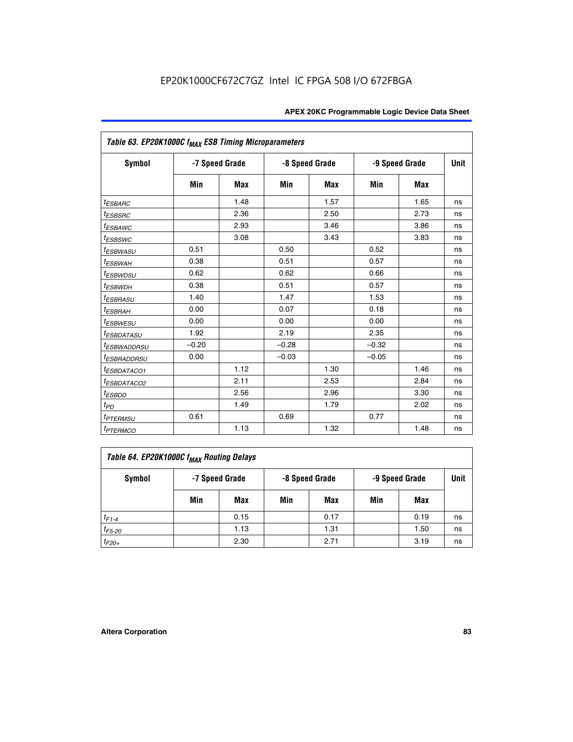| Table 63. EP20K1000C f <sub>MAX</sub> ESB Timing Microparameters |                |            |         |                |                |      |             |
|------------------------------------------------------------------|----------------|------------|---------|----------------|----------------|------|-------------|
| <b>Symbol</b>                                                    | -7 Speed Grade |            |         | -8 Speed Grade | -9 Speed Grade |      | <b>Unit</b> |
|                                                                  | Min            | <b>Max</b> | Min     | <b>Max</b>     | Min            | Max  |             |
| <sup>t</sup> ESBARC                                              |                | 1.48       |         | 1.57           |                | 1.65 | ns          |
| $t_{ESBSRC}$                                                     |                | 2.36       |         | 2.50           |                | 2.73 | ns          |
| <i>t<sub>ESBAWC</sub></i>                                        |                | 2.93       |         | 3.46           |                | 3.86 | ns          |
| <i>t<sub>ESBSWC</sub></i>                                        |                | 3.08       |         | 3.43           |                | 3.83 | ns          |
| <sup>t</sup> ESBWASU                                             | 0.51           |            | 0.50    |                | 0.52           |      | ns          |
| <sup>t</sup> ESBWAH                                              | 0.38           |            | 0.51    |                | 0.57           |      | ns          |
| <i>t<sub>ESBWDSU</sub></i>                                       | 0.62           |            | 0.62    |                | 0.66           |      | ns          |
| <sup>t</sup> ESBWDH                                              | 0.38           |            | 0.51    |                | 0.57           |      | ns          |
| <i>t<sub>ESBRASU</sub></i>                                       | 1.40           |            | 1.47    |                | 1.53           |      | ns          |
| <sup>t</sup> ESBRAH                                              | 0.00           |            | 0.07    |                | 0.18           |      | ns          |
| <sup>t</sup> ESBWESU                                             | 0.00           |            | 0.00    |                | 0.00           |      | ns          |
| <sup>t</sup> ESBDATASU                                           | 1.92           |            | 2.19    |                | 2.35           |      | ns          |
| <sup>t</sup> ESBWADDRSU                                          | $-0.20$        |            | $-0.28$ |                | $-0.32$        |      | ns          |
| <i>t<sub>ESBRADDRSU</sub></i>                                    | 0.00           |            | $-0.03$ |                | $-0.05$        |      | ns          |
| <sup>t</sup> ESBDATACO1                                          |                | 1.12       |         | 1.30           |                | 1.46 | ns          |
| <sup>I</sup> ESBDATACO2                                          |                | 2.11       |         | 2.53           |                | 2.84 | ns          |
| <sup>t</sup> ESBDD                                               |                | 2.56       |         | 2.96           |                | 3.30 | ns          |
| t <sub>PD</sub>                                                  |                | 1.49       |         | 1.79           |                | 2.02 | ns          |
| <i><b>TPTERMSU</b></i>                                           | 0.61           |            | 0.69    |                | 0.77           |      | ns          |
| <b>t</b> <sub>PTERMCO</sub>                                      |                | 1.13       |         | 1.32           |                | 1.48 | ns          |

| Table 64. EP20K1000C f <sub>MAX</sub> Routing Delays |     |                |     |                |                |      |             |  |  |  |
|------------------------------------------------------|-----|----------------|-----|----------------|----------------|------|-------------|--|--|--|
| Symbol                                               |     | -7 Speed Grade |     | -8 Speed Grade | -9 Speed Grade |      | <b>Unit</b> |  |  |  |
|                                                      | Min | Max            | Min | Max            | Min            | Max  |             |  |  |  |
| $t_{F1-4}$                                           |     | 0.15           |     | 0.17           |                | 0.19 | ns          |  |  |  |
| $t_{F5-20}$                                          |     | 1.13           |     | 1.31           |                | 1.50 | ns          |  |  |  |
| $t_{F20+}$                                           |     | 2.30           |     | 2.71           |                | 3.19 | ns          |  |  |  |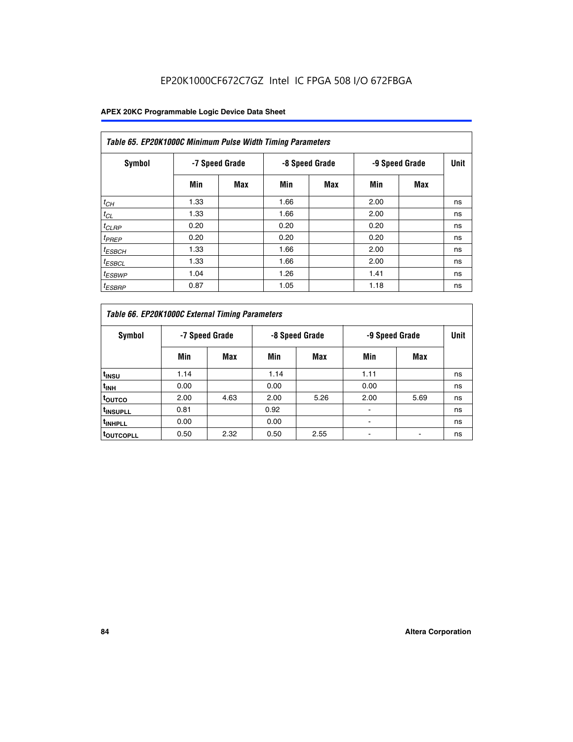| Table 65. EP20K1000C Minimum Pulse Width Timing Parameters |                |            |                |            |                |            |             |  |  |  |  |
|------------------------------------------------------------|----------------|------------|----------------|------------|----------------|------------|-------------|--|--|--|--|
| Symbol                                                     | -7 Speed Grade |            | -8 Speed Grade |            | -9 Speed Grade |            | <b>Unit</b> |  |  |  |  |
|                                                            | Min            | <b>Max</b> | Min            | <b>Max</b> | Min            | <b>Max</b> |             |  |  |  |  |
| $t_{CH}$                                                   | 1.33           |            | 1.66           |            | 2.00           |            | ns          |  |  |  |  |
| $t_{CL}$                                                   | 1.33           |            | 1.66           |            | 2.00           |            | ns          |  |  |  |  |
| $t_{CLRP}$                                                 | 0.20           |            | 0.20           |            | 0.20           |            | ns          |  |  |  |  |
| $t_{PREF}$                                                 | 0.20           |            | 0.20           |            | 0.20           |            | ns          |  |  |  |  |
| <sup>t</sup> ESBCH                                         | 1.33           |            | 1.66           |            | 2.00           |            | ns          |  |  |  |  |
| <sup>t</sup> ESBCL                                         | 1.33           |            | 1.66           |            | 2.00           |            | ns          |  |  |  |  |
| $t_{ESBWP}$                                                | 1.04           |            | 1.26           |            | 1.41           |            | ns          |  |  |  |  |
| <sup>t</sup> ESBRP                                         | 0.87           |            | 1.05           |            | 1.18           |            | ns          |  |  |  |  |

| Table 66. EP20K1000C External Timing Parameters |                |      |                |      |                |      |             |
|-------------------------------------------------|----------------|------|----------------|------|----------------|------|-------------|
| Symbol                                          | -7 Speed Grade |      | -8 Speed Grade |      | -9 Speed Grade |      | <b>Unit</b> |
|                                                 | Min            | Max  | Min            | Max  | Min            | Max  |             |
| t <sub>insu</sub>                               | 1.14           |      | 1.14           |      | 1.11           |      | ns          |
| <sup>t</sup> inh                                | 0.00           |      | 0.00           |      | 0.00           |      | ns          |
| toutco                                          | 2.00           | 4.63 | 2.00           | 5.26 | 2.00           | 5.69 | ns          |
| <sup>t</sup> INSUPLL                            | 0.81           |      | 0.92           |      |                |      | ns          |
| <sup>t</sup> INHPLL                             | 0.00           |      | 0.00           |      |                |      | ns          |
| <sup>I</sup> OUTCOPLL                           | 0.50           | 2.32 | 0.50           | 2.55 |                |      | ns          |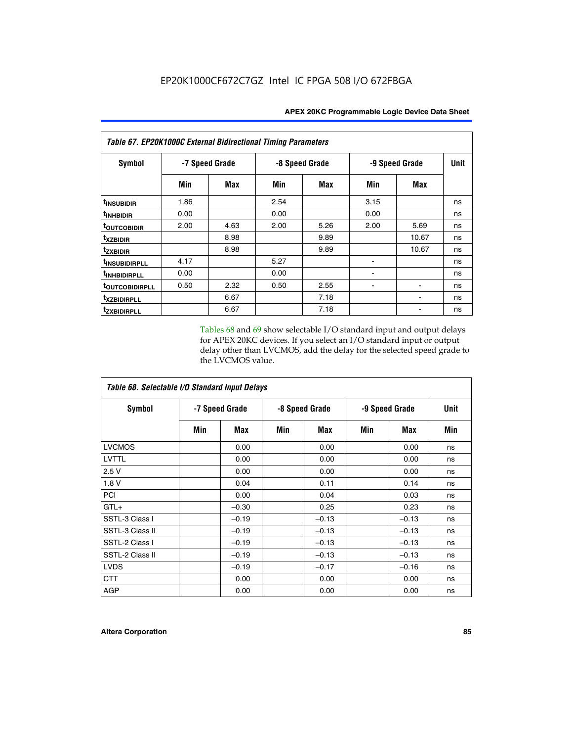| Table 67. EP20K1000C External Bidirectional Timing Parameters |                |      |                |      |                |       |             |
|---------------------------------------------------------------|----------------|------|----------------|------|----------------|-------|-------------|
| Symbol                                                        | -7 Speed Grade |      | -8 Speed Grade |      | -9 Speed Grade |       | <b>Unit</b> |
|                                                               | Min            | Max  | Min            | Max  | Min            | Max   |             |
| t <sub>INSUBIDIR</sub>                                        | 1.86           |      | 2.54           |      | 3.15           |       | ns          |
| <sup>t</sup> INHBIDIR                                         | 0.00           |      | 0.00           |      | 0.00           |       | ns          |
| <sup>t</sup> OUTCOBIDIR                                       | 2.00           | 4.63 | 2.00           | 5.26 | 2.00           | 5.69  | ns          |
| txzbidir                                                      |                | 8.98 |                | 9.89 |                | 10.67 | ns          |
| tzxbidir                                                      |                | 8.98 |                | 9.89 |                | 10.67 | ns          |
| <sup>t</sup> INSUBIDIRPLL                                     | 4.17           |      | 5.27           |      |                |       | ns          |
| <sup>t</sup> INHBIDIRPLL                                      | 0.00           |      | 0.00           |      |                |       | ns          |
| <b>TOUTCOBIDIRPLL</b>                                         | 0.50           | 2.32 | 0.50           | 2.55 |                |       | ns          |
| txzBIDIRPLL                                                   |                | 6.67 |                | 7.18 |                |       | ns          |
| tzxbidirpll                                                   |                | 6.67 |                | 7.18 |                |       | ns          |

Tables 68 and 69 show selectable I/O standard input and output delays for APEX 20KC devices. If you select an I/O standard input or output delay other than LVCMOS, add the delay for the selected speed grade to the LVCMOS value.

| Table 68. Selectable I/O Standard Input Delays |                |         |                |         |                |         |      |  |
|------------------------------------------------|----------------|---------|----------------|---------|----------------|---------|------|--|
| <b>Symbol</b>                                  | -7 Speed Grade |         | -8 Speed Grade |         | -9 Speed Grade |         | Unit |  |
|                                                | Min            | Max     | Min            | Max     | Min            | Max     | Min  |  |
| <b>LVCMOS</b>                                  |                | 0.00    |                | 0.00    |                | 0.00    | ns   |  |
| <b>LVTTL</b>                                   |                | 0.00    |                | 0.00    |                | 0.00    | ns   |  |
| 2.5V                                           |                | 0.00    |                | 0.00    |                | 0.00    | ns   |  |
| 1.8V                                           |                | 0.04    |                | 0.11    |                | 0.14    | ns   |  |
| PCI                                            |                | 0.00    |                | 0.04    |                | 0.03    | ns   |  |
| $GTL+$                                         |                | $-0.30$ |                | 0.25    |                | 0.23    | ns   |  |
| SSTL-3 Class I                                 |                | $-0.19$ |                | $-0.13$ |                | $-0.13$ | ns   |  |
| SSTL-3 Class II                                |                | $-0.19$ |                | $-0.13$ |                | $-0.13$ | ns   |  |
| SSTL-2 Class I                                 |                | $-0.19$ |                | $-0.13$ |                | $-0.13$ | ns   |  |
| SSTL-2 Class II                                |                | $-0.19$ |                | $-0.13$ |                | $-0.13$ | ns   |  |
| <b>LVDS</b>                                    |                | $-0.19$ |                | $-0.17$ |                | $-0.16$ | ns   |  |
| <b>CTT</b>                                     |                | 0.00    |                | 0.00    |                | 0.00    | ns   |  |
| <b>AGP</b>                                     |                | 0.00    |                | 0.00    |                | 0.00    | ns   |  |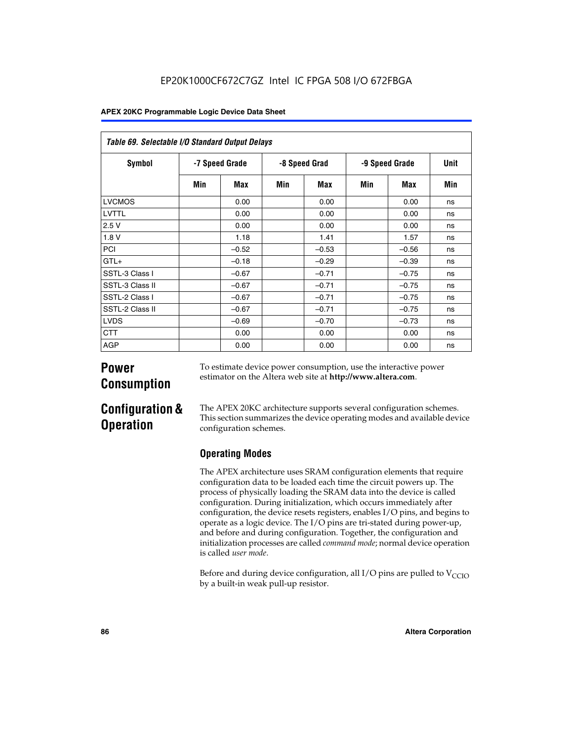| Table 69. Selectable I/O Standard Output Delays |                |         |               |         |                |            |             |
|-------------------------------------------------|----------------|---------|---------------|---------|----------------|------------|-------------|
| <b>Symbol</b>                                   | -7 Speed Grade |         | -8 Speed Grad |         | -9 Speed Grade |            | <b>Unit</b> |
|                                                 | Min            | Max     | Min           | Max     | Min            | <b>Max</b> | Min         |
| <b>LVCMOS</b>                                   |                | 0.00    |               | 0.00    |                | 0.00       | ns          |
| LVTTL                                           |                | 0.00    |               | 0.00    |                | 0.00       | ns          |
| 2.5V                                            |                | 0.00    |               | 0.00    |                | 0.00       | ns          |
| 1.8V                                            |                | 1.18    |               | 1.41    |                | 1.57       | ns          |
| PCI                                             |                | $-0.52$ |               | $-0.53$ |                | $-0.56$    | ns          |
| $GTL+$                                          |                | $-0.18$ |               | $-0.29$ |                | $-0.39$    | ns          |
| SSTL-3 Class I                                  |                | $-0.67$ |               | $-0.71$ |                | $-0.75$    | ns          |
| SSTL-3 Class II                                 |                | $-0.67$ |               | $-0.71$ |                | $-0.75$    | ns          |
| SSTL-2 Class I                                  |                | $-0.67$ |               | $-0.71$ |                | $-0.75$    | ns          |
| SSTL-2 Class II                                 |                | $-0.67$ |               | $-0.71$ |                | $-0.75$    | ns          |
| <b>LVDS</b>                                     |                | $-0.69$ |               | $-0.70$ |                | $-0.73$    | ns          |
| <b>CTT</b>                                      |                | 0.00    |               | 0.00    |                | 0.00       | ns          |
| AGP                                             |                | 0.00    |               | 0.00    |                | 0.00       | ns          |

# **Power Consumption**

To estimate device power consumption, use the interactive power estimator on the Altera web site at **http://www.altera.com**.

# **Configuration & Operation**

The APEX 20KC architecture supports several configuration schemes. This section summarizes the device operating modes and available device configuration schemes.

# **Operating Modes**

The APEX architecture uses SRAM configuration elements that require configuration data to be loaded each time the circuit powers up. The process of physically loading the SRAM data into the device is called configuration. During initialization, which occurs immediately after configuration, the device resets registers, enables I/O pins, and begins to operate as a logic device. The I/O pins are tri-stated during power-up, and before and during configuration. Together, the configuration and initialization processes are called *command mode*; normal device operation is called *user mode*.

Before and during device configuration, all I/O pins are pulled to  $V_{CCIO}$ by a built-in weak pull-up resistor.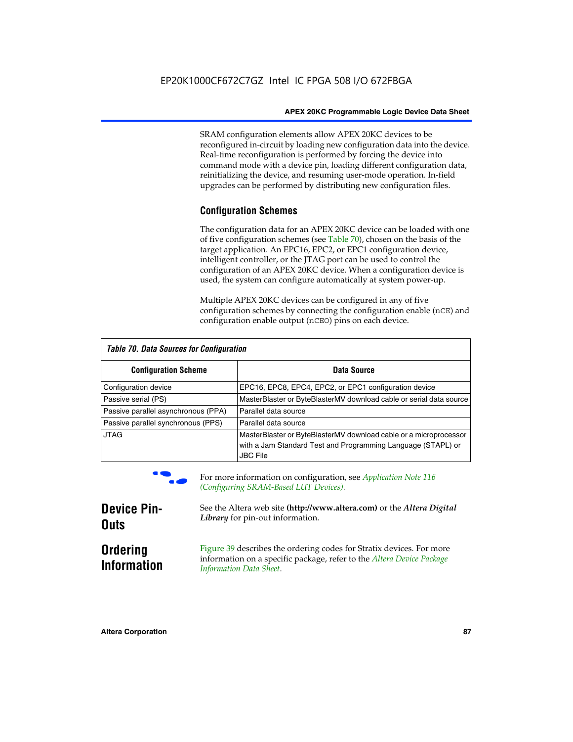SRAM configuration elements allow APEX 20KC devices to be reconfigured in-circuit by loading new configuration data into the device. Real-time reconfiguration is performed by forcing the device into command mode with a device pin, loading different configuration data, reinitializing the device, and resuming user-mode operation. In-field upgrades can be performed by distributing new configuration files.

## **Configuration Schemes**

The configuration data for an APEX 20KC device can be loaded with one of five configuration schemes (see Table 70), chosen on the basis of the target application. An EPC16, EPC2, or EPC1 configuration device, intelligent controller, or the JTAG port can be used to control the configuration of an APEX 20KC device. When a configuration device is used, the system can configure automatically at system power-up.

Multiple APEX 20KC devices can be configured in any of five configuration schemes by connecting the configuration enable (nCE) and configuration enable output (nCEO) pins on each device.

| Table 70. Data Sources for Configuration |                                                                                                                                                      |  |  |  |  |
|------------------------------------------|------------------------------------------------------------------------------------------------------------------------------------------------------|--|--|--|--|
| <b>Configuration Scheme</b>              | Data Source                                                                                                                                          |  |  |  |  |
| Configuration device                     | EPC16, EPC8, EPC4, EPC2, or EPC1 configuration device                                                                                                |  |  |  |  |
| Passive serial (PS)                      | MasterBlaster or ByteBlasterMV download cable or serial data source                                                                                  |  |  |  |  |
| Passive parallel asynchronous (PPA)      | Parallel data source                                                                                                                                 |  |  |  |  |
| Passive parallel synchronous (PPS)       | Parallel data source                                                                                                                                 |  |  |  |  |
| <b>JTAG</b>                              | MasterBlaster or ByteBlasterMV download cable or a microprocessor<br>with a Jam Standard Test and Programming Language (STAPL) or<br><b>JBC File</b> |  |  |  |  |



For more information on configuration, see *Application Note* 116 *(Configuring SRAM-Based LUT Devices).*

| <b>Device Pin-</b>                    | See the Altera web site (http://www.altera.com) or the Altera Digital                                                                                                    |
|---------------------------------------|--------------------------------------------------------------------------------------------------------------------------------------------------------------------------|
| <b>Outs</b>                           | Library for pin-out information.                                                                                                                                         |
| <b>Ordering</b><br><b>Information</b> | Figure 39 describes the ordering codes for Stratix devices. For more<br>information on a specific package, refer to the Altera Device Package<br>Information Data Sheet. |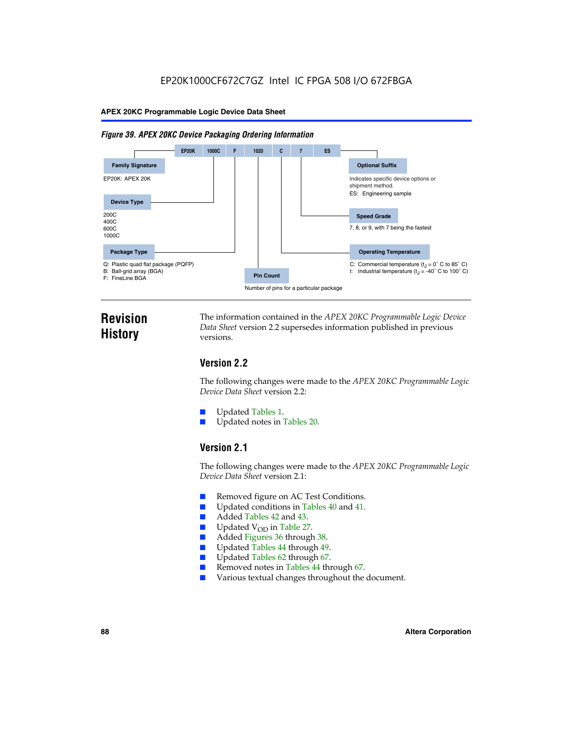#### *Figure 39. APEX 20KC Device Packaging Ordering Information*



# **Revision History**

The information contained in the *APEX 20KC Programmable Logic Device Data Sheet* version 2.2 supersedes information published in previous versions.

# **Version 2.2**

The following changes were made to the *APEX 20KC Programmable Logic Device Data Sheet* version 2.2:

- Updated Tables 1.
- Updated notes in Tables 20.

# **Version 2.1**

The following changes were made to the *APEX 20KC Programmable Logic Device Data Sheet* version 2.1:

- Removed figure on AC Test Conditions.
- Updated conditions in Tables 40 and 41.
- Added Tables 42 and 43.
- $\blacksquare$  Updated V<sub>OD</sub> in Table 27.<br>Added Figures 36 through
- Added Figures 36 through 38.
- Updated Tables 44 through 49.
- Updated Tables 62 through 67.
- Removed notes in Tables 44 through 67.
- Various textual changes throughout the document.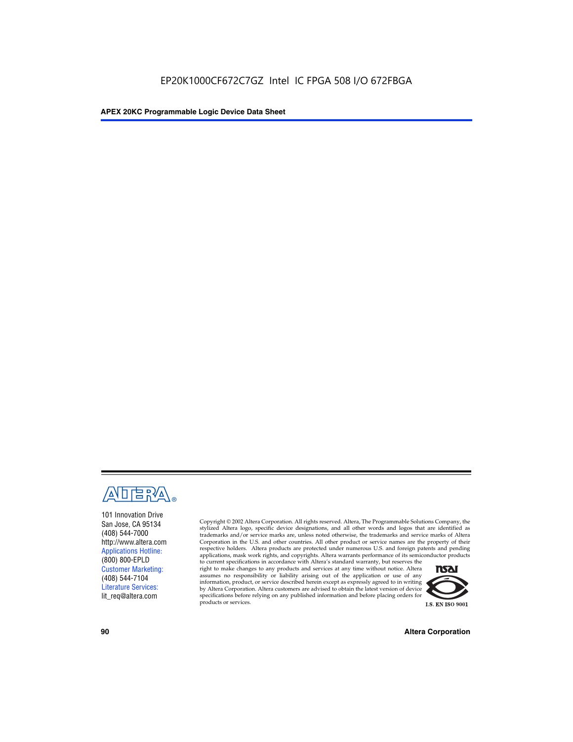

101 Innovation Drive San Jose, CA 95134 (408) 544-7000 http://www.altera.com Applications Hotline: (800) 800-EPLD Customer Marketing: (408) 544-7104 Literature Services: lit\_req@altera.com

Copyright © 2002 Altera Corporation. All rights reserved. Altera, The Programmable Solutions Company, the stylized Altera logo, specific device designations, and all other words and logos that are identified as trademarks and/or service marks are, unless noted otherwise, the trademarks and service marks of Altera Corporation in the U.S. and other countries. All other product or service names are the property of their respective holders. Altera products are protected under numerous U.S. and foreign patents and pending applications, mask work rights, and copyrights. Altera warrants performance of its semiconductor products

to current specifications in accordance with Altera's standard warranty, but reserves the right to make changes to any products and services at any time without notice. Altera assumes no responsibility or liability arising out of the application or use of any information, product, or service described herein except as expressly agreed to in writing by Altera Corporation. Altera customers are advised to obtain the latest version of device specifications before relying on any published information and before placing orders for products or services.



**90 Altera Corporation**